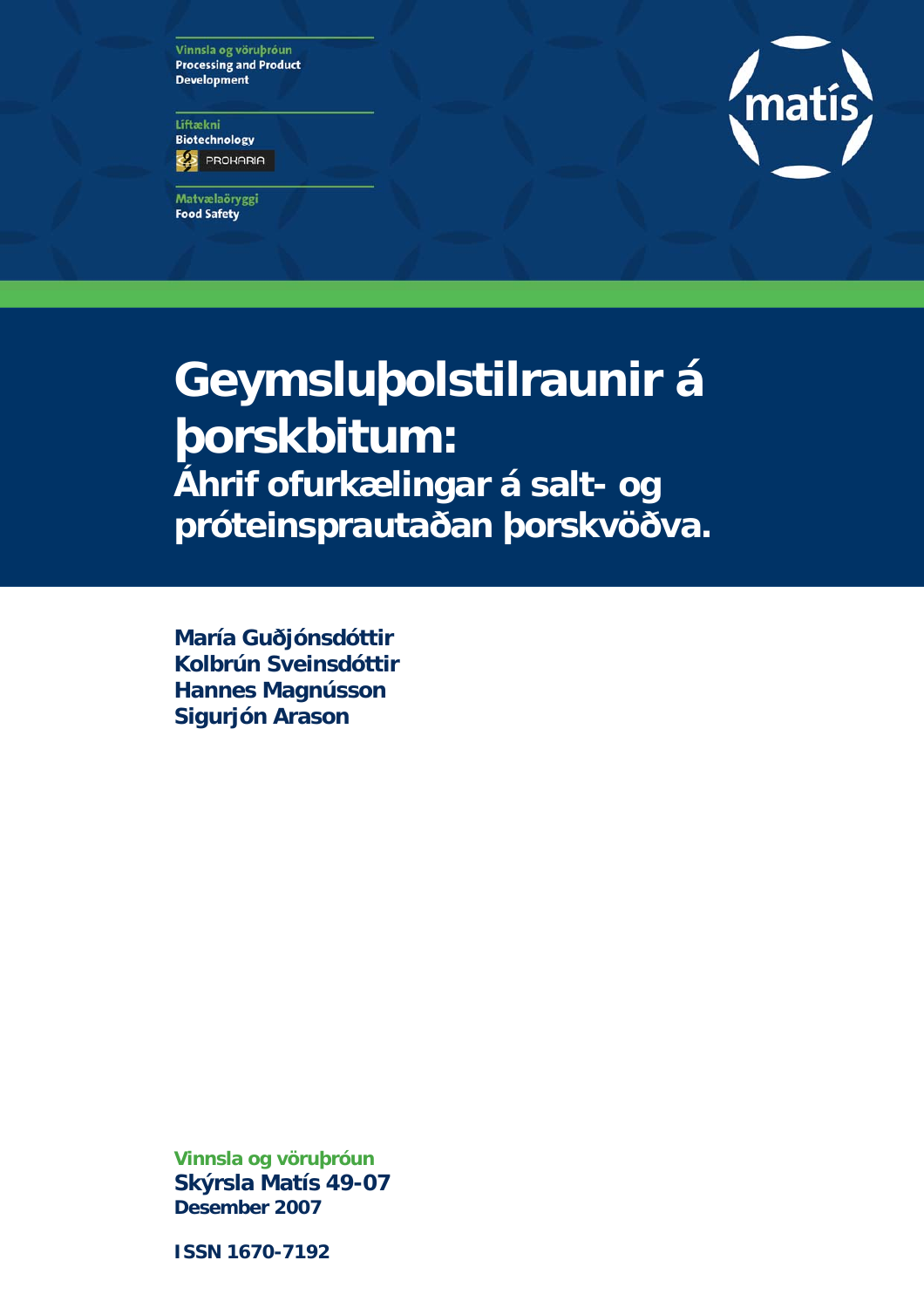Vinnsla og vöruþróun **Processing and Product Development** 

Líftækni **Biotechnology ES** PROHARIA

Matvælaöryggi **Food Safety** 



# **Geymsluþolstilraunir á þorskbitum: Áhrif ofurkælingar á salt- og próteinsprautaðan þorskvöðva.**

**María Guðjónsdóttir Kolbrún Sveinsdóttir Hannes Magnússon Sigurjón Arason** 

**Vinnsla og vöruþróun Skýrsla Matís 49-07 Desember 2007** 

**ISSN 1670-7192**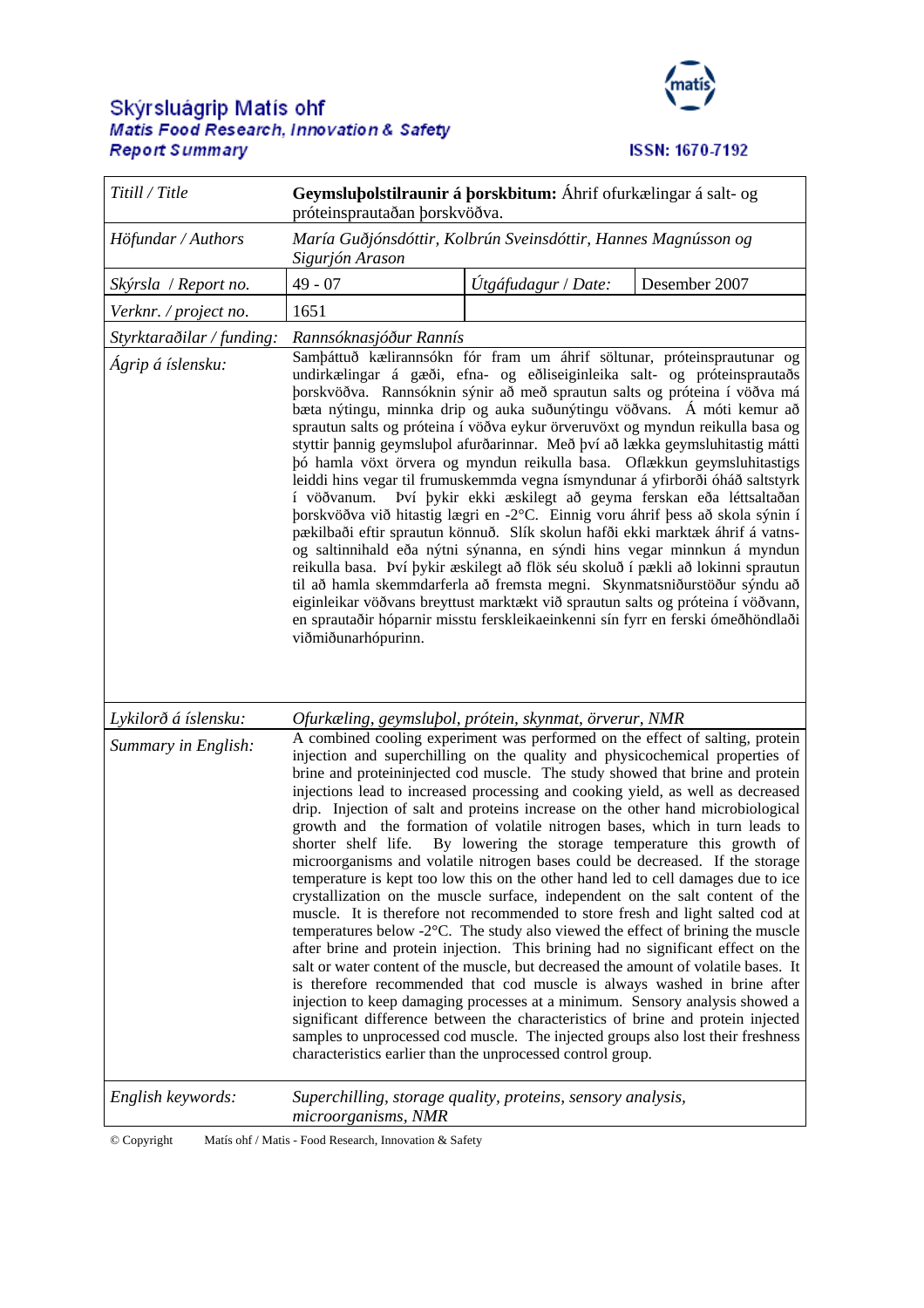## Skýrsluágrip Matís ohf<br>Matis Food Research, Innovation & Safety **Report Summary**



**ISSN: 1670-7192** 

| Titill / Title            | Geymsluþolstilraunir á þorskbitum: Áhrif ofurkælingar á salt- og<br>próteinsprautaðan þorskvöðva.                                                                                                                                                                                                                                                                                                                                                                                                                                                                                                                                                                                                                                                                                                                                                                                                                                                                                                                                                                                                                                                                                                                                                                                                                                                                                                                                                                                                                                              |                     |                                                           |
|---------------------------|------------------------------------------------------------------------------------------------------------------------------------------------------------------------------------------------------------------------------------------------------------------------------------------------------------------------------------------------------------------------------------------------------------------------------------------------------------------------------------------------------------------------------------------------------------------------------------------------------------------------------------------------------------------------------------------------------------------------------------------------------------------------------------------------------------------------------------------------------------------------------------------------------------------------------------------------------------------------------------------------------------------------------------------------------------------------------------------------------------------------------------------------------------------------------------------------------------------------------------------------------------------------------------------------------------------------------------------------------------------------------------------------------------------------------------------------------------------------------------------------------------------------------------------------|---------------------|-----------------------------------------------------------|
| Höfundar / Authors        | María Guðjónsdóttir, Kolbrún Sveinsdóttir, Hannes Magnússon og<br>Sigurjón Arason                                                                                                                                                                                                                                                                                                                                                                                                                                                                                                                                                                                                                                                                                                                                                                                                                                                                                                                                                                                                                                                                                                                                                                                                                                                                                                                                                                                                                                                              |                     |                                                           |
| Skýrsla / Report no.      | $49 - 07$                                                                                                                                                                                                                                                                                                                                                                                                                                                                                                                                                                                                                                                                                                                                                                                                                                                                                                                                                                                                                                                                                                                                                                                                                                                                                                                                                                                                                                                                                                                                      | Útgáfudagur / Date: | Desember 2007                                             |
| Verknr. / project no.     | 1651                                                                                                                                                                                                                                                                                                                                                                                                                                                                                                                                                                                                                                                                                                                                                                                                                                                                                                                                                                                                                                                                                                                                                                                                                                                                                                                                                                                                                                                                                                                                           |                     |                                                           |
| Styrktaraðilar / funding: | Rannsóknasjóður Rannís                                                                                                                                                                                                                                                                                                                                                                                                                                                                                                                                                                                                                                                                                                                                                                                                                                                                                                                                                                                                                                                                                                                                                                                                                                                                                                                                                                                                                                                                                                                         |                     |                                                           |
| Ágrip á íslensku:         | Samþáttuð kælirannsókn fór fram um áhrif söltunar, próteinsprautunar og<br>undirkælingar á gæði, efna- og eðliseiginleika salt- og próteinsprautaðs<br>þorskvöðva. Rannsóknin sýnir að með sprautun salts og próteina í vöðva má<br>bæta nýtingu, minnka drip og auka suðunýtingu vöðvans. Á móti kemur að<br>sprautun salts og próteina í vöðva eykur örveruvöxt og myndun reikulla basa og<br>styttir þannig geymsluþol afurðarinnar. Með því að lækka geymsluhitastig mátti<br>þó hamla vöxt örvera og myndun reikulla basa. Oflækkun geymsluhitastigs<br>leiddi hins vegar til frumuskemmda vegna ísmyndunar á yfirborði óháð saltstyrk<br>í vöðvanum.<br>þorskvöðva við hitastig lægri en -2°C. Einnig voru áhrif þess að skola sýnin í<br>pækilbaði eftir sprautun könnuð. Slík skolun hafði ekki marktæk áhrif á vatns-<br>og saltinnihald eða nýtni sýnanna, en sýndi hins vegar minnkun á myndun<br>reikulla basa. Því þykir æskilegt að flök séu skoluð í pækli að lokinni sprautun<br>til að hamla skemmdarferla að fremsta megni. Skynmatsniðurstöður sýndu að<br>eiginleikar vöðvans breyttust marktækt við sprautun salts og próteina í vöðvann,<br>en sprautaðir hóparnir misstu ferskleikaeinkenni sín fyrr en ferski ómeðhöndlaði<br>viðmiðunarhópurinn.                                                                                                                                                                                                                                                                      |                     | Því þykir ekki æskilegt að geyma ferskan eða léttsaltaðan |
| Lykilorð á íslensku:      | Ofurkæling, geymsluþol, prótein, skynmat, örverur, NMR                                                                                                                                                                                                                                                                                                                                                                                                                                                                                                                                                                                                                                                                                                                                                                                                                                                                                                                                                                                                                                                                                                                                                                                                                                                                                                                                                                                                                                                                                         |                     |                                                           |
| Summary in English:       | A combined cooling experiment was performed on the effect of salting, protein<br>injection and superchilling on the quality and physicochemical properties of<br>brine and proteininjected cod muscle. The study showed that brine and protein<br>injections lead to increased processing and cooking yield, as well as decreased<br>drip. Injection of salt and proteins increase on the other hand microbiological<br>growth and the formation of volatile nitrogen bases, which in turn leads to<br>shorter shelf life.<br>microorganisms and volatile nitrogen bases could be decreased. If the storage<br>temperature is kept too low this on the other hand led to cell damages due to ice<br>crystallization on the muscle surface, independent on the salt content of the<br>muscle. It is therefore not recommended to store fresh and light salted cod at<br>temperatures below $-2^{\circ}$ C. The study also viewed the effect of brining the muscle<br>after brine and protein injection. This brining had no significant effect on the<br>salt or water content of the muscle, but decreased the amount of volatile bases. It<br>is therefore recommended that cod muscle is always washed in brine after<br>injection to keep damaging processes at a minimum. Sensory analysis showed a<br>significant difference between the characteristics of brine and protein injected<br>samples to unprocessed cod muscle. The injected groups also lost their freshness<br>characteristics earlier than the unprocessed control group. |                     | By lowering the storage temperature this growth of        |
| English keywords:         | Superchilling, storage quality, proteins, sensory analysis,<br>microorganisms, NMR                                                                                                                                                                                                                                                                                                                                                                                                                                                                                                                                                                                                                                                                                                                                                                                                                                                                                                                                                                                                                                                                                                                                                                                                                                                                                                                                                                                                                                                             |                     |                                                           |

<sup>©</sup> Copyright Matís ohf / Matis - Food Research, Innovation & Safety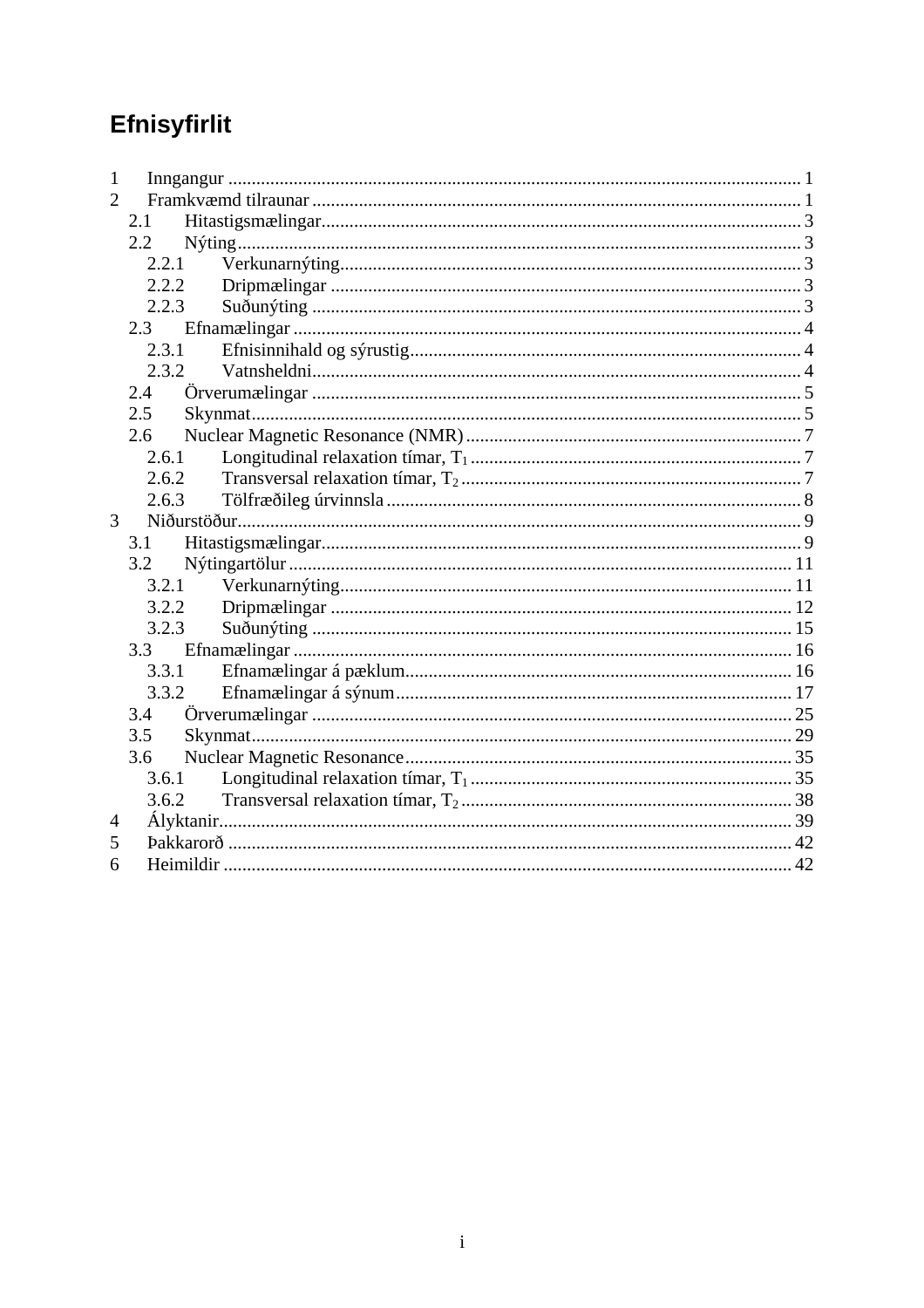# Efnisyfirlit

| 1              |         |       |  |
|----------------|---------|-------|--|
| $\overline{2}$ |         |       |  |
|                | 2.1     |       |  |
|                | $2.2\,$ |       |  |
|                |         | 2.2.1 |  |
|                |         | 2.2.2 |  |
|                | 2.2.3   |       |  |
|                |         |       |  |
|                | 2.3.1   |       |  |
|                | 2.3.2   |       |  |
|                | 2.4     |       |  |
|                | 2.5     |       |  |
|                | 2.6     |       |  |
|                | 2.6.1   |       |  |
|                | 2.6.2   |       |  |
|                | 2.6.3   |       |  |
| 3              |         |       |  |
|                | 3.1     |       |  |
|                | 3.2     |       |  |
|                |         | 3.2.1 |  |
|                |         | 3.2.2 |  |
|                | 3.2.3   |       |  |
|                |         |       |  |
|                | 3.3.1   |       |  |
|                | 3.3.2   |       |  |
|                | 3.4     |       |  |
|                | 3.5     |       |  |
|                | 3.6     |       |  |
|                |         | 3.6.1 |  |
|                |         | 3.6.2 |  |
| 4              |         |       |  |
| 5              |         |       |  |
| 6              |         |       |  |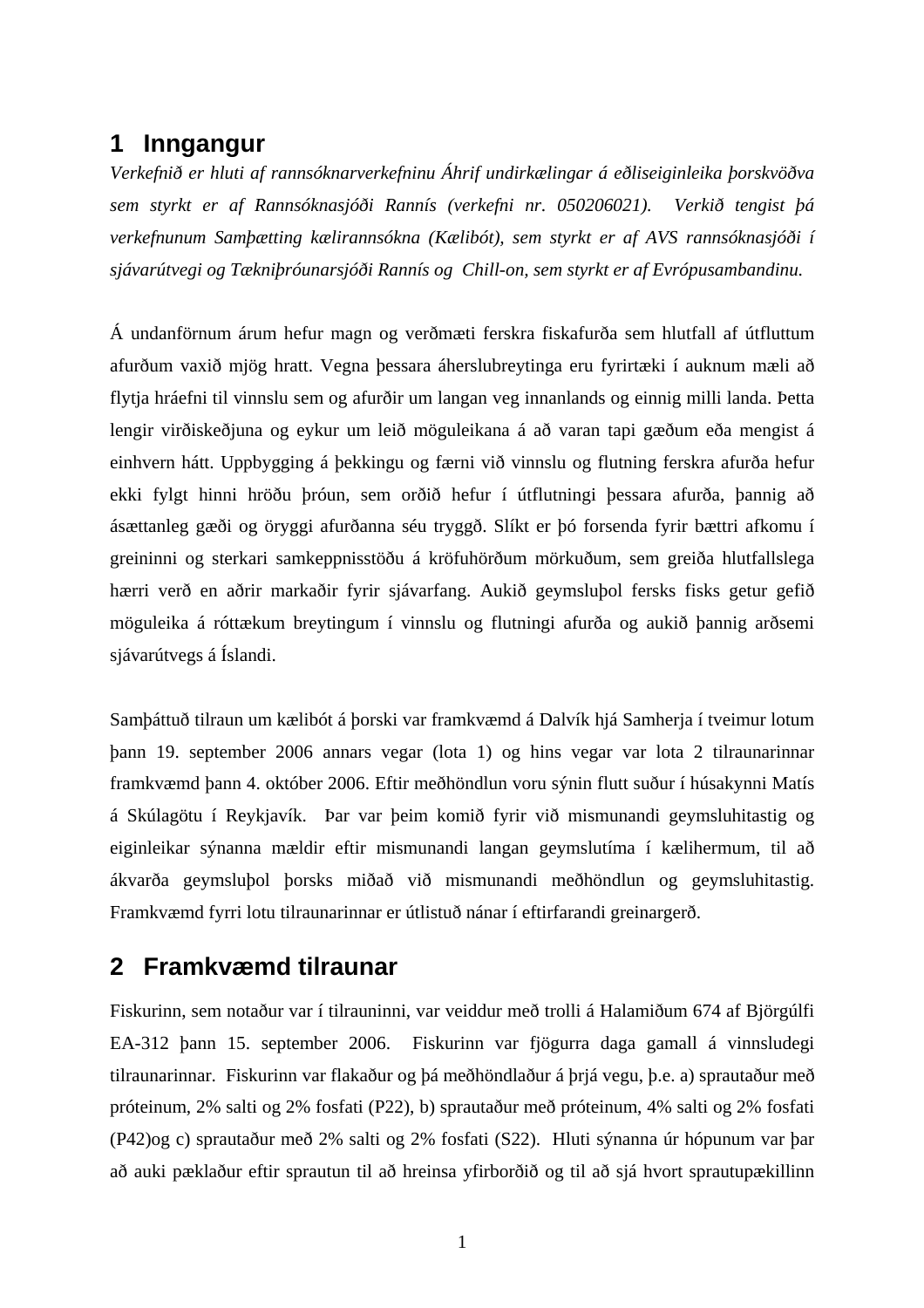### **1 Inngangur**

*Verkefnið er hluti af rannsóknarverkefninu Áhrif undirkælingar á eðliseiginleika þorskvöðva sem styrkt er af Rannsóknasjóði Rannís (verkefni nr. 050206021). Verkið tengist þá verkefnunum Samþætting kælirannsókna (Kælibót), sem styrkt er af AVS rannsóknasjóði í sjávarútvegi og Tækniþróunarsjóði Rannís og Chill-on, sem styrkt er af Evrópusambandinu.* 

Á undanförnum árum hefur magn og verðmæti ferskra fiskafurða sem hlutfall af útfluttum afurðum vaxið mjög hratt. Vegna þessara áherslubreytinga eru fyrirtæki í auknum mæli að flytja hráefni til vinnslu sem og afurðir um langan veg innanlands og einnig milli landa. Þetta lengir virðiskeðjuna og eykur um leið möguleikana á að varan tapi gæðum eða mengist á einhvern hátt. Uppbygging á þekkingu og færni við vinnslu og flutning ferskra afurða hefur ekki fylgt hinni hröðu þróun, sem orðið hefur í útflutningi þessara afurða, þannig að ásættanleg gæði og öryggi afurðanna séu tryggð. Slíkt er þó forsenda fyrir bættri afkomu í greininni og sterkari samkeppnisstöðu á kröfuhörðum mörkuðum, sem greiða hlutfallslega hærri verð en aðrir markaðir fyrir sjávarfang. Aukið geymsluþol fersks fisks getur gefið möguleika á róttækum breytingum í vinnslu og flutningi afurða og aukið þannig arðsemi sjávarútvegs á Íslandi.

Samþáttuð tilraun um kælibót á þorski var framkvæmd á Dalvík hjá Samherja í tveimur lotum þann 19. september 2006 annars vegar (lota 1) og hins vegar var lota 2 tilraunarinnar framkvæmd þann 4. október 2006. Eftir meðhöndlun voru sýnin flutt suður í húsakynni Matís á Skúlagötu í Reykjavík. Þar var þeim komið fyrir við mismunandi geymsluhitastig og eiginleikar sýnanna mældir eftir mismunandi langan geymslutíma í kælihermum, til að ákvarða geymsluþol þorsks miðað við mismunandi meðhöndlun og geymsluhitastig. Framkvæmd fyrri lotu tilraunarinnar er útlistuð nánar í eftirfarandi greinargerð.

### **2 Framkvæmd tilraunar**

Fiskurinn, sem notaður var í tilrauninni, var veiddur með trolli á Halamiðum 674 af Björgúlfi EA-312 þann 15. september 2006. Fiskurinn var fjögurra daga gamall á vinnsludegi tilraunarinnar. Fiskurinn var flakaður og þá meðhöndlaður á þrjá vegu, þ.e. a) sprautaður með próteinum, 2% salti og 2% fosfati (P22), b) sprautaður með próteinum, 4% salti og 2% fosfati (P42)og c) sprautaður með 2% salti og 2% fosfati (S22). Hluti sýnanna úr hópunum var þar að auki pæklaður eftir sprautun til að hreinsa yfirborðið og til að sjá hvort sprautupækillinn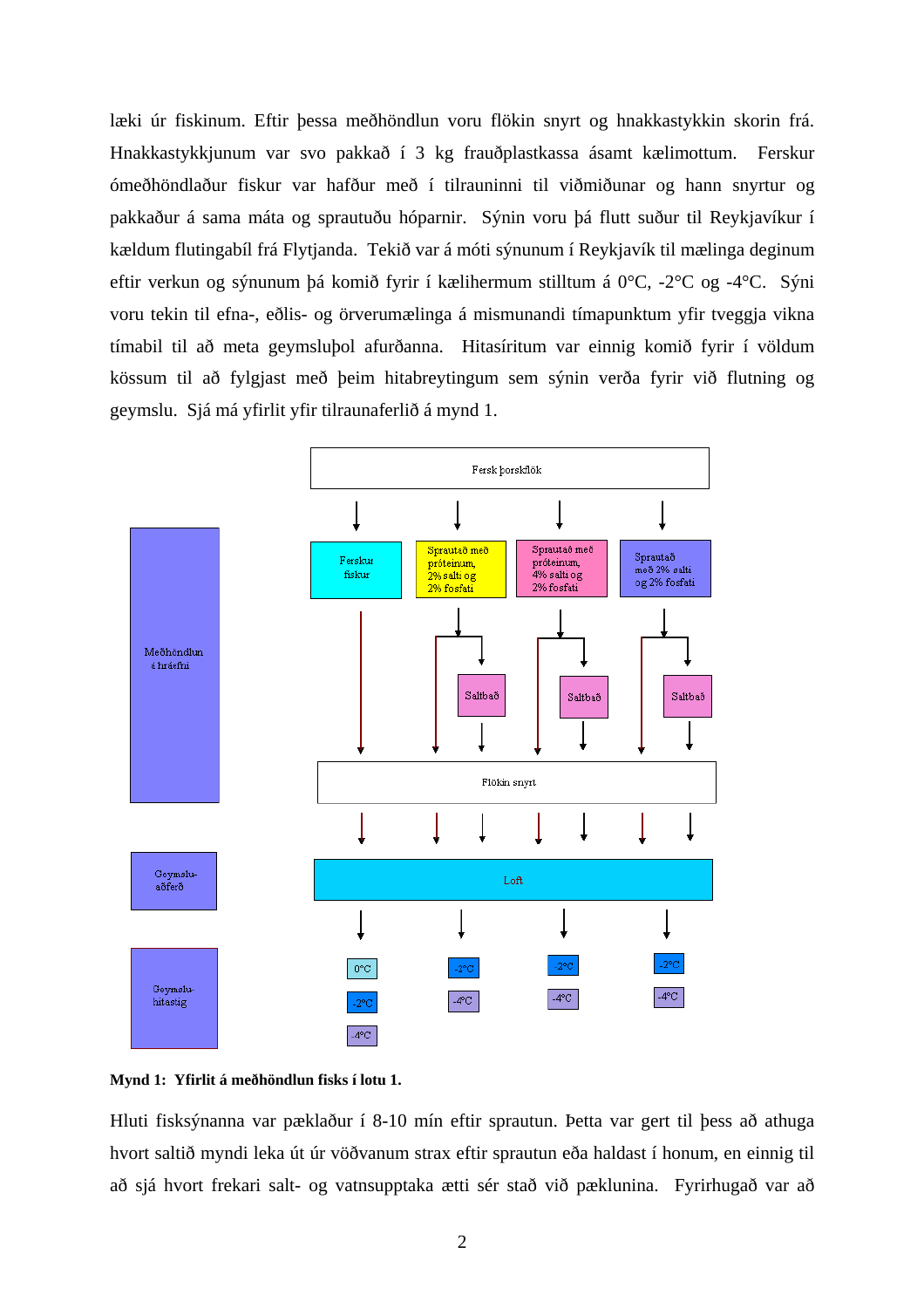læki úr fiskinum. Eftir þessa meðhöndlun voru flökin snyrt og hnakkastykkin skorin frá. Hnakkastykkjunum var svo pakkað í 3 kg frauðplastkassa ásamt kælimottum. Ferskur ómeðhöndlaður fiskur var hafður með í tilrauninni til viðmiðunar og hann snyrtur og pakkaður á sama máta og sprautuðu hóparnir. Sýnin voru þá flutt suður til Reykjavíkur í kældum flutingabíl frá Flytjanda. Tekið var á móti sýnunum í Reykjavík til mælinga deginum eftir verkun og sýnunum þá komið fyrir í kælihermum stilltum á 0°C, -2°C og -4°C. Sýni voru tekin til efna-, eðlis- og örverumælinga á mismunandi tímapunktum yfir tveggja vikna tímabil til að meta geymsluþol afurðanna. Hitasíritum var einnig komið fyrir í völdum kössum til að fylgjast með þeim hitabreytingum sem sýnin verða fyrir við flutning og geymslu. Sjá má yfirlit yfir tilraunaferlið á mynd 1.



**Mynd 1: Yfirlit á meðhöndlun fisks í lotu 1.** 

Hluti fisksýnanna var pæklaður í 8-10 mín eftir sprautun. Þetta var gert til þess að athuga hvort saltið myndi leka út úr vöðvanum strax eftir sprautun eða haldast í honum, en einnig til að sjá hvort frekari salt- og vatnsupptaka ætti sér stað við pæklunina. Fyrirhugað var að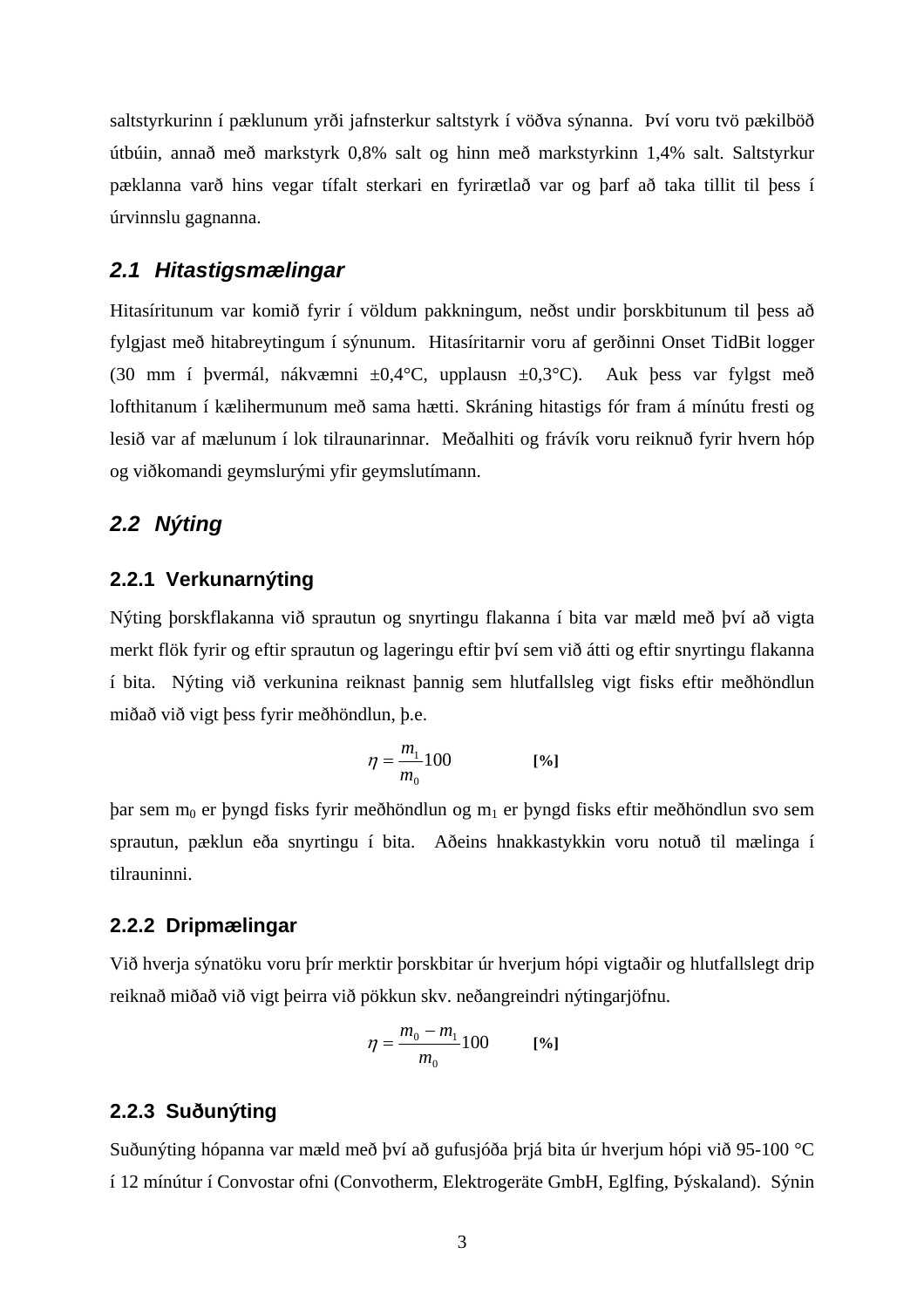saltstyrkurinn í pæklunum yrði jafnsterkur saltstyrk í vöðva sýnanna. Því voru tvö pækilböð útbúin, annað með markstyrk 0,8% salt og hinn með markstyrkinn 1,4% salt. Saltstyrkur pæklanna varð hins vegar tífalt sterkari en fyrirætlað var og þarf að taka tillit til þess í úrvinnslu gagnanna.

### *2.1 Hitastigsmælingar*

Hitasíritunum var komið fyrir í völdum pakkningum, neðst undir þorskbitunum til þess að fylgjast með hitabreytingum í sýnunum. Hitasíritarnir voru af gerðinni Onset TidBit logger (30 mm í þvermál, nákvæmni  $\pm 0.4$ °C, upplausn  $\pm 0.3$ °C). Auk þess var fylgst með lofthitanum í kælihermunum með sama hætti. Skráning hitastigs fór fram á mínútu fresti og lesið var af mælunum í lok tilraunarinnar. Meðalhiti og frávík voru reiknuð fyrir hvern hóp og viðkomandi geymslurými yfir geymslutímann.

### *2.2 Nýting*

### **2.2.1 Verkunarnýting**

Nýting þorskflakanna við sprautun og snyrtingu flakanna í bita var mæld með því að vigta merkt flök fyrir og eftir sprautun og lageringu eftir því sem við átti og eftir snyrtingu flakanna í bita. Nýting við verkunina reiknast þannig sem hlutfallsleg vigt fisks eftir meðhöndlun miðað við vigt þess fyrir meðhöndlun, þ.e.

$$
\eta = \frac{m_1}{m_0} 100 \tag{96}
$$

 $\beta$ bar sem m<sub>0</sub> er þyngd fisks fyrir meðhöndlun og m<sub>1</sub> er þyngd fisks eftir meðhöndlun svo sem sprautun, pæklun eða snyrtingu í bita. Aðeins hnakkastykkin voru notuð til mælinga í tilrauninni.

#### **2.2.2 Dripmælingar**

Við hverja sýnatöku voru þrír merktir þorskbitar úr hverjum hópi vigtaðir og hlutfallslegt drip reiknað miðað við vigt þeirra við pökkun skv. neðangreindri nýtingarjöfnu.

$$
\eta = \frac{m_0 - m_1}{m_0} 100 \qquad \text{[%]}
$$

#### **2.2.3 Suðunýting**

Suðunýting hópanna var mæld með því að gufusjóða þrjá bita úr hverjum hópi við 95-100 °C í 12 mínútur í Convostar ofni (Convotherm, Elektrogeräte GmbH, Eglfing, Þýskaland). Sýnin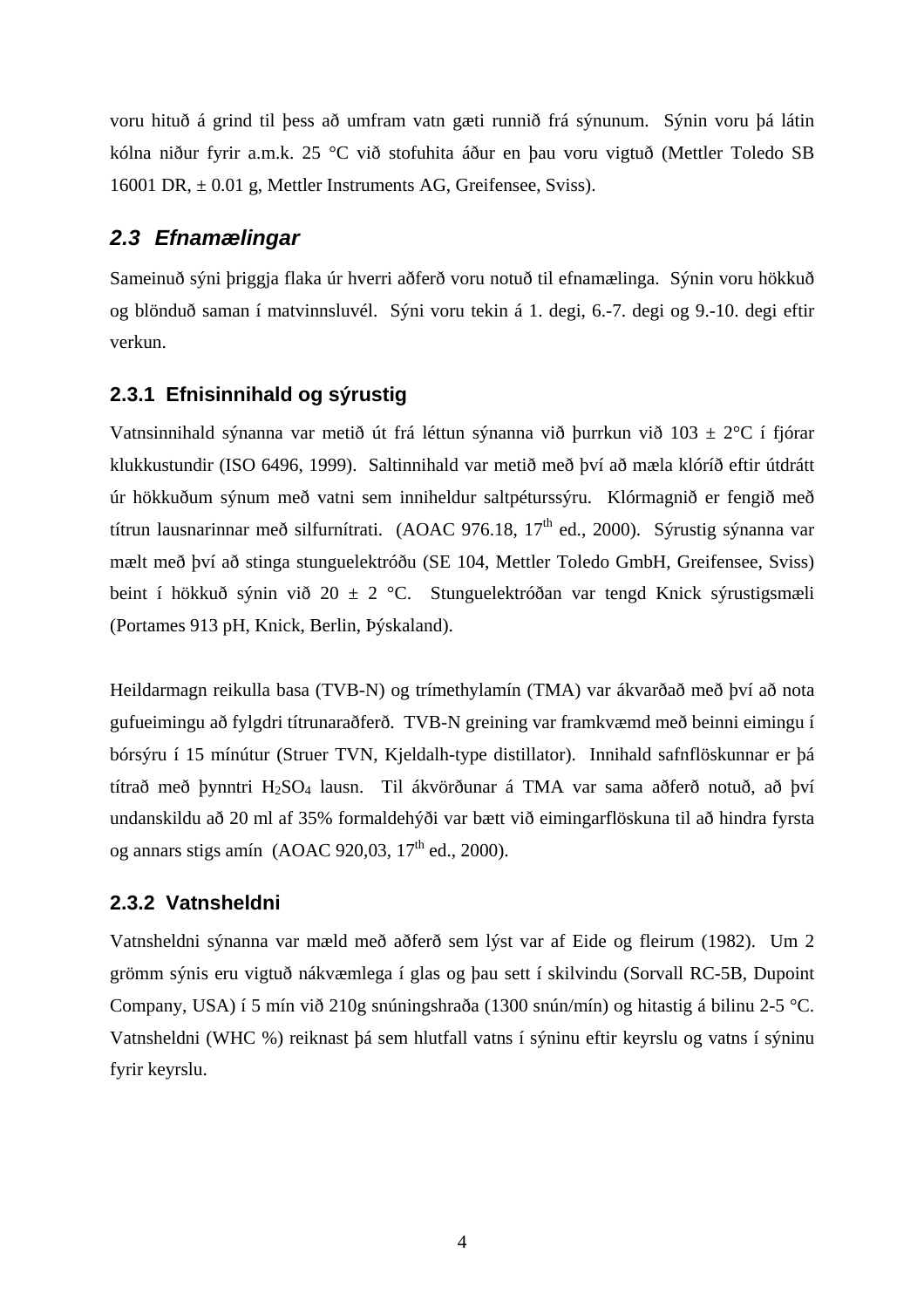voru hituð á grind til þess að umfram vatn gæti runnið frá sýnunum. Sýnin voru þá látin kólna niður fyrir a.m.k. 25 °C við stofuhita áður en þau voru vigtuð (Mettler Toledo SB 16001 DR, ± 0.01 g, Mettler Instruments AG, Greifensee, Sviss).

### *2.3 Efnamælingar*

Sameinuð sýni þriggja flaka úr hverri aðferð voru notuð til efnamælinga. Sýnin voru hökkuð og blönduð saman í matvinnsluvél. Sýni voru tekin á 1. degi, 6.-7. degi og 9.-10. degi eftir verkun.

#### **2.3.1 Efnisinnihald og sýrustig**

Vatnsinnihald sýnanna var metið út frá léttun sýnanna við þurrkun við  $103 \pm 2$ °C í fjórar klukkustundir (ISO 6496, 1999). Saltinnihald var metið með því að mæla klóríð eftir útdrátt úr hökkuðum sýnum með vatni sem inniheldur saltpéturssýru. Klórmagnið er fengið með títrun lausnarinnar með silfurnítrati. (AOAC 976.18,  $17<sup>th</sup>$  ed., 2000). Sýrustig sýnanna var mælt með því að stinga stunguelektróðu (SE 104, Mettler Toledo GmbH, Greifensee, Sviss) beint í hökkuð sýnin við 20 ± 2 °C. Stunguelektróðan var tengd Knick sýrustigsmæli (Portames 913 pH, Knick, Berlin, Þýskaland).

Heildarmagn reikulla basa (TVB-N) og trímethylamín (TMA) var ákvarðað með því að nota gufueimingu að fylgdri títrunaraðferð. TVB-N greining var framkvæmd með beinni eimingu í bórsýru í 15 mínútur (Struer TVN, Kjeldalh-type distillator). Innihald safnflöskunnar er þá títrað með þynntri H<sub>2</sub>SO<sub>4</sub> lausn. Til ákvörðunar á TMA var sama aðferð notuð, að því undanskildu að 20 ml af 35% formaldehýði var bætt við eimingarflöskuna til að hindra fyrsta og annars stigs amín (AOAC 920,03,  $17<sup>th</sup>$  ed., 2000).

#### **2.3.2 Vatnsheldni**

Vatnsheldni sýnanna var mæld með aðferð sem lýst var af Eide og fleirum (1982). Um 2 grömm sýnis eru vigtuð nákvæmlega í glas og þau sett í skilvindu (Sorvall RC-5B, Dupoint Company, USA) í 5 mín við 210g snúningshraða (1300 snún/mín) og hitastig á bilinu 2-5 °C. Vatnsheldni (WHC %) reiknast þá sem hlutfall vatns í sýninu eftir keyrslu og vatns í sýninu fyrir keyrslu.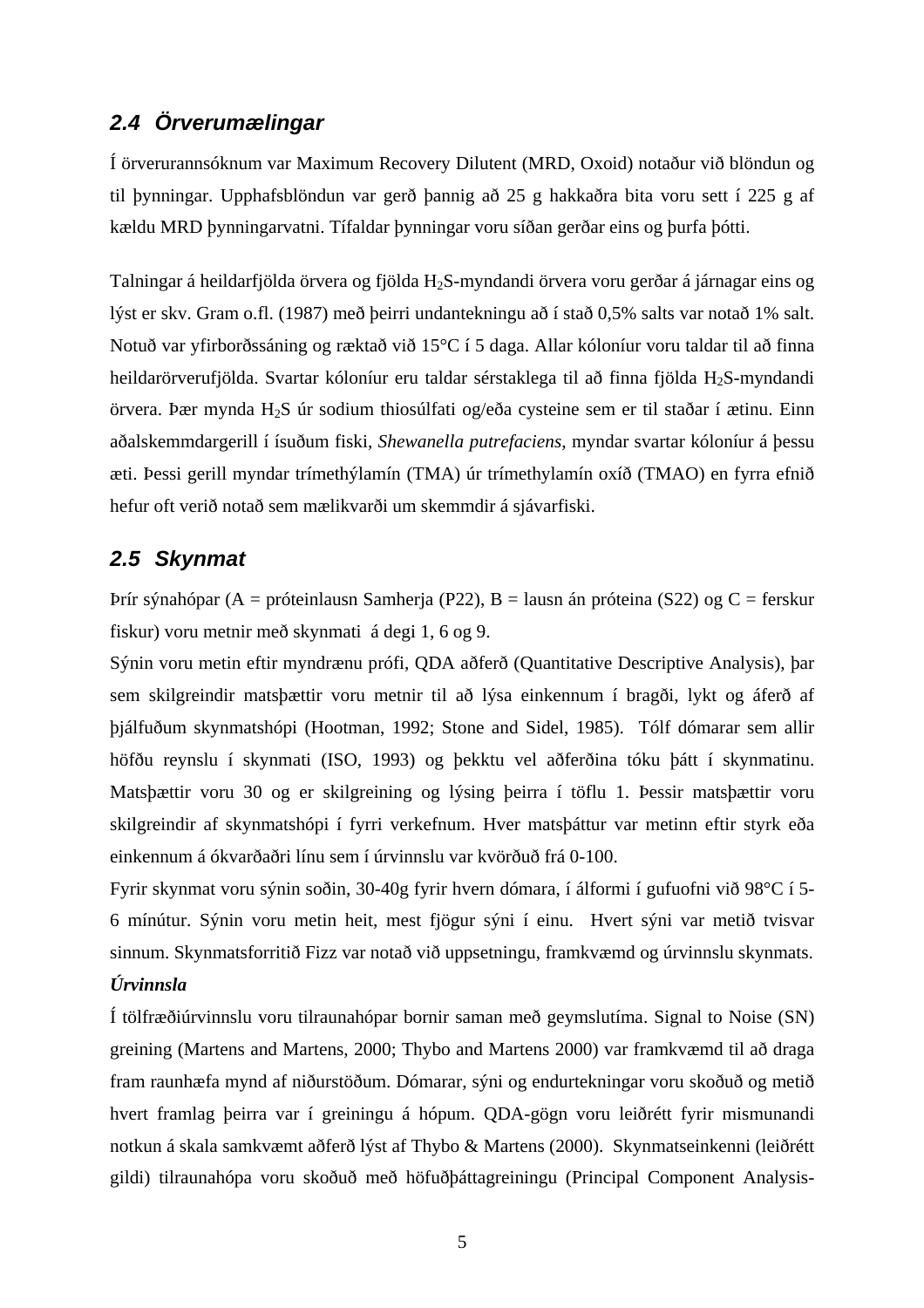### *2.4 Örverumælingar*

Í örverurannsóknum var Maximum Recovery Dilutent (MRD, Oxoid) notaður við blöndun og til þynningar. Upphafsblöndun var gerð þannig að 25 g hakkaðra bita voru sett í 225 g af kældu MRD þynningarvatni. Tífaldar þynningar voru síðan gerðar eins og þurfa þótti.

Talningar á heildarfjölda örvera og fjölda H2S-myndandi örvera voru gerðar á járnagar eins og lýst er skv. Gram o.fl. (1987) með þeirri undantekningu að í stað 0,5% salts var notað 1% salt. Notuð var yfirborðssáning og ræktað við 15°C í 5 daga. Allar kóloníur voru taldar til að finna heildarörverufjölda. Svartar kóloníur eru taldar sérstaklega til að finna fjölda H<sub>2</sub>S-myndandi örvera. Þær mynda H2S úr sodium thiosúlfati og/eða cysteine sem er til staðar í ætinu. Einn aðalskemmdargerill í ísuðum fiski, *Shewanella putrefaciens*, myndar svartar kóloníur á þessu æti. Þessi gerill myndar trímethýlamín (TMA) úr trímethylamín oxíð (TMAO) en fyrra efnið hefur oft verið notað sem mælikvarði um skemmdir á sjávarfiski.

### *2.5 Skynmat*

Þrír sýnahópar (A = próteinlausn Samherja (P22), B = lausn án próteina (S22) og C = ferskur fiskur) voru metnir með skynmati á degi 1, 6 og 9.

Sýnin voru metin eftir myndrænu prófi, QDA aðferð (Quantitative Descriptive Analysis), þar sem skilgreindir matsþættir voru metnir til að lýsa einkennum í bragði, lykt og áferð af þjálfuðum skynmatshópi (Hootman, 1992; Stone and Sidel, 1985). Tólf dómarar sem allir höfðu reynslu í skynmati (ISO, 1993) og þekktu vel aðferðina tóku þátt í skynmatinu. Matsþættir voru 30 og er skilgreining og lýsing þeirra í töflu 1. Þessir matsþættir voru skilgreindir af skynmatshópi í fyrri verkefnum. Hver matsþáttur var metinn eftir styrk eða einkennum á ókvarðaðri línu sem í úrvinnslu var kvörðuð frá 0-100.

Fyrir skynmat voru sýnin soðin, 30-40g fyrir hvern dómara, í álformi í gufuofni við 98°C í 5- 6 mínútur. Sýnin voru metin heit, mest fjögur sýni í einu. Hvert sýni var metið tvisvar sinnum. Skynmatsforritið Fizz var notað við uppsetningu, framkvæmd og úrvinnslu skynmats. *Úrvinnsla* 

Í tölfræðiúrvinnslu voru tilraunahópar bornir saman með geymslutíma. Signal to Noise (SN) greining (Martens and Martens, 2000; Thybo and Martens 2000) var framkvæmd til að draga fram raunhæfa mynd af niðurstöðum. Dómarar, sýni og endurtekningar voru skoðuð og metið hvert framlag þeirra var í greiningu á hópum. QDA-gögn voru leiðrétt fyrir mismunandi notkun á skala samkvæmt aðferð lýst af Thybo & Martens (2000). Skynmatseinkenni (leiðrétt gildi) tilraunahópa voru skoðuð með höfuðþáttagreiningu (Principal Component Analysis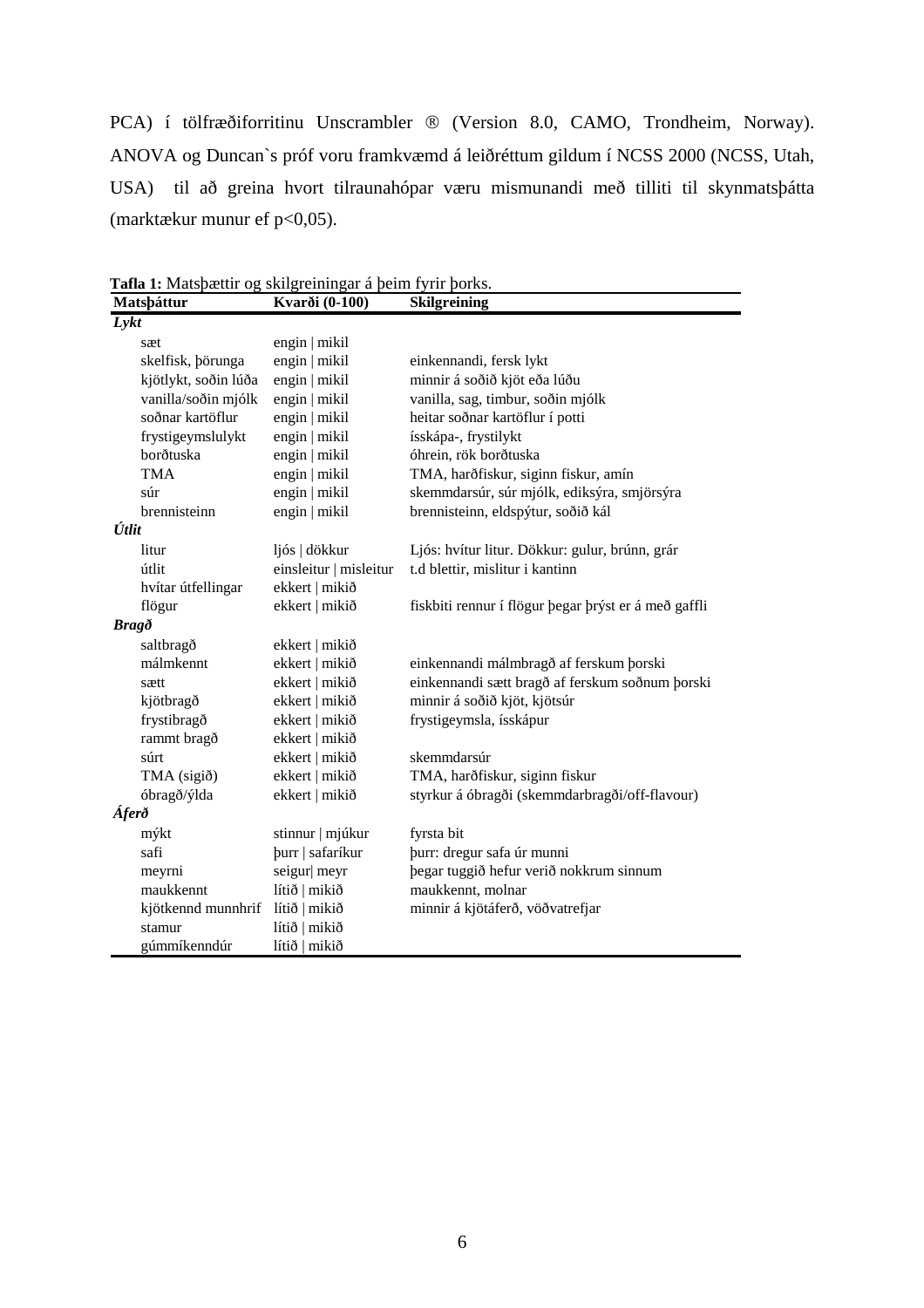PCA) í tölfræðiforritinu Unscrambler ® (Version 8.0, CAMO, Trondheim, Norway). ANOVA og Duncan`s próf voru framkvæmd á leiðréttum gildum í NCSS 2000 (NCSS, Utah, USA) til að greina hvort tilraunahópar væru mismunandi með tilliti til skynmatsþátta (marktækur munur ef p<0,05).

| Matspáttur           | Kvarði (0-100)         | <b>Skilgreining</b>                                  |
|----------------------|------------------------|------------------------------------------------------|
| Lykt                 |                        |                                                      |
| sæt                  | engin   mikil          |                                                      |
| skelfisk, börunga    | engin   mikil          | einkennandi, fersk lykt                              |
| kjötlykt, soðin lúða | engin   mikil          | minnir á soðið kjöt eða lúðu                         |
| vanilla/soðin mjólk  | engin   mikil          | vanilla, sag, timbur, soðin mjólk                    |
| soðnar kartöflur     | engin   mikil          | heitar soðnar kartöflur í potti                      |
| frystigeymslulykt    | engin   mikil          | ísskápa-, frystilykt                                 |
| borðtuska            | engin   mikil          | óhrein, rök borðtuska                                |
| <b>TMA</b>           | engin   mikil          | TMA, harðfiskur, siginn fiskur, amín                 |
| súr                  | engin   mikil          | skemmdarsúr, súr mjólk, ediksýra, smjörsýra          |
| brennisteinn         | engin   mikil          | brennisteinn, eldspýtur, soðið kál                   |
| Útlit                |                        |                                                      |
| litur                | ljós   dökkur          | Ljós: hvítur litur. Dökkur: gulur, brúnn, grár       |
| útlit                | einsleitur   misleitur | t.d blettir, mislitur i kantinn                      |
| hvítar útfellingar   | ekkert   mikið         |                                                      |
| flögur               | ekkert   mikið         | fiskbiti rennur í flögur þegar þrýst er á með gaffli |
| <b>Bragð</b>         |                        |                                                      |
| saltbragð            | ekkert   mikið         |                                                      |
| málmkennt            | ekkert   mikið         | einkennandi málmbragð af ferskum þorski              |
| sætt                 | ekkert   mikið         | einkennandi sætt bragð af ferskum soðnum þorski      |
| kjötbragð            | ekkert   mikið         | minnir á soðið kjöt, kjötsúr                         |
| frystibragð          | ekkert   mikið         | frystigeymsla, ísskápur                              |
| rammt bragð          | ekkert   mikið         |                                                      |
| súrt                 | ekkert   mikið         | skemmdarsúr                                          |
| TMA (sigið)          | ekkert   mikið         | TMA, harðfiskur, siginn fiskur                       |
| óbragð/ýlda          | ekkert   mikið         | styrkur á óbragði (skemmdarbragði/off-flavour)       |
| Áferð                |                        |                                                      |
| mýkt                 | stinnur   mjúkur       | fyrsta bit                                           |
| safi                 | burr   safaríkur       | purr: dregur safa úr munni                           |
| meyrni               | seigur  meyr           | þegar tuggið hefur verið nokkrum sinnum              |
| maukkennt            | lítið   mikið          | maukkennt, molnar                                    |
| kjötkennd munnhrif   | lítið   mikið          | minnir á kjötáferð, vöðvatrefjar                     |
| stamur               | lítið   mikið          |                                                      |
| gúmmíkenndúr         | lítið   mikið          |                                                      |

**Tafla 1:** Matsþættir og skilgreiningar á þeim fyrir þorks.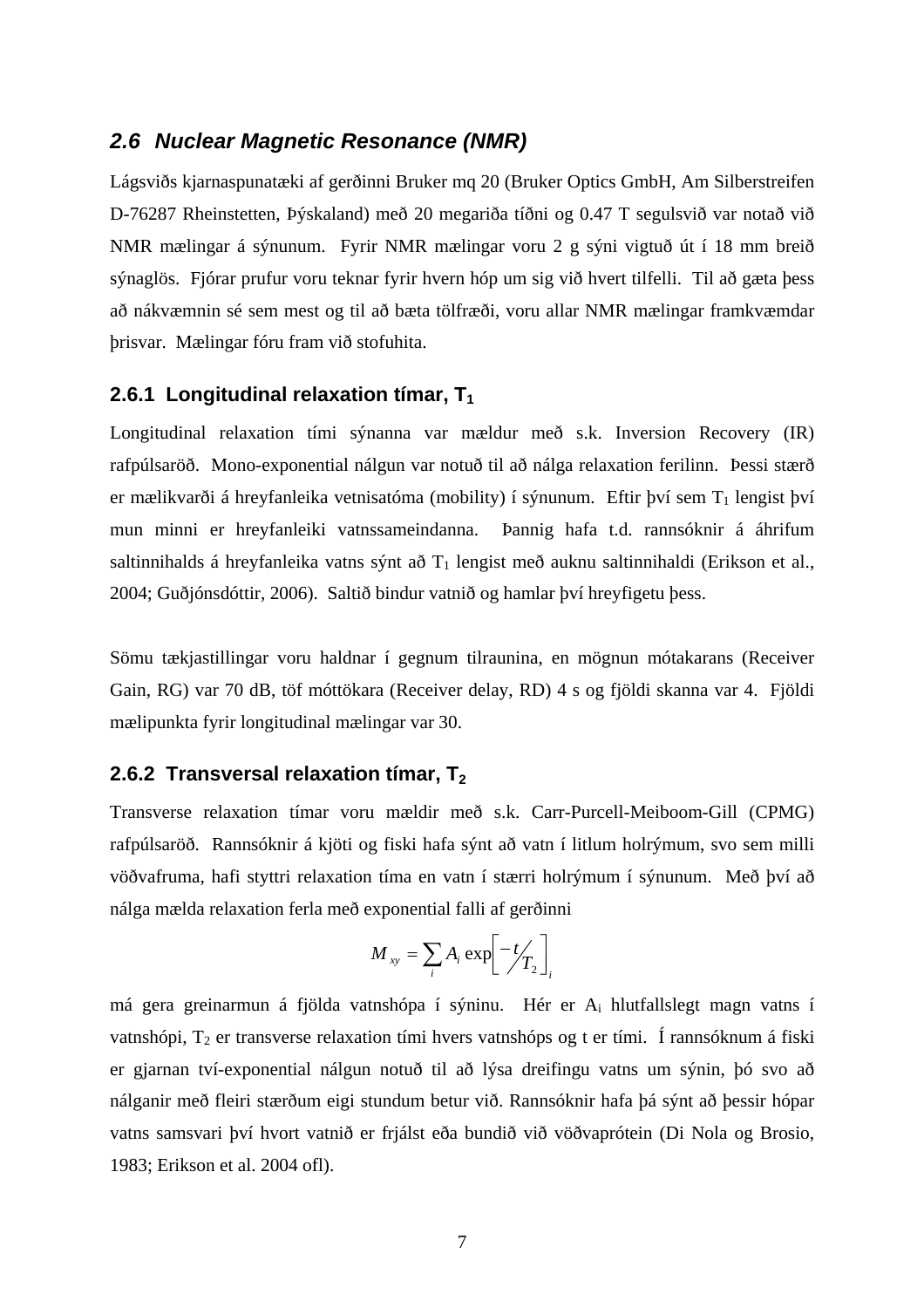#### *2.6 Nuclear Magnetic Resonance (NMR)*

Lágsviðs kjarnaspunatæki af gerðinni Bruker mq 20 (Bruker Optics GmbH, Am Silberstreifen D-76287 Rheinstetten, Þýskaland) með 20 megariða tíðni og 0.47 T segulsvið var notað við NMR mælingar á sýnunum. Fyrir NMR mælingar voru 2 g sýni vigtuð út í 18 mm breið sýnaglös. Fjórar prufur voru teknar fyrir hvern hóp um sig við hvert tilfelli. Til að gæta þess að nákvæmnin sé sem mest og til að bæta tölfræði, voru allar NMR mælingar framkvæmdar þrisvar. Mælingar fóru fram við stofuhita.

#### **2.6.1 Longitudinal relaxation tímar, T<sub>1</sub>**

Longitudinal relaxation tími sýnanna var mældur með s.k. Inversion Recovery (IR) rafpúlsaröð. Mono-exponential nálgun var notuð til að nálga relaxation ferilinn. Þessi stærð er mælikvarði á hreyfanleika vetnisatóma (mobility) í sýnunum. Eftir því sem  $T_1$  lengist því mun minni er hreyfanleiki vatnssameindanna. Þannig hafa t.d. rannsóknir á áhrifum saltinnihalds á hreyfanleika vatns sýnt að  $T_1$  lengist með auknu saltinnihaldi (Erikson et al., 2004; Guðjónsdóttir, 2006). Saltið bindur vatnið og hamlar því hreyfigetu þess.

Sömu tækjastillingar voru haldnar í gegnum tilraunina, en mögnun mótakarans (Receiver Gain, RG) var 70 dB, töf móttökara (Receiver delay, RD) 4 s og fjöldi skanna var 4. Fjöldi mælipunkta fyrir longitudinal mælingar var 30.

#### **2.6.2 Transversal relaxation tímar, T<sub>2</sub>**

Transverse relaxation tímar voru mældir með s.k. Carr-Purcell-Meiboom-Gill (CPMG) rafpúlsaröð. Rannsóknir á kjöti og fiski hafa sýnt að vatn í litlum holrýmum, svo sem milli vöðvafruma, hafi styttri relaxation tíma en vatn í stærri holrýmum í sýnunum. Með því að nálga mælda relaxation ferla með exponential falli af gerðinni

$$
M_{xy} = \sum_{i} A_i \exp\left[-t/ T_2 \right]_i
$$

má gera greinarmun á fjölda vatnshópa í sýninu. Hér er Ai hlutfallslegt magn vatns í vatnshópi,  $T_2$  er transverse relaxation tími hvers vatnshóps og t er tími. Í rannsóknum á fiski er gjarnan tví-exponential nálgun notuð til að lýsa dreifingu vatns um sýnin, þó svo að nálganir með fleiri stærðum eigi stundum betur við. Rannsóknir hafa þá sýnt að þessir hópar vatns samsvari því hvort vatnið er frjálst eða bundið við vöðvaprótein (Di Nola og Brosio, 1983; Erikson et al. 2004 ofl).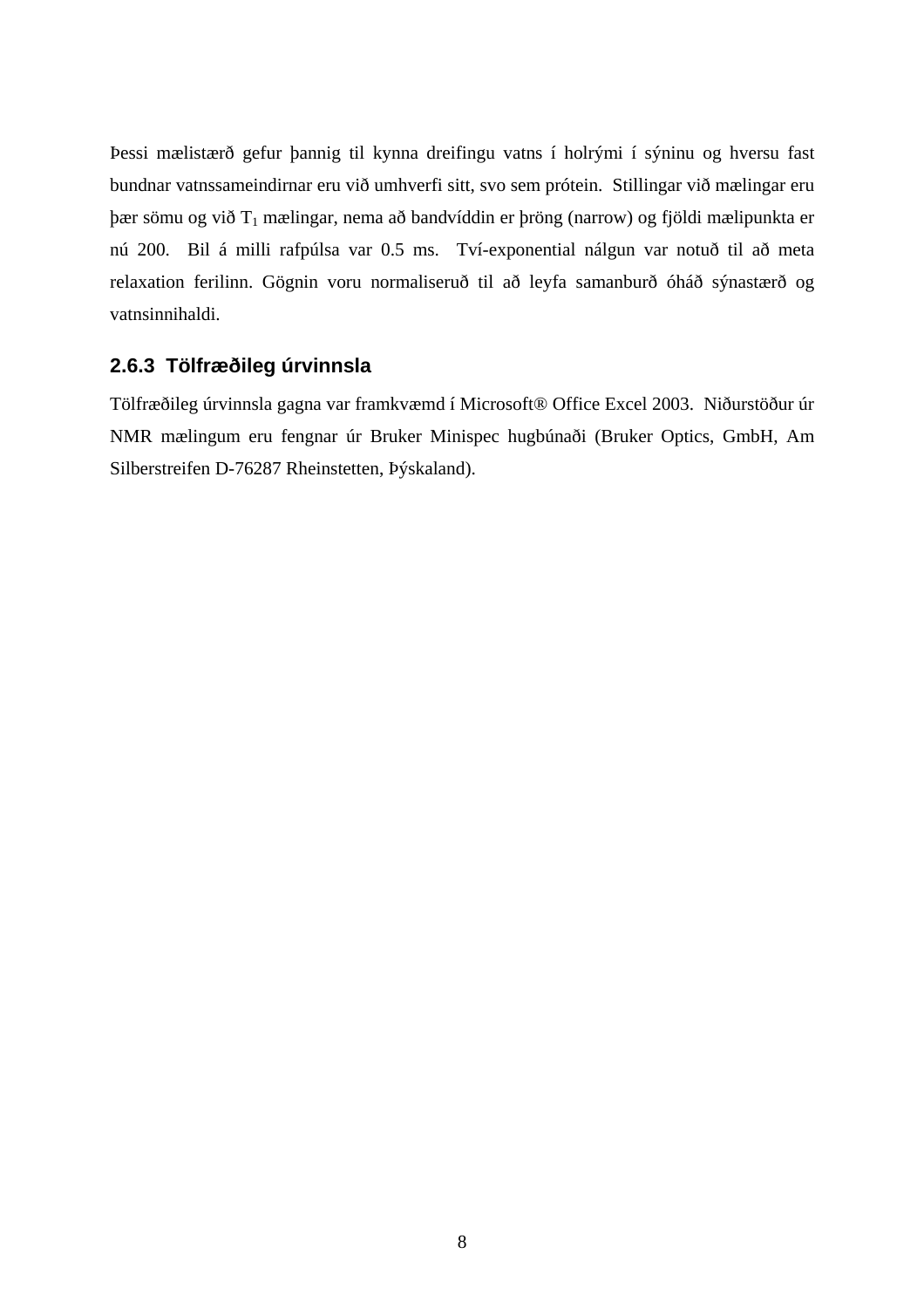Þessi mælistærð gefur þannig til kynna dreifingu vatns í holrými í sýninu og hversu fast bundnar vatnssameindirnar eru við umhverfi sitt, svo sem prótein. Stillingar við mælingar eru  $\beta$ ær sömu og við T<sub>1</sub> mælingar, nema að bandvíddin er þröng (narrow) og fjöldi mælipunkta er nú 200. Bil á milli rafpúlsa var 0.5 ms. Tví-exponential nálgun var notuð til að meta relaxation ferilinn. Gögnin voru normaliseruð til að leyfa samanburð óháð sýnastærð og vatnsinnihaldi.

### **2.6.3 Tölfræðileg úrvinnsla**

Tölfræðileg úrvinnsla gagna var framkvæmd í Microsoft® Office Excel 2003. Niðurstöður úr NMR mælingum eru fengnar úr Bruker Minispec hugbúnaði (Bruker Optics, GmbH, Am Silberstreifen D-76287 Rheinstetten, Þýskaland).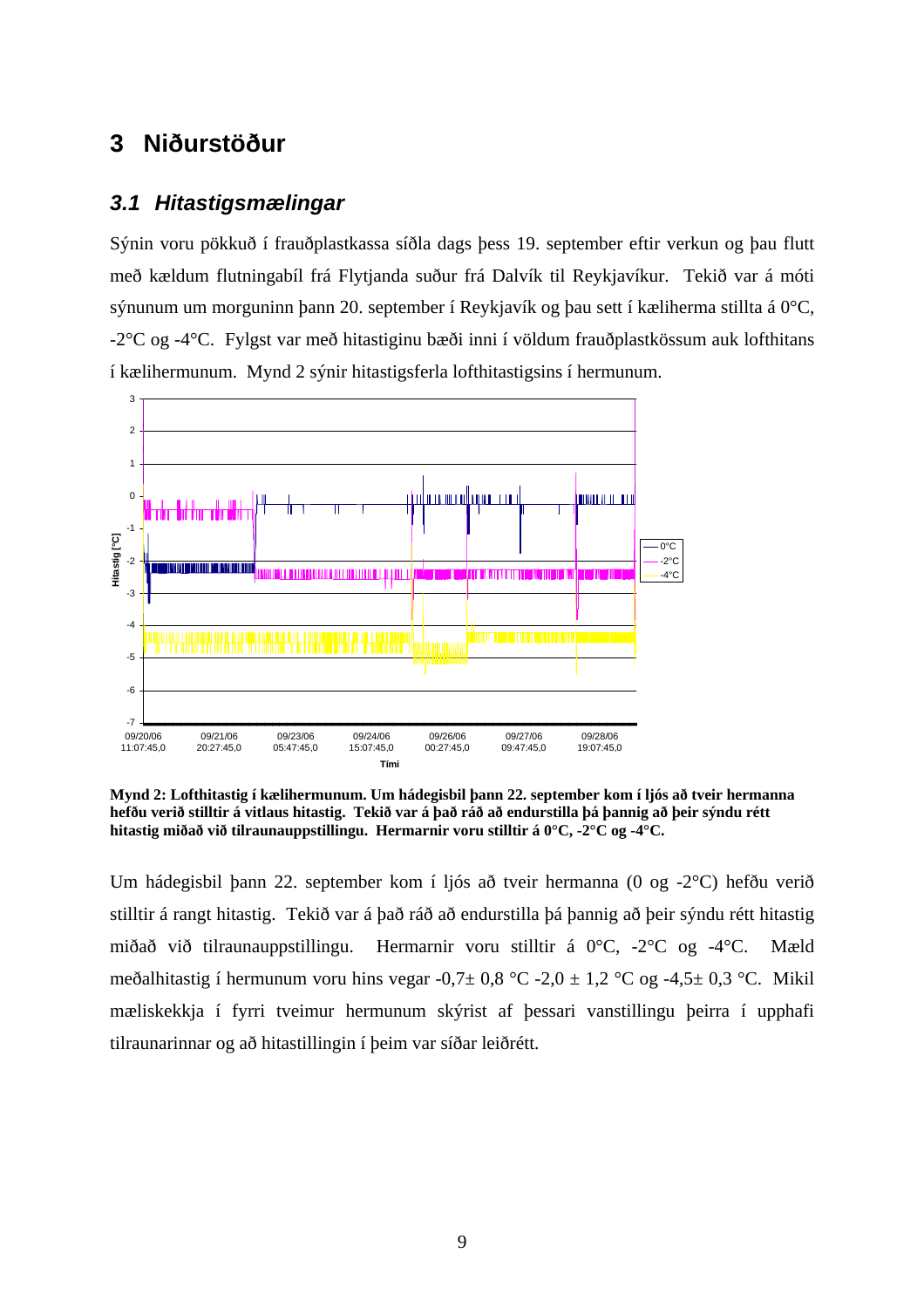### **3 Niðurstöður**

#### *3.1 Hitastigsmælingar*

Sýnin voru pökkuð í frauðplastkassa síðla dags þess 19. september eftir verkun og þau flutt með kældum flutningabíl frá Flytjanda suður frá Dalvík til Reykjavíkur. Tekið var á móti sýnunum um morguninn þann 20. september í Reykjavík og þau sett í kæliherma stillta á 0°C, -2°C og -4°C. Fylgst var með hitastiginu bæði inni í völdum frauðplastkössum auk lofthitans í kælihermunum. Mynd 2 sýnir hitastigsferla lofthitastigsins í hermunum.



**Mynd 2: Lofthitastig í kælihermunum. Um hádegisbil þann 22. september kom í ljós að tveir hermanna hefðu verið stilltir á vitlaus hitastig. Tekið var á það ráð að endurstilla þá þannig að þeir sýndu rétt hitastig miðað við tilraunauppstillingu. Hermarnir voru stilltir á 0°C, -2°C og -4°C.** 

Um hádegisbil þann 22. september kom í ljós að tveir hermanna (0 og -2°C) hefðu verið stilltir á rangt hitastig. Tekið var á það ráð að endurstilla þá þannig að þeir sýndu rétt hitastig miðað við tilraunauppstillingu. Hermarnir voru stilltir á 0°C, -2°C og -4°C. Mæld meðalhitastig í hermunum voru hins vegar -0,7 $\pm$  0,8 °C -2,0 $\pm$  1,2 °C og -4,5 $\pm$  0,3 °C. Mikil mæliskekkja í fyrri tveimur hermunum skýrist af þessari vanstillingu þeirra í upphafi tilraunarinnar og að hitastillingin í þeim var síðar leiðrétt.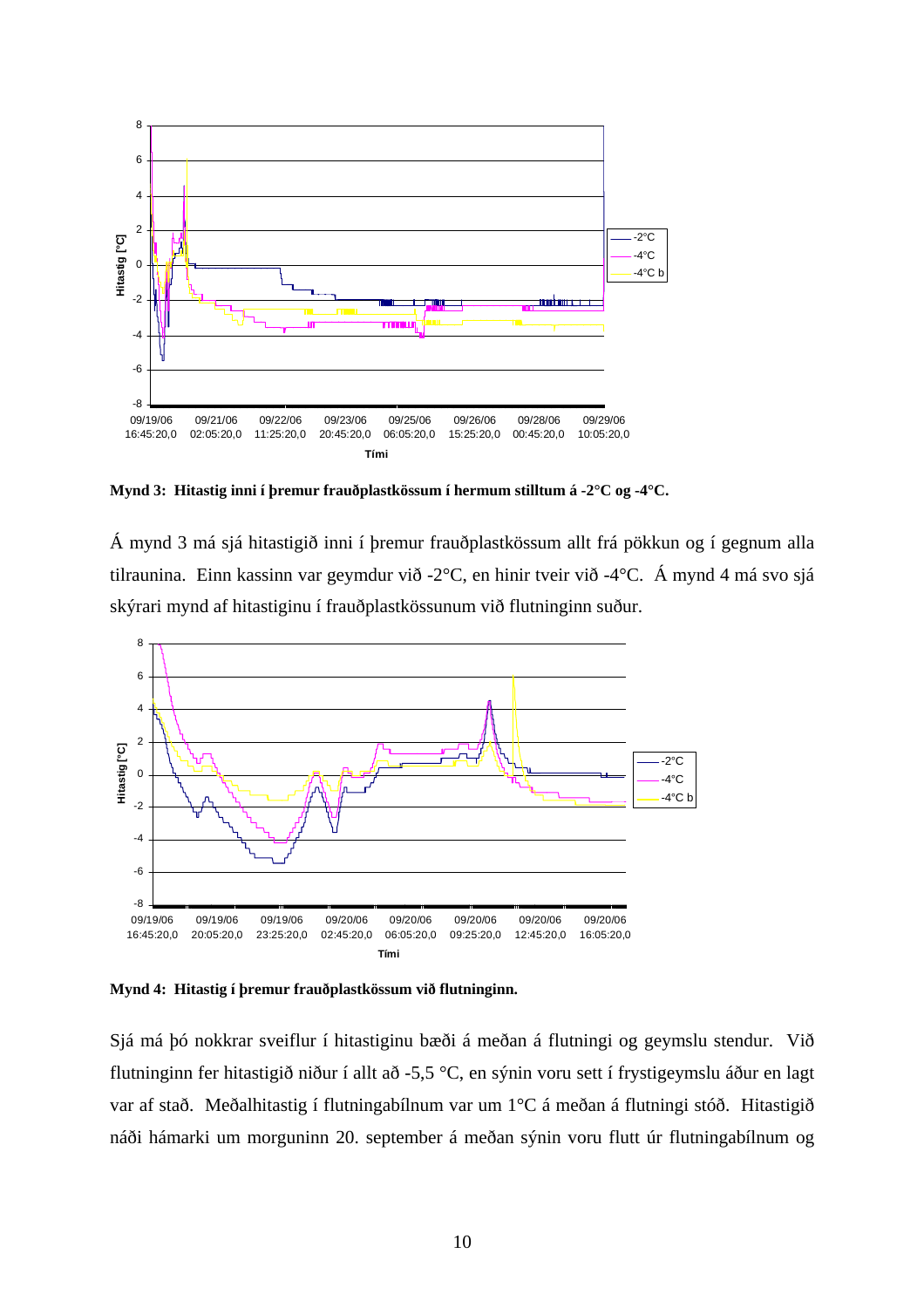

**Mynd 3: Hitastig inni í þremur frauðplastkössum í hermum stilltum á -2°C og -4°C.** 

Á mynd 3 má sjá hitastigið inni í þremur frauðplastkössum allt frá pökkun og í gegnum alla tilraunina. Einn kassinn var geymdur við -2°C, en hinir tveir við -4°C. Á mynd 4 má svo sjá skýrari mynd af hitastiginu í frauðplastkössunum við flutninginn suður.



**Mynd 4: Hitastig í þremur frauðplastkössum við flutninginn.** 

Sjá má þó nokkrar sveiflur í hitastiginu bæði á meðan á flutningi og geymslu stendur. Við flutninginn fer hitastigið niður í allt að -5,5 °C, en sýnin voru sett í frystigeymslu áður en lagt var af stað. Meðalhitastig í flutningabílnum var um 1°C á meðan á flutningi stóð. Hitastigið náði hámarki um morguninn 20. september á meðan sýnin voru flutt úr flutningabílnum og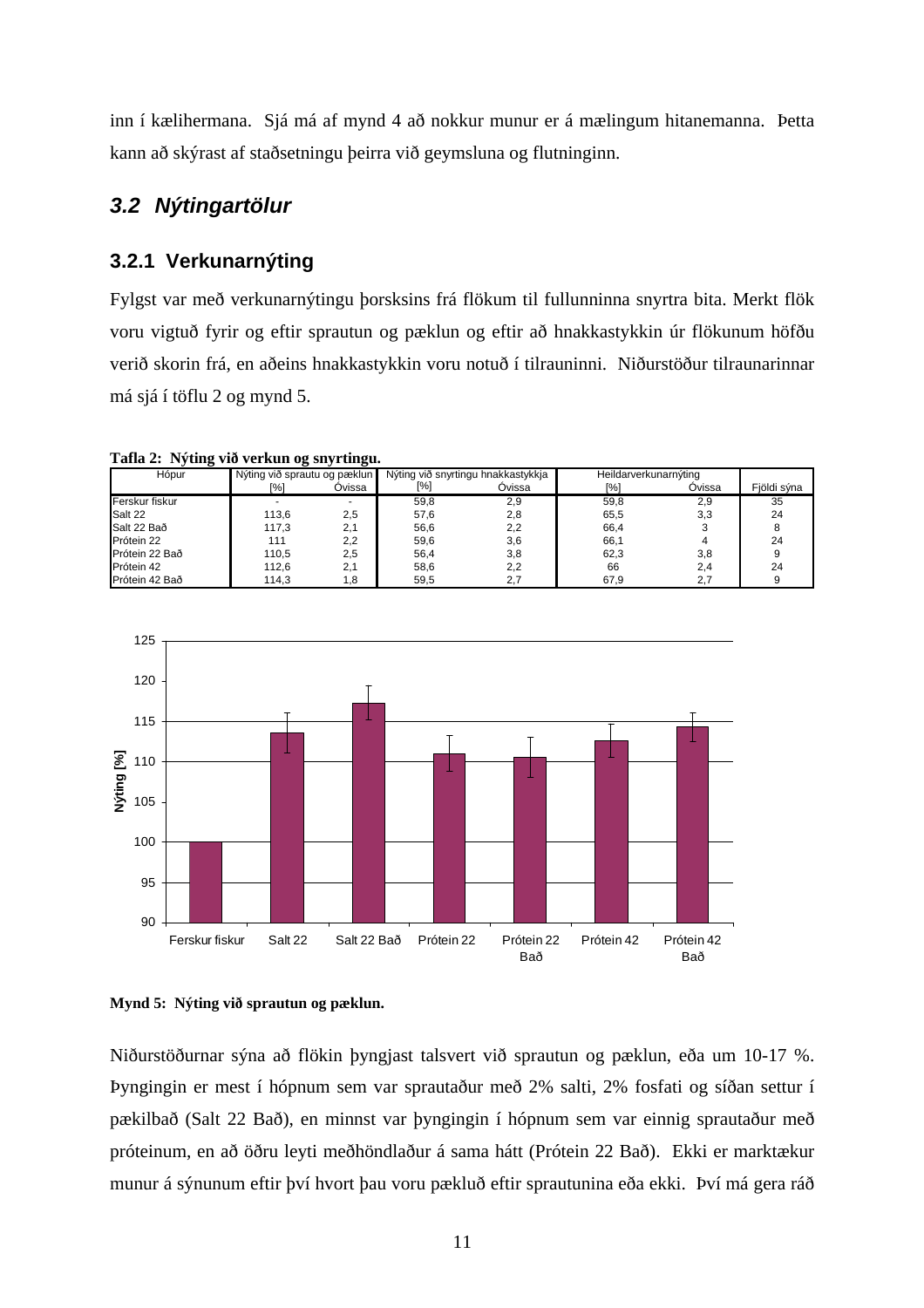inn í kælihermana. Sjá má af mynd 4 að nokkur munur er á mælingum hitanemanna. Þetta kann að skýrast af staðsetningu þeirra við geymsluna og flutninginn.

### *3.2 Nýtingartölur*

#### **3.2.1 Verkunarnýting**

Fylgst var með verkunarnýtingu þorsksins frá flökum til fullunninna snyrtra bita. Merkt flök voru vigtuð fyrir og eftir sprautun og pæklun og eftir að hnakkastykkin úr flökunum höfðu verið skorin frá, en aðeins hnakkastykkin voru notuð í tilrauninni. Niðurstöður tilraunarinnar má sjá í töflu 2 og mynd 5.

**Tafla 2: Nýting við verkun og snyrtingu.** 

| Hópur          | Nýting við sprautu og pæklun |        |      | Nýting við snyrtingu hnakkastykkja | Heildarverkunarnýting |        |             |
|----------------|------------------------------|--------|------|------------------------------------|-----------------------|--------|-------------|
|                | [%]                          | Ovissa | [%]  | Óvissa                             | [%]                   | Ovissa | Fjöldi sýna |
| Ferskur fiskur |                              |        | 59,8 | 2,9                                | 59,8                  | 2,9    | 35          |
| Salt 22        | 113,6                        | 2,5    | 57,6 | 2,8                                | 65,5                  | 3,3    | 24          |
| Salt 22 Bað    | 117,3                        | 2.1    | 56,6 | 2.2                                | 66,4                  |        |             |
| Prótein 22     | 111                          | 2,2    | 59,6 | 3,6                                | 66,1                  |        | 24          |
| Prótein 22 Bað | 110,5                        | 2.5    | 56,4 | 3,8                                | 62,3                  | 3,8    |             |
| Prótein 42     | 112,6                        | 2.1    | 58.6 | 2,2                                | 66                    | 2,4    | 24          |
| Prótein 42 Bað | 114.3                        | 8. ا   | 59.5 |                                    | 67.9                  |        |             |



**Mynd 5: Nýting við sprautun og pæklun.** 

Niðurstöðurnar sýna að flökin þyngjast talsvert við sprautun og pæklun, eða um 10-17 %. Þyngingin er mest í hópnum sem var sprautaður með 2% salti, 2% fosfati og síðan settur í pækilbað (Salt 22 Bað), en minnst var þyngingin í hópnum sem var einnig sprautaður með próteinum, en að öðru leyti meðhöndlaður á sama hátt (Prótein 22 Bað). Ekki er marktækur munur á sýnunum eftir því hvort þau voru pækluð eftir sprautunina eða ekki. Því má gera ráð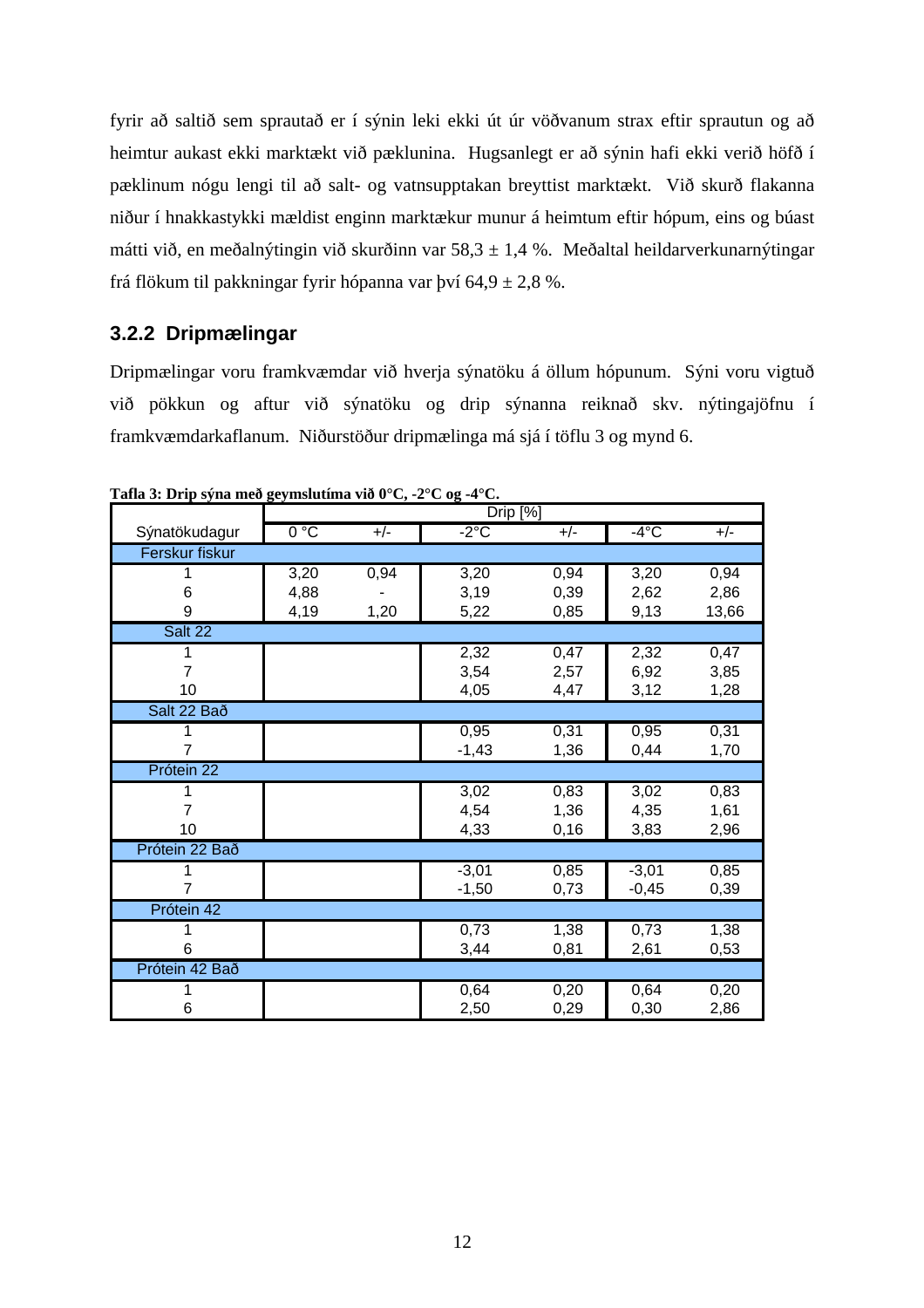fyrir að saltið sem sprautað er í sýnin leki ekki út úr vöðvanum strax eftir sprautun og að heimtur aukast ekki marktækt við pæklunina. Hugsanlegt er að sýnin hafi ekki verið höfð í pæklinum nógu lengi til að salt- og vatnsupptakan breyttist marktækt. Við skurð flakanna niður í hnakkastykki mældist enginn marktækur munur á heimtum eftir hópum, eins og búast mátti við, en meðalnýtingin við skurðinn var 58,3  $\pm$  1,4 %. Meðaltal heildarverkunarnýtingar frá flökum til pakkningar fyrir hópanna var því  $64.9 \pm 2.8$  %.

#### **3.2.2 Dripmælingar**

Dripmælingar voru framkvæmdar við hverja sýnatöku á öllum hópunum. Sýni voru vigtuð við pökkun og aftur við sýnatöku og drip sýnanna reiknað skv. nýtingajöfnu í framkvæmdarkaflanum. Niðurstöður dripmælinga má sjá í töflu 3 og mynd 6.

|                |      |       | Drip [%] |       |         |       |
|----------------|------|-------|----------|-------|---------|-------|
| Sýnatökudagur  | 0°C  | $+/-$ | $-2$ °C  | $+/-$ | $-4$ °C | $+/-$ |
| Ferskur fiskur |      |       |          |       |         |       |
|                | 3,20 | 0,94  | 3,20     | 0,94  | 3,20    | 0,94  |
| 6              | 4,88 |       | 3,19     | 0,39  | 2,62    | 2,86  |
| 9              | 4,19 | 1,20  | 5,22     | 0,85  | 9,13    | 13,66 |
| Salt 22        |      |       |          |       |         |       |
| 1              |      |       | 2,32     | 0,47  | 2,32    | 0,47  |
| 7              |      |       | 3,54     | 2,57  | 6,92    | 3,85  |
| 10             |      |       | 4,05     | 4,47  | 3,12    | 1,28  |
| Salt 22 Bað    |      |       |          |       |         |       |
|                |      |       | 0,95     | 0,31  | 0,95    | 0,31  |
|                |      |       | $-1,43$  | 1,36  | 0,44    | 1,70  |
| Prótein 22     |      |       |          |       |         |       |
| 1              |      |       | 3,02     | 0,83  | 3,02    | 0,83  |
| 7              |      |       | 4,54     | 1,36  | 4,35    | 1,61  |
| 10             |      |       | 4,33     | 0, 16 | 3,83    | 2,96  |
| Prótein 22 Bað |      |       |          |       |         |       |
|                |      |       | $-3,01$  | 0,85  | $-3,01$ | 0,85  |
|                |      |       | $-1,50$  | 0,73  | $-0,45$ | 0,39  |
| Prótein 42     |      |       |          |       |         |       |
|                |      |       | 0,73     | 1,38  | 0,73    | 1,38  |
| 6              |      |       | 3,44     | 0,81  | 2,61    | 0,53  |
| Prótein 42 Bað |      |       |          |       |         |       |
| 1              |      |       | 0,64     | 0,20  | 0,64    | 0,20  |
| 6              |      |       | 2,50     | 0,29  | 0,30    | 2,86  |

**Tafla 3: Drip sýna með geymslutíma við 0°C, -2°C og -4°C.**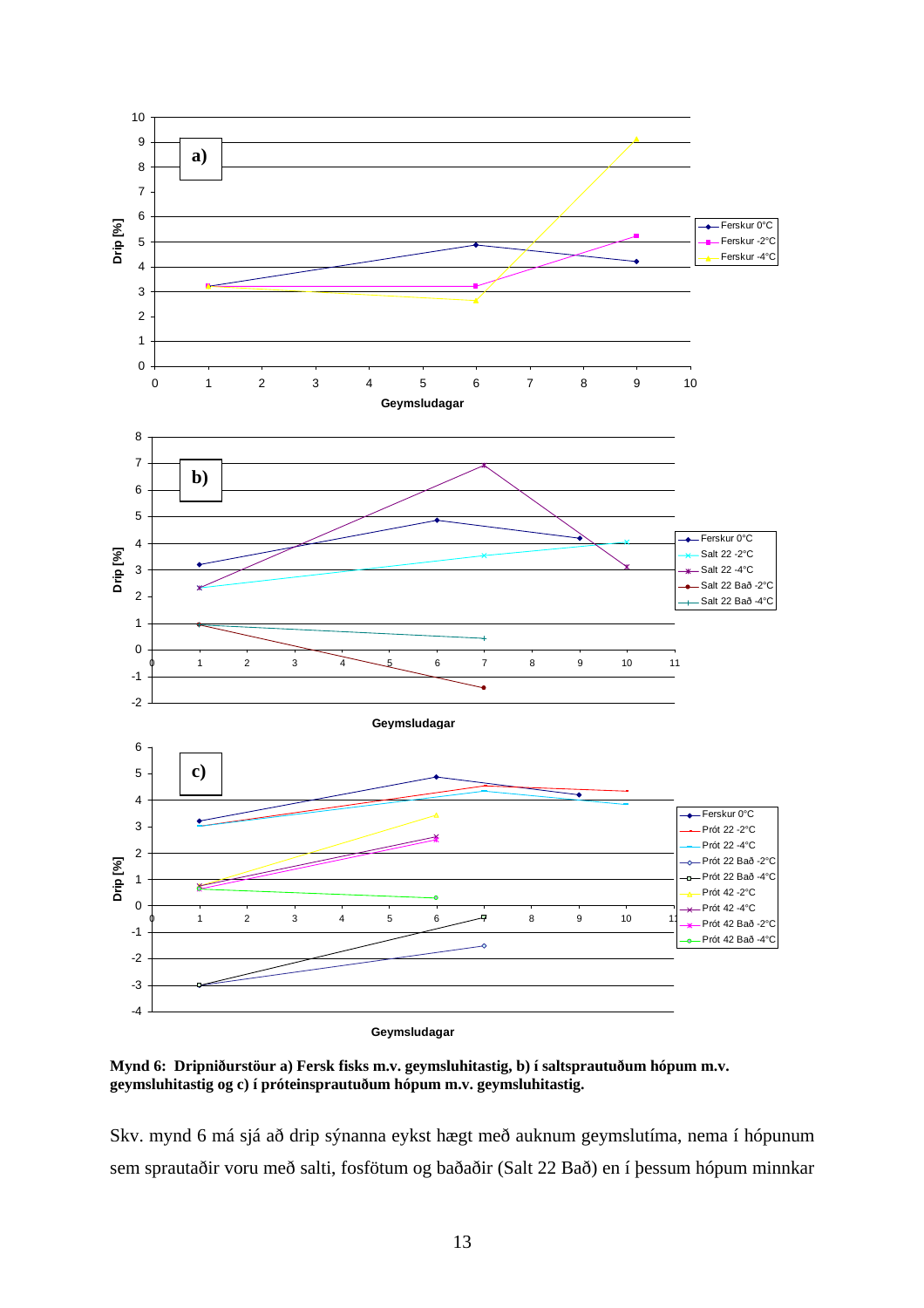

**Mynd 6: Dripniðurstöur a) Fersk fisks m.v. geymsluhitastig, b) í saltsprautuðum hópum m.v. geymsluhitastig og c) í próteinsprautuðum hópum m.v. geymsluhitastig.** 

Skv. mynd 6 má sjá að drip sýnanna eykst hægt með auknum geymslutíma, nema í hópunum sem sprautaðir voru með salti, fosfötum og baðaðir (Salt 22 Bað) en í þessum hópum minnkar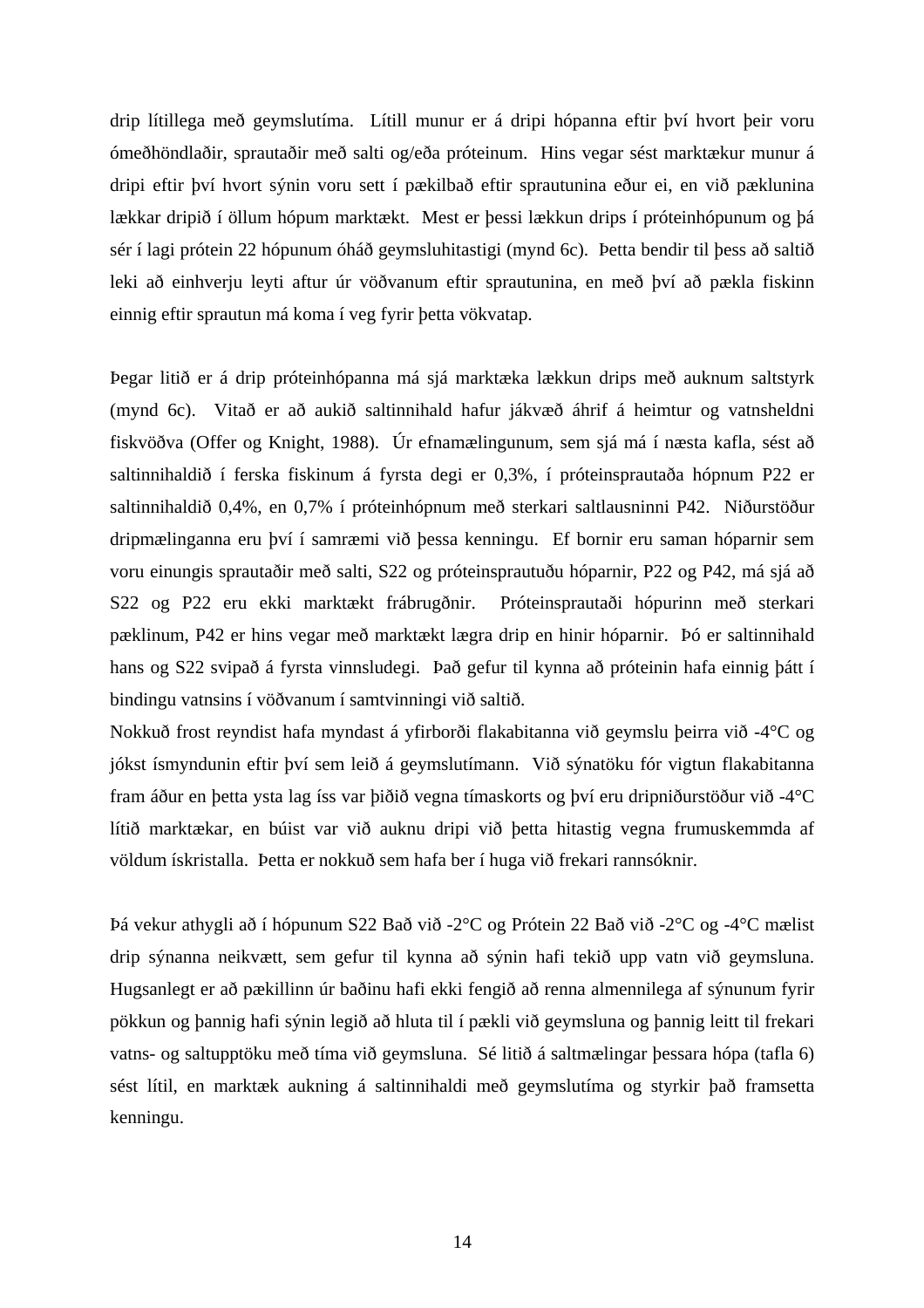drip lítillega með geymslutíma. Lítill munur er á dripi hópanna eftir því hvort þeir voru ómeðhöndlaðir, sprautaðir með salti og/eða próteinum. Hins vegar sést marktækur munur á dripi eftir því hvort sýnin voru sett í pækilbað eftir sprautunina eður ei, en við pæklunina lækkar dripið í öllum hópum marktækt. Mest er þessi lækkun drips í próteinhópunum og þá sér í lagi prótein 22 hópunum óháð geymsluhitastigi (mynd 6c). Þetta bendir til þess að saltið leki að einhverju leyti aftur úr vöðvanum eftir sprautunina, en með því að pækla fiskinn einnig eftir sprautun má koma í veg fyrir þetta vökvatap.

Þegar litið er á drip próteinhópanna má sjá marktæka lækkun drips með auknum saltstyrk (mynd 6c). Vitað er að aukið saltinnihald hafur jákvæð áhrif á heimtur og vatnsheldni fiskvöðva (Offer og Knight, 1988). Úr efnamælingunum, sem sjá má í næsta kafla, sést að saltinnihaldið í ferska fiskinum á fyrsta degi er 0,3%, í próteinsprautaða hópnum P22 er saltinnihaldið 0,4%, en 0,7% í próteinhópnum með sterkari saltlausninni P42. Niðurstöður dripmælinganna eru því í samræmi við þessa kenningu. Ef bornir eru saman hóparnir sem voru einungis sprautaðir með salti, S22 og próteinsprautuðu hóparnir, P22 og P42, má sjá að S22 og P22 eru ekki marktækt frábrugðnir. Próteinsprautaði hópurinn með sterkari pæklinum, P42 er hins vegar með marktækt lægra drip en hinir hóparnir. Þó er saltinnihald hans og S22 svipað á fyrsta vinnsludegi. Það gefur til kynna að próteinin hafa einnig þátt í bindingu vatnsins í vöðvanum í samtvinningi við saltið.

Nokkuð frost reyndist hafa myndast á yfirborði flakabitanna við geymslu þeirra við -4°C og jókst ísmyndunin eftir því sem leið á geymslutímann. Við sýnatöku fór vigtun flakabitanna fram áður en þetta ysta lag íss var þiðið vegna tímaskorts og því eru dripniðurstöður við -4°C lítið marktækar, en búist var við auknu dripi við þetta hitastig vegna frumuskemmda af völdum ískristalla. Þetta er nokkuð sem hafa ber í huga við frekari rannsóknir.

Þá vekur athygli að í hópunum S22 Bað við -2°C og Prótein 22 Bað við -2°C og -4°C mælist drip sýnanna neikvætt, sem gefur til kynna að sýnin hafi tekið upp vatn við geymsluna. Hugsanlegt er að pækillinn úr baðinu hafi ekki fengið að renna almennilega af sýnunum fyrir pökkun og þannig hafi sýnin legið að hluta til í pækli við geymsluna og þannig leitt til frekari vatns- og saltupptöku með tíma við geymsluna. Sé litið á saltmælingar þessara hópa (tafla 6) sést lítil, en marktæk aukning á saltinnihaldi með geymslutíma og styrkir það framsetta kenningu.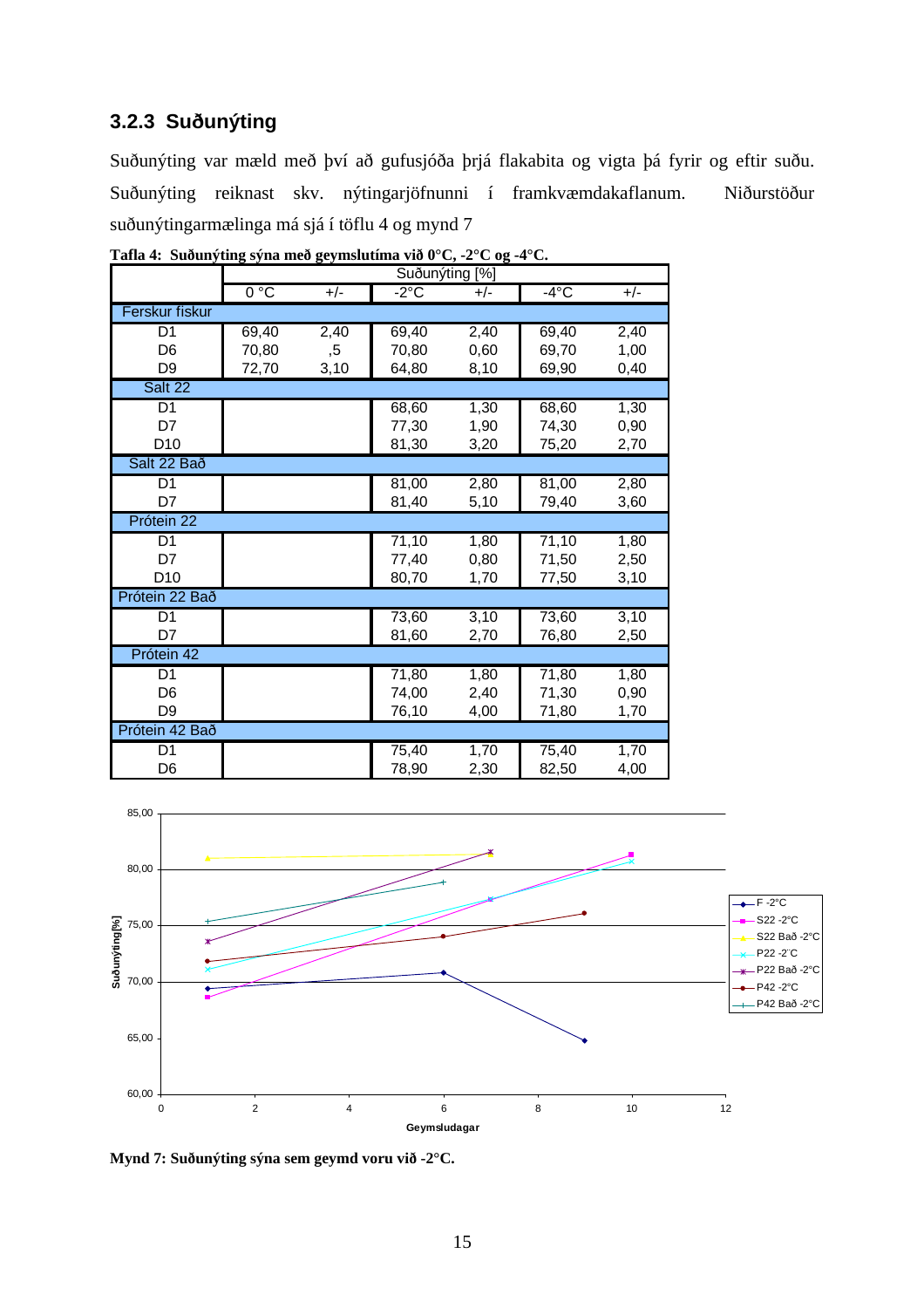### **3.2.3 Suðunýting**

Suðunýting var mæld með því að gufusjóða þrjá flakabita og vigta þá fyrir og eftir suðu. Suðunýting reiknast skv. nýtingarjöfnunni í framkvæmdakaflanum. Niðurstöður suðunýtingarmælinga má sjá í töflu 4 og mynd 7

|                 |       |       | Suðunýting [%] |       |                |       |
|-----------------|-------|-------|----------------|-------|----------------|-------|
|                 | 0°C   | $+/-$ | $-2^{\circ}$ C | $+/-$ | $-4^{\circ}$ C | $+/-$ |
| Ferskur fiskur  |       |       |                |       |                |       |
| D <sub>1</sub>  | 69,40 | 2,40  | 69,40          | 2,40  | 69,40          | 2,40  |
| D <sub>6</sub>  | 70,80 | ,5    | 70,80          | 0,60  | 69,70          | 1,00  |
| D <sub>9</sub>  | 72,70 | 3,10  | 64,80          | 8,10  | 69,90          | 0,40  |
| Salt 22         |       |       |                |       |                |       |
| D <sub>1</sub>  |       |       | 68,60          | 1,30  | 68,60          | 1,30  |
| D7              |       |       | 77,30          | 1,90  | 74,30          | 0,90  |
| D <sub>10</sub> |       |       | 81,30          | 3,20  | 75,20          | 2,70  |
| Salt 22 Bað     |       |       |                |       |                |       |
| D <sub>1</sub>  |       |       | 81,00          | 2,80  | 81,00          | 2,80  |
| D7              |       |       | 81,40          | 5,10  | 79,40          | 3,60  |
| Prótein 22      |       |       |                |       |                |       |
| D <sub>1</sub>  |       |       | 71,10          | 1,80  | 71,10          | 1,80  |
| D7              |       |       | 77,40          | 0,80  | 71,50          | 2,50  |
| D <sub>10</sub> |       |       | 80,70          | 1,70  | 77,50          | 3,10  |
| Prótein 22 Bað  |       |       |                |       |                |       |
| D <sub>1</sub>  |       |       | 73,60          | 3,10  | 73,60          | 3,10  |
| D7              |       |       | 81,60          | 2,70  | 76,80          | 2,50  |
| Prótein 42      |       |       |                |       |                |       |
| D1              |       |       | 71,80          | 1,80  | 71,80          | 1,80  |
| D <sub>6</sub>  |       |       | 74,00          | 2,40  | 71,30          | 0,90  |
| D <sub>9</sub>  |       |       | 76,10          | 4,00  | 71,80          | 1,70  |
| Prótein 42 Bað  |       |       |                |       |                |       |
| D <sub>1</sub>  |       |       | 75,40          | 1,70  | 75,40          | 1,70  |
| D <sub>6</sub>  |       |       | 78,90          | 2,30  | 82,50          | 4,00  |

**Tafla 4: Suðunýting sýna með geymslutíma við 0°C, -2°C og -4°C.** 



**Mynd 7: Suðunýting sýna sem geymd voru við -2°C.**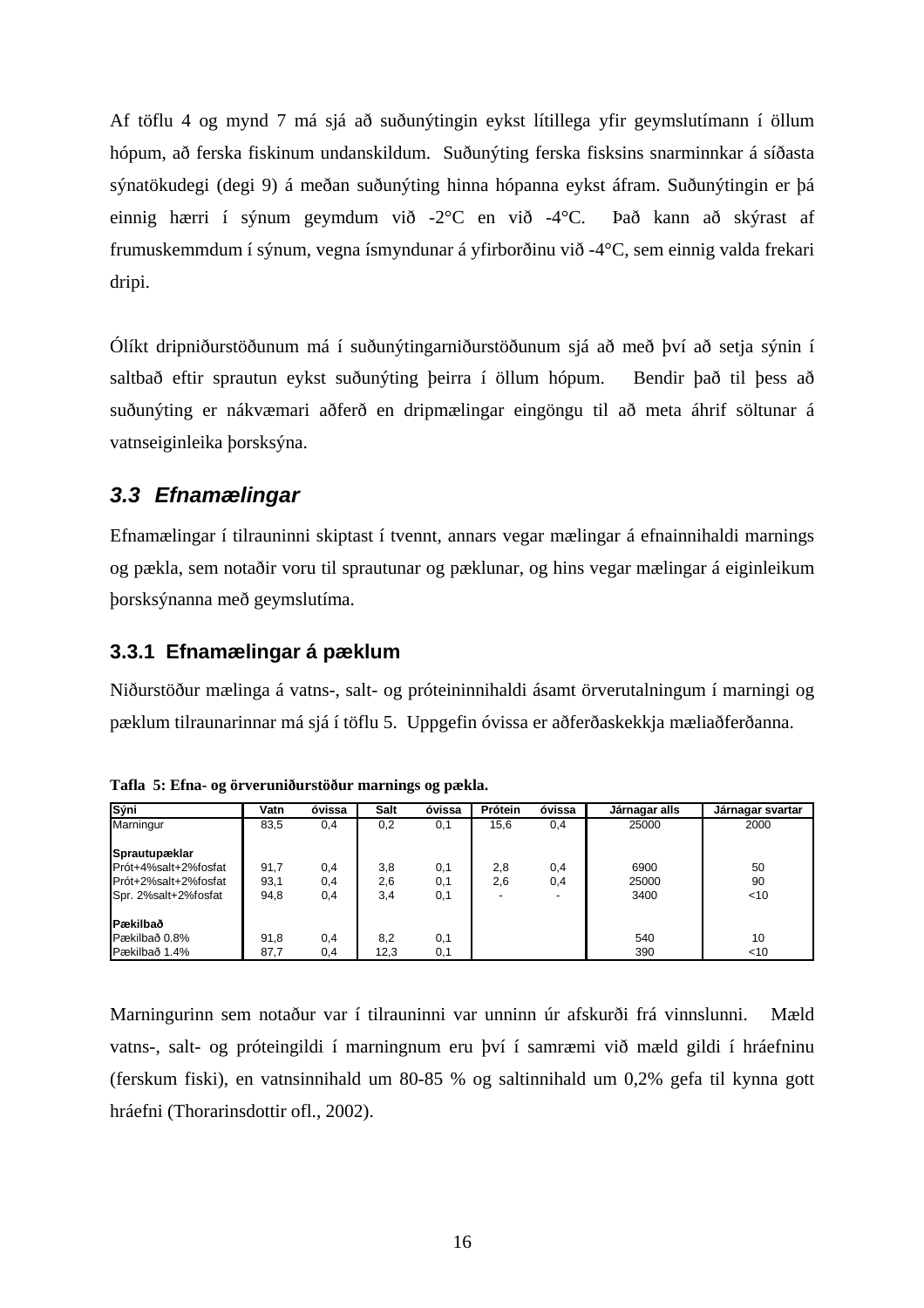Af töflu 4 og mynd 7 má sjá að suðunýtingin eykst lítillega yfir geymslutímann í öllum hópum, að ferska fiskinum undanskildum. Suðunýting ferska fisksins snarminnkar á síðasta sýnatökudegi (degi 9) á meðan suðunýting hinna hópanna eykst áfram. Suðunýtingin er þá einnig hærri í sýnum geymdum við -2°C en við -4°C. Það kann að skýrast af frumuskemmdum í sýnum, vegna ísmyndunar á yfirborðinu við -4°C, sem einnig valda frekari dripi.

Ólíkt dripniðurstöðunum má í suðunýtingarniðurstöðunum sjá að með því að setja sýnin í saltbað eftir sprautun eykst suðunýting þeirra í öllum hópum. Bendir það til þess að suðunýting er nákvæmari aðferð en dripmælingar eingöngu til að meta áhrif söltunar á vatnseiginleika þorsksýna.

### *3.3 Efnamælingar*

Efnamælingar í tilrauninni skiptast í tvennt, annars vegar mælingar á efnainnihaldi marnings og pækla, sem notaðir voru til sprautunar og pæklunar, og hins vegar mælingar á eiginleikum þorsksýnanna með geymslutíma.

### **3.3.1 Efnamælingar á pæklum**

Niðurstöður mælinga á vatns-, salt- og próteininnihaldi ásamt örverutalningum í marningi og pæklum tilraunarinnar má sjá í töflu 5. Uppgefin óvissa er aðferðaskekkja mæliaðferðanna.

| Sýni                                                                                  | Vatn                 | óvissa            | <b>Salt</b>       | óvissa            | Prótein    | óvissa     | Járnagar alls         | Járnagar svartar   |
|---------------------------------------------------------------------------------------|----------------------|-------------------|-------------------|-------------------|------------|------------|-----------------------|--------------------|
| Marningur                                                                             | 83,5                 | 0,4               | 0,2               | 0,1               | 15,6       | 0,4        | 25000                 | 2000               |
| Sprautupæklar<br>Prót+4%salt+2%fosfat<br>Prót+2%salt+2%fosfat<br>Spr. 2%salt+2%fosfat | 91,7<br>93,1<br>94,8 | 0.4<br>0,4<br>0,4 | 3,8<br>2,6<br>3,4 | 0,1<br>0,1<br>0,1 | 2,8<br>2,6 | 0,4<br>0,4 | 6900<br>25000<br>3400 | 50<br>90<br>$<$ 10 |
| Pækilbað<br>Pækilbað 0.8%<br>Pækilbað 1.4%                                            | 91.8<br>87,7         | 0.4<br>0,4        | 8,2<br>12,3       | 0,1<br>0,1        |            |            | 540<br>390            | 10<br>$<$ 10       |

|  |  |  | Tafla 5: Efna- og örveruniðurstöður marnings og pækla. |  |
|--|--|--|--------------------------------------------------------|--|
|  |  |  |                                                        |  |

Marningurinn sem notaður var í tilrauninni var unninn úr afskurði frá vinnslunni. Mæld vatns-, salt- og próteingildi í marningnum eru því í samræmi við mæld gildi í hráefninu (ferskum fiski), en vatnsinnihald um 80-85 % og saltinnihald um 0,2% gefa til kynna gott hráefni (Thorarinsdottir ofl., 2002).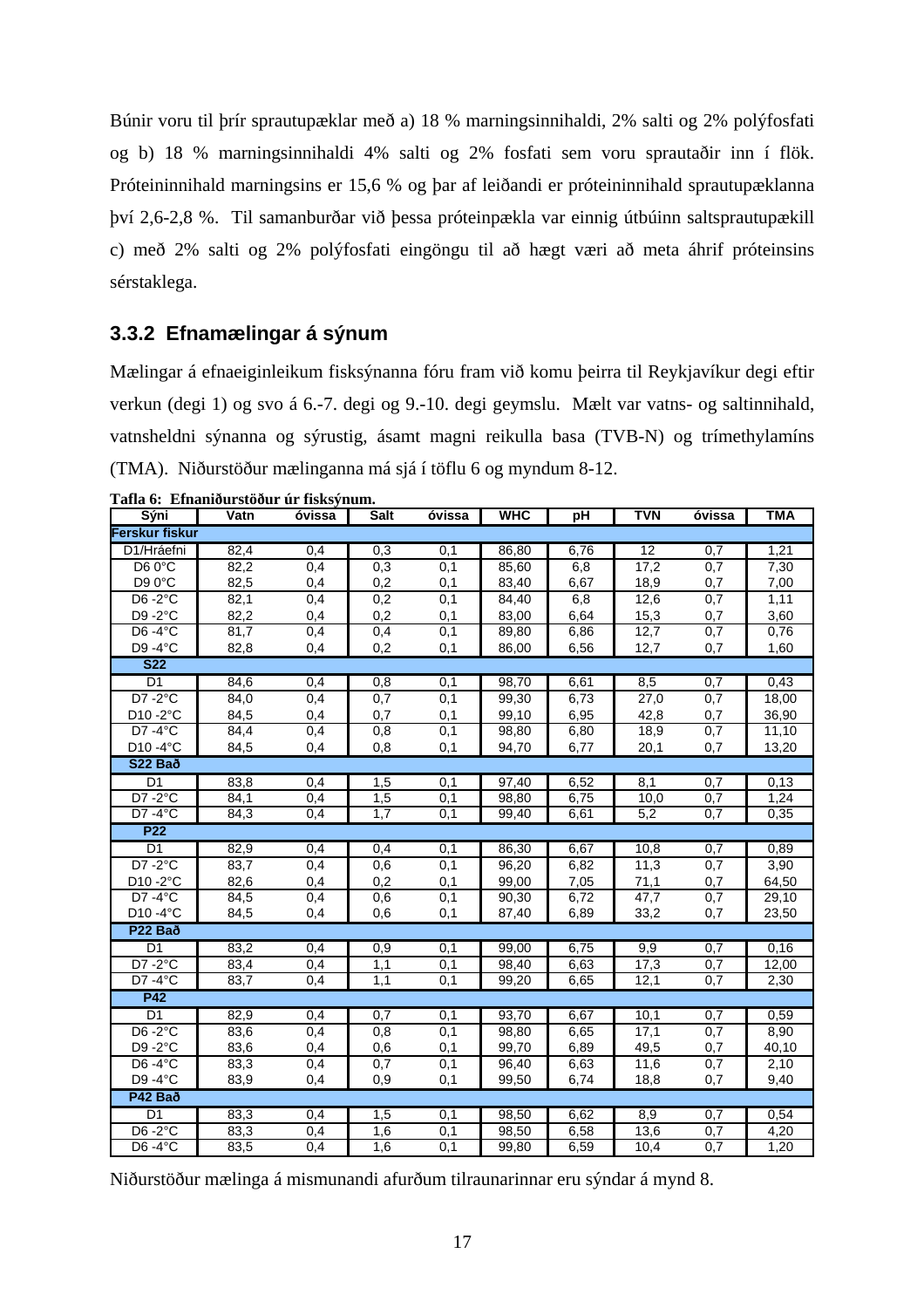Búnir voru til þrír sprautupæklar með a) 18 % marningsinnihaldi, 2% salti og 2% polýfosfati og b) 18 % marningsinnihaldi 4% salti og 2% fosfati sem voru sprautaðir inn í flök. Próteininnihald marningsins er 15,6 % og þar af leiðandi er próteininnihald sprautupæklanna því 2,6-2,8 %. Til samanburðar við þessa próteinpækla var einnig útbúinn saltsprautupækill c) með 2% salti og 2% polýfosfati eingöngu til að hægt væri að meta áhrif próteinsins sérstaklega.

### **3.3.2 Efnamælingar á sýnum**

Mælingar á efnaeiginleikum fisksýnanna fóru fram við komu þeirra til Reykjavíkur degi eftir verkun (degi 1) og svo á 6.-7. degi og 9.-10. degi geymslu. Mælt var vatns- og saltinnihald, vatnsheldni sýnanna og sýrustig, ásamt magni reikulla basa (TVB-N) og trímethylamíns (TMA). Niðurstöður mælinganna má sjá í töflu 6 og myndum 8-12.

|  | Tafla 6: Efnaniðurstöður úr fisksýnum. |  |  |
|--|----------------------------------------|--|--|
|--|----------------------------------------|--|--|

| тана v.   енданюці stovui   ш.  нэкзупшы. |      |        |             |                  |            |      |                 |                  |            |
|-------------------------------------------|------|--------|-------------|------------------|------------|------|-----------------|------------------|------------|
| Sýni                                      | Vatn | óvissa | <b>Salt</b> | óvissa           | <b>WHC</b> | pH   | <b>TVN</b>      | óvissa           | <b>TMA</b> |
| Ferskur fiskur                            |      |        |             |                  |            |      |                 |                  |            |
| D1/Hráefni                                | 82,4 | 0,4    | 0,3         | 0,1              | 86,80      | 6,76 | $\overline{12}$ | 0,7              | 1,21       |
| D6 0°C                                    | 82,2 | 0,4    | 0,3         | 0,1              | 85,60      | 6,8  | 17,2            | 0,7              | 7,30       |
| D90°C                                     | 82,5 | 0,4    | 0,2         | 0,1              | 83,40      | 6,67 | 18,9            | 0,7              | 7,00       |
| $D6 - 2°C$                                | 82,1 | 0,4    | 0,2         | 0,1              | 84,40      | 6,8  | 12,6            | 0,7              | 1,11       |
| D9-2°C                                    | 82,2 | 0,4    | 0,2         | 0,1              | 83,00      | 6,64 | 15,3            | 0,7              | 3,60       |
| D6 $-4^{\circ}$ C                         | 81,7 | 0,4    | 0,4         | 0,1              | 89,80      | 6,86 | 12,7            | 0,7              | 0,76       |
| D9-4°C                                    | 82,8 | 0,4    | 0,2         | 0,1              | 86,00      | 6,56 | 12,7            | 0,7              | 1,60       |
| S <sub>22</sub>                           |      |        |             |                  |            |      |                 |                  |            |
| $\overline{D1}$                           | 84,6 | 0,4    | 0,8         | 0,1              | 98,70      | 6,61 | 8,5             | 0,7              | 0,43       |
| $D7 - 2°C$                                | 84,0 | 0,4    | 0,7         | 0,1              | 99,30      | 6,73 | 27,0            | 0,7              | 18,00      |
| D10-2°C                                   | 84,5 | 0,4    | 0,7         | 0,1              | 99,10      | 6,95 | 42,8            | 0,7              | 36,90      |
| D7 -4°C                                   | 84,4 | 0,4    | 0,8         | 0,1              | 98,80      | 6,80 | 18,9            | 0,7              | 11,10      |
| D10 -4°C                                  | 84,5 | 0,4    | 0,8         | 0,1              | 94,70      | 6,77 | 20,1            | 0,7              | 13,20      |
| S22 Bað                                   |      |        |             |                  |            |      |                 |                  |            |
| D1                                        | 83,8 | 0,4    | 1,5         | 0,1              | 97,40      | 6,52 | 8,1             | 0,7              | 0,13       |
| $D7 - 2°C$                                | 84,1 | 0,4    | 1,5         | 0,1              | 98,80      | 6,75 | 10,0            | 0,7              | 1,24       |
| $D7 - 4°C$                                | 84,3 | 0,4    | 1,7         | 0,1              | 99,40      | 6,61 | 5,2             | 0,7              | 0,35       |
| <b>P22</b>                                |      |        |             |                  |            |      |                 |                  |            |
| D1                                        | 82,9 | 0,4    | 0,4         | 0,1              | 86,30      | 6,67 | 10,8            | 0,7              | 0,89       |
| $D7 - 2°C$                                | 83,7 | 0,4    | 0,6         | 0,1              | 96,20      | 6,82 | 11,3            | 0,7              | 3,90       |
| D10-2°C                                   | 82,6 | 0,4    | 0,2         | 0,1              | 99,00      | 7,05 | 71,1            | 0,7              | 64,50      |
| $D7 - 4°C$                                | 84,5 | 0,4    | 0,6         | $\overline{0,1}$ | 90,30      | 6,72 | 47,7            | 0,7              | 29,10      |
| $D10 - 4$ °C                              | 84,5 | 0,4    | 0,6         | 0,1              | 87,40      | 6,89 | 33,2            | 0,7              | 23,50      |
| P <sub>22</sub> Bað                       |      |        |             |                  |            |      |                 |                  |            |
| D1                                        | 83,2 | 0,4    | 0,9         | 0,1              | 99,00      | 6,75 | 9,9             | 0,7              | 0,16       |
| $D7 - 2°C$                                | 83,4 | 0,4    | 1,1         | 0,1              | 98,40      | 6,63 | 17,3            | 0,7              | 12,00      |
| $D7 - 4°C$                                | 83,7 | 0,4    | 1,1         | 0,1              | 99,20      | 6,65 | 12,1            | 0,7              | 2,30       |
| <b>P42</b>                                |      |        |             |                  |            |      |                 |                  |            |
| D1                                        | 82,9 | 0,4    | 0.7         | 0,1              | 93,70      | 6,67 | 10,1            | 0,7              | 0,59       |
| $D6 - 2°C$                                | 83,6 | 0,4    | 0,8         | 0,1              | 98,80      | 6,65 | 17,1            | 0,7              | 8,90       |
| D9-2°C                                    | 83,6 | 0,4    | 0,6         | 0,1              | 99,70      | 6,89 | 49,5            | 0,7              | 40,10      |
| D6-4°C                                    | 83,3 | 0,4    | 0,7         | 0,1              | 96,40      | 6,63 | 11,6            | 0,7              | 2,10       |
| D9-4°C                                    | 83,9 | 0,4    | 0,9         | 0,1              | 99,50      | 6,74 | 18,8            | 0,7              | 9,40       |
| P42 Bað                                   |      |        |             |                  |            |      |                 |                  |            |
| D1                                        | 83,3 | 0,4    | 1,5         | 0,1              | 98,50      | 6,62 | 8,9             | 0,7              | 0,54       |
| D6 $-2^{\circ}$ C                         | 83,3 | 0,4    | 1,6         | 0,1              | 98,50      | 6,58 | 13,6            | 0,7              | 4,20       |
| $D6 - 4°C$                                | 83,5 | 0,4    | 1,6         | 0,1              | 99,80      | 6,59 | 10,4            | $\overline{0,7}$ | 1,20       |

Niðurstöður mælinga á mismunandi afurðum tilraunarinnar eru sýndar á mynd 8.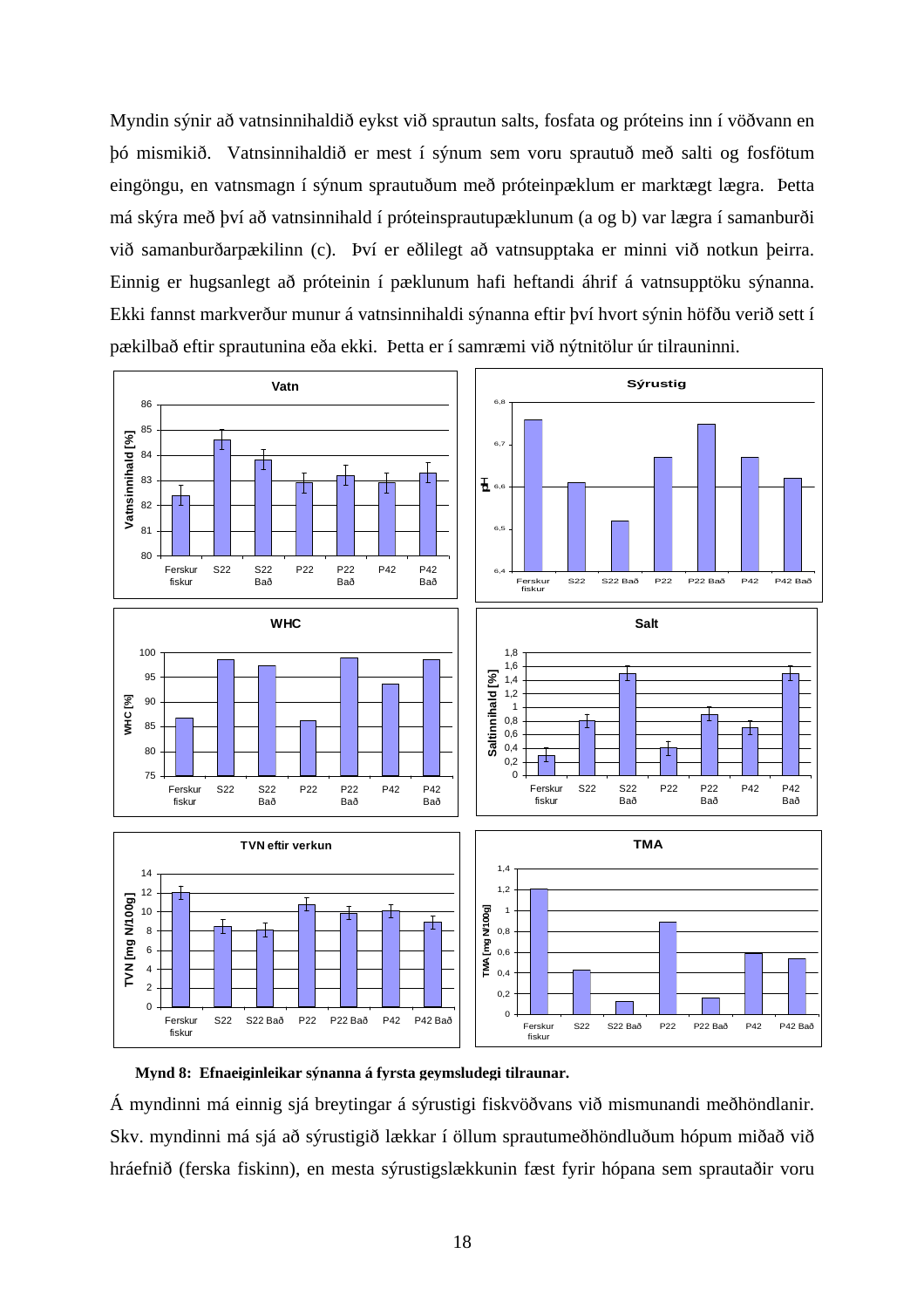Myndin sýnir að vatnsinnihaldið eykst við sprautun salts, fosfata og próteins inn í vöðvann en þó mismikið. Vatnsinnihaldið er mest í sýnum sem voru sprautuð með salti og fosfötum eingöngu, en vatnsmagn í sýnum sprautuðum með próteinpæklum er marktægt lægra. Þetta má skýra með því að vatnsinnihald í próteinsprautupæklunum (a og b) var lægra í samanburði við samanburðarpækilinn (c). Því er eðlilegt að vatnsupptaka er minni við notkun þeirra. Einnig er hugsanlegt að próteinin í pæklunum hafi heftandi áhrif á vatnsupptöku sýnanna. Ekki fannst markverður munur á vatnsinnihaldi sýnanna eftir því hvort sýnin höfðu verið sett í pækilbað eftir sprautunina eða ekki. Þetta er í samræmi við nýtnitölur úr tilrauninni.





Á myndinni má einnig sjá breytingar á sýrustigi fiskvöðvans við mismunandi meðhöndlanir. Skv. myndinni má sjá að sýrustigið lækkar í öllum sprautumeðhöndluðum hópum miðað við hráefnið (ferska fiskinn), en mesta sýrustigslækkunin fæst fyrir hópana sem sprautaðir voru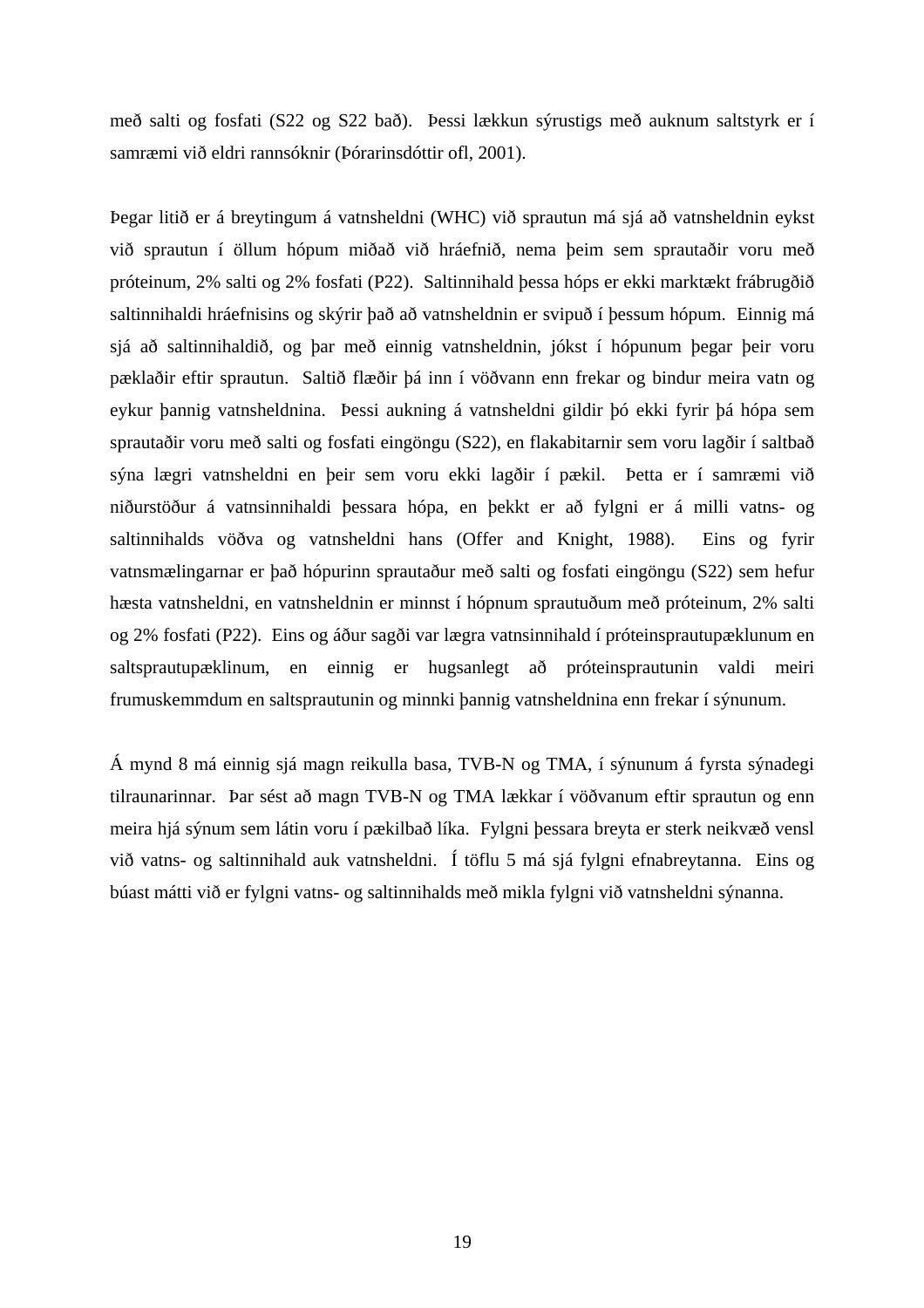með salti og fosfati (S22 og S22 bað). Þessi lækkun sýrustigs með auknum saltstyrk er í samræmi við eldri rannsóknir (Þórarinsdóttir ofl, 2001).

Þegar litið er á breytingum á vatnsheldni (WHC) við sprautun má sjá að vatnsheldnin eykst við sprautun í öllum hópum miðað við hráefnið, nema þeim sem sprautaðir voru með próteinum, 2% salti og 2% fosfati (P22). Saltinnihald þessa hóps er ekki marktækt frábrugðið saltinnihaldi hráefnisins og skýrir það að vatnsheldnin er svipuð í þessum hópum. Einnig má sjá að saltinnihaldið, og þar með einnig vatnsheldnin, jókst í hópunum þegar þeir voru pæklaðir eftir sprautun. Saltið flæðir þá inn í vöðvann enn frekar og bindur meira vatn og eykur þannig vatnsheldnina. Þessi aukning á vatnsheldni gildir þó ekki fyrir þá hópa sem sprautaðir voru með salti og fosfati eingöngu (S22), en flakabitarnir sem voru lagðir í saltbað sýna lægri vatnsheldni en þeir sem voru ekki lagðir í pækil. Þetta er í samræmi við niðurstöður á vatnsinnihaldi þessara hópa, en þekkt er að fylgni er á milli vatns- og saltinnihalds vöðva og vatnsheldni hans (Offer and Knight, 1988). Eins og fyrir vatnsmælingarnar er það hópurinn sprautaður með salti og fosfati eingöngu (S22) sem hefur hæsta vatnsheldni, en vatnsheldnin er minnst í hópnum sprautuðum með próteinum, 2% salti og 2% fosfati (P22). Eins og áður sagði var lægra vatnsinnihald í próteinsprautupæklunum en saltsprautupæklinum, en einnig er hugsanlegt að próteinsprautunin valdi meiri frumuskemmdum en saltsprautunin og minnki þannig vatnsheldnina enn frekar í sýnunum.

Á mynd 8 má einnig sjá magn reikulla basa, TVB-N og TMA, í sýnunum á fyrsta sýnadegi tilraunarinnar. Þar sést að magn TVB-N og TMA lækkar í vöðvanum eftir sprautun og enn meira hjá sýnum sem látin voru í pækilbað líka. Fylgni þessara breyta er sterk neikvæð vensl við vatns- og saltinnihald auk vatnsheldni. Í töflu 5 má sjá fylgni efnabreytanna. Eins og búast mátti við er fylgni vatns- og saltinnihalds með mikla fylgni við vatnsheldni sýnanna.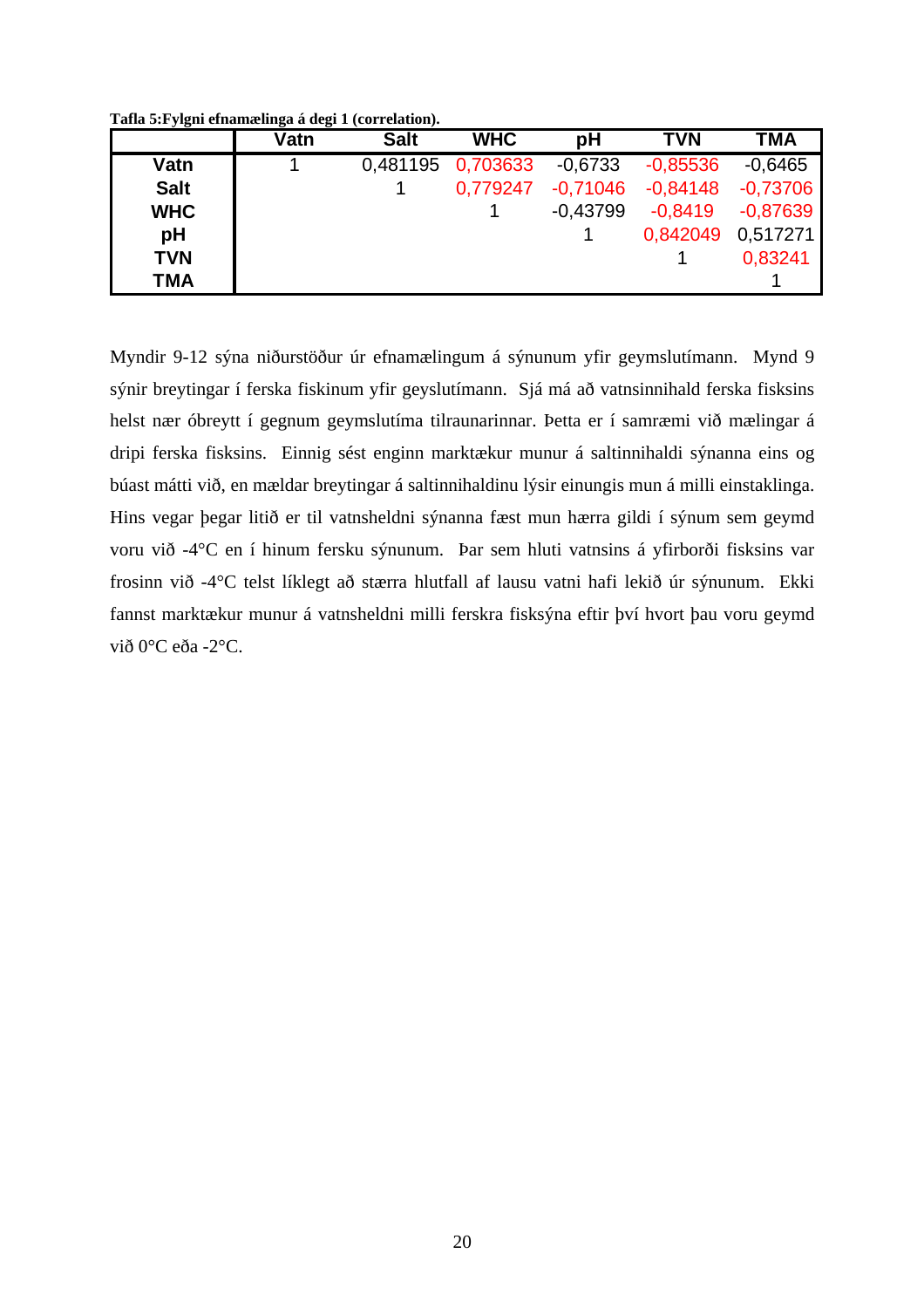**Tafla 5:Fylgni efnamælinga á degi 1 (correlation).** 

|             | Vatn | <b>Salt</b> | <b>WHC</b> | рH         | <b>TVN</b> | <b>TMA</b> |
|-------------|------|-------------|------------|------------|------------|------------|
| Vatn        |      | 0,481195    | 0,703633   | $-0.6733$  | $-0.85536$ | $-0.6465$  |
| <b>Salt</b> |      |             | 0,779247   | $-0,71046$ | $-0.84148$ | $-0.73706$ |
| <b>WHC</b>  |      |             |            | $-0.43799$ | $-0.8419$  | $-0.87639$ |
| pH          |      |             |            |            | 0.842049   | 0.517271   |
| <b>TVN</b>  |      |             |            |            |            | 0.83241    |
| <b>TMA</b>  |      |             |            |            |            |            |

Myndir 9-12 sýna niðurstöður úr efnamælingum á sýnunum yfir geymslutímann. Mynd 9 sýnir breytingar í ferska fiskinum yfir geyslutímann. Sjá má að vatnsinnihald ferska fisksins helst nær óbreytt í gegnum geymslutíma tilraunarinnar. Þetta er í samræmi við mælingar á dripi ferska fisksins. Einnig sést enginn marktækur munur á saltinnihaldi sýnanna eins og búast mátti við, en mældar breytingar á saltinnihaldinu lýsir einungis mun á milli einstaklinga. Hins vegar þegar litið er til vatnsheldni sýnanna fæst mun hærra gildi í sýnum sem geymd voru við -4°C en í hinum fersku sýnunum. Þar sem hluti vatnsins á yfirborði fisksins var frosinn við -4°C telst líklegt að stærra hlutfall af lausu vatni hafi lekið úr sýnunum. Ekki fannst marktækur munur á vatnsheldni milli ferskra fisksýna eftir því hvort þau voru geymd við 0°C eða -2°C.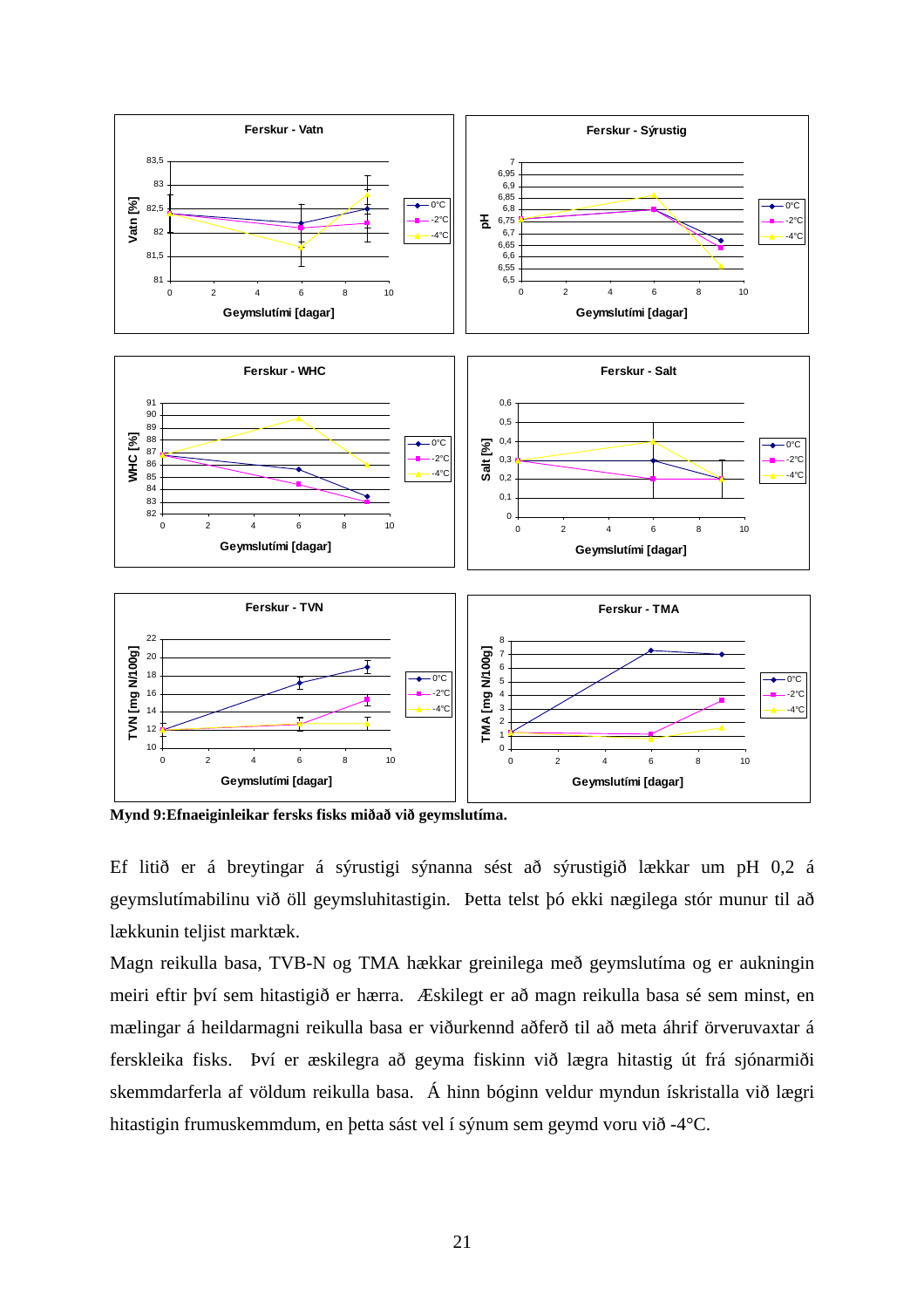

**Mynd 9:Efnaeiginleikar fersks fisks miðað við geymslutíma.** 

Ef litið er á breytingar á sýrustigi sýnanna sést að sýrustigið lækkar um pH 0,2 á geymslutímabilinu við öll geymsluhitastigin. Þetta telst þó ekki nægilega stór munur til að lækkunin teljist marktæk.

Magn reikulla basa, TVB-N og TMA hækkar greinilega með geymslutíma og er aukningin meiri eftir því sem hitastigið er hærra. Æskilegt er að magn reikulla basa sé sem minst, en mælingar á heildarmagni reikulla basa er viðurkennd aðferð til að meta áhrif örveruvaxtar á ferskleika fisks. Því er æskilegra að geyma fiskinn við lægra hitastig út frá sjónarmiði skemmdarferla af völdum reikulla basa. Á hinn bóginn veldur myndun ískristalla við lægri hitastigin frumuskemmdum, en þetta sást vel í sýnum sem geymd voru við -4°C.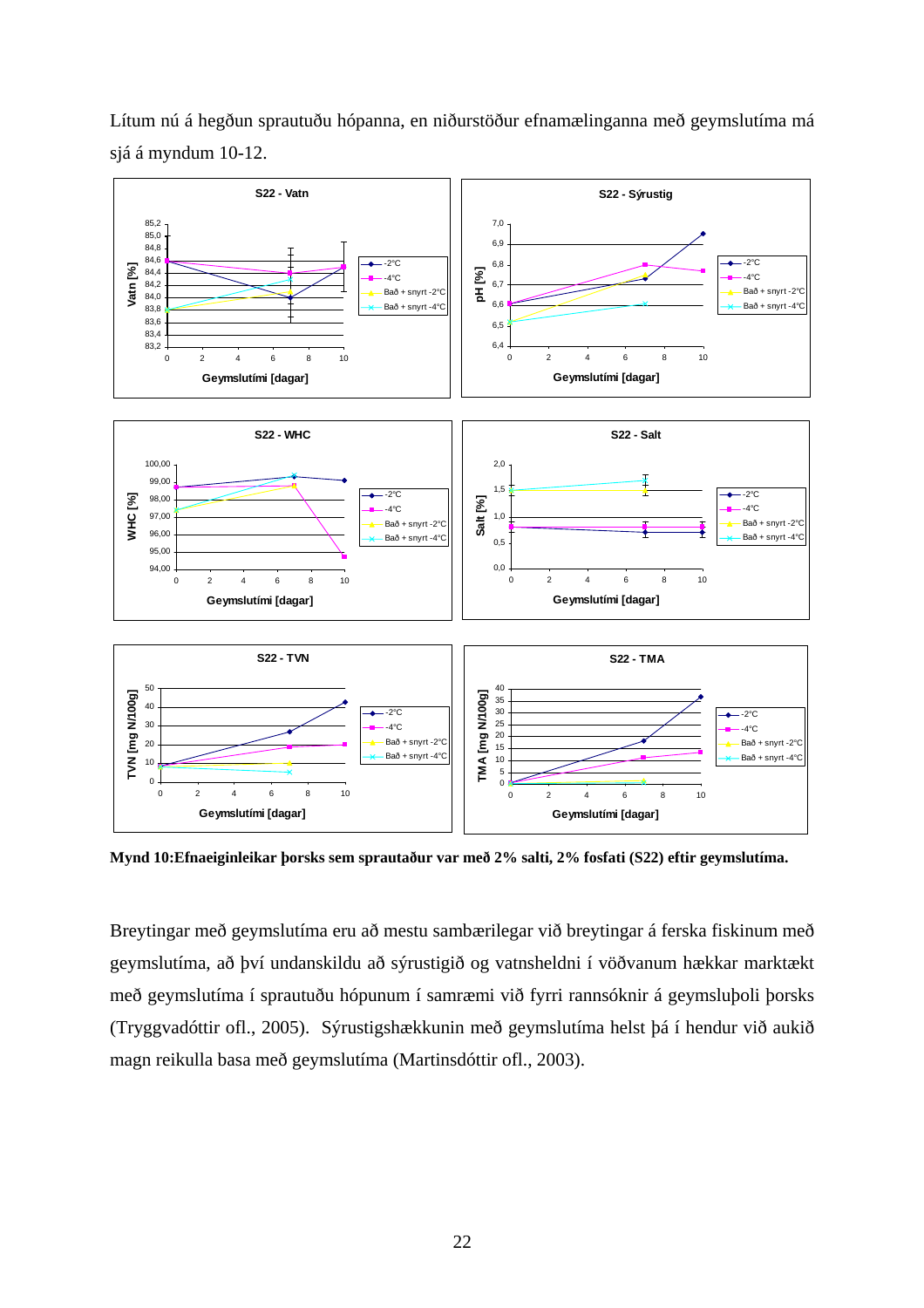

Lítum nú á hegðun sprautuðu hópanna, en niðurstöður efnamælinganna með geymslutíma má sjá á myndum 10-12.

**Mynd 10:Efnaeiginleikar þorsks sem sprautaður var með 2% salti, 2% fosfati (S22) eftir geymslutíma.** 

Breytingar með geymslutíma eru að mestu sambærilegar við breytingar á ferska fiskinum með geymslutíma, að því undanskildu að sýrustigið og vatnsheldni í vöðvanum hækkar marktækt með geymslutíma í sprautuðu hópunum í samræmi við fyrri rannsóknir á geymsluþoli þorsks (Tryggvadóttir ofl., 2005). Sýrustigshækkunin með geymslutíma helst þá í hendur við aukið magn reikulla basa með geymslutíma (Martinsdóttir ofl., 2003).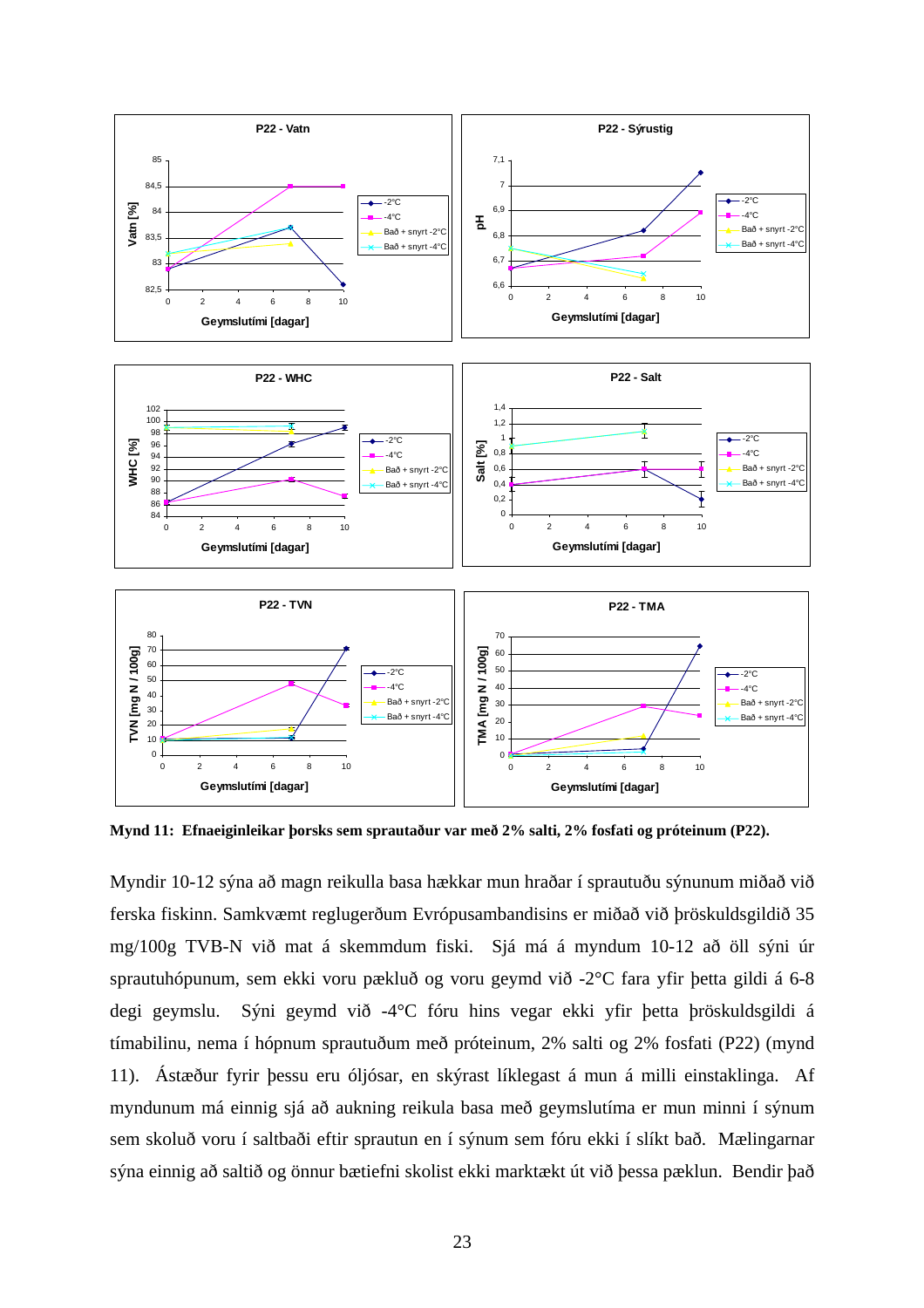

**Mynd 11: Efnaeiginleikar þorsks sem sprautaður var með 2% salti, 2% fosfati og próteinum (P22).** 

Myndir 10-12 sýna að magn reikulla basa hækkar mun hraðar í sprautuðu sýnunum miðað við ferska fiskinn. Samkvæmt reglugerðum Evrópusambandisins er miðað við þröskuldsgildið 35 mg/100g TVB-N við mat á skemmdum fiski. Sjá má á myndum 10-12 að öll sýni úr sprautuhópunum, sem ekki voru pækluð og voru geymd við -2°C fara yfir þetta gildi á 6-8 degi geymslu. Sýni geymd við -4°C fóru hins vegar ekki yfir þetta þröskuldsgildi á tímabilinu, nema í hópnum sprautuðum með próteinum, 2% salti og 2% fosfati (P22) (mynd 11). Ástæður fyrir þessu eru óljósar, en skýrast líklegast á mun á milli einstaklinga. Af myndunum má einnig sjá að aukning reikula basa með geymslutíma er mun minni í sýnum sem skoluð voru í saltbaði eftir sprautun en í sýnum sem fóru ekki í slíkt bað. Mælingarnar sýna einnig að saltið og önnur bætiefni skolist ekki marktækt út við þessa pæklun. Bendir það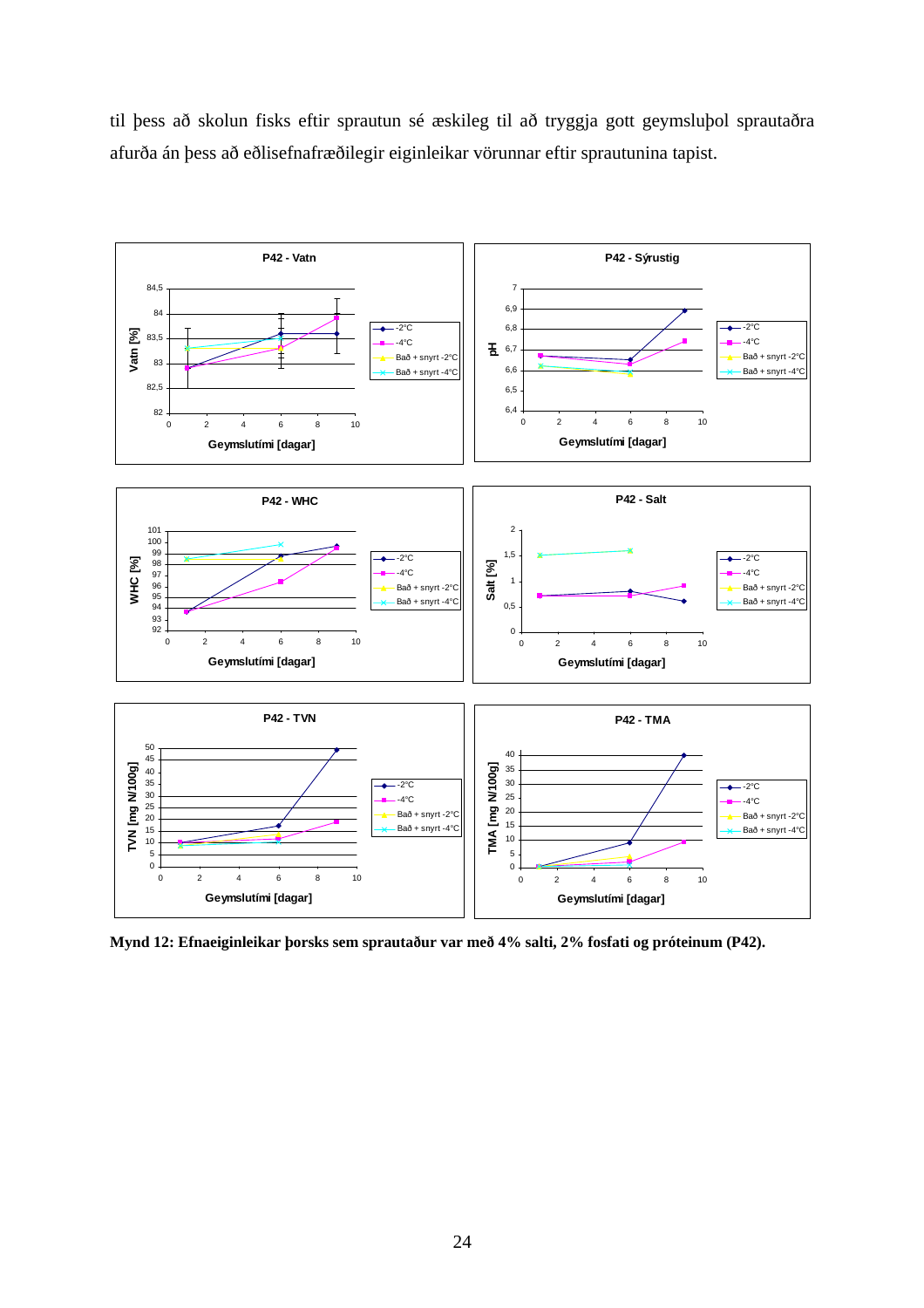til þess að skolun fisks eftir sprautun sé æskileg til að tryggja gott geymsluþol sprautaðra afurða án þess að eðlisefnafræðilegir eiginleikar vörunnar eftir sprautunina tapist.



**Mynd 12: Efnaeiginleikar þorsks sem sprautaður var með 4% salti, 2% fosfati og próteinum (P42).**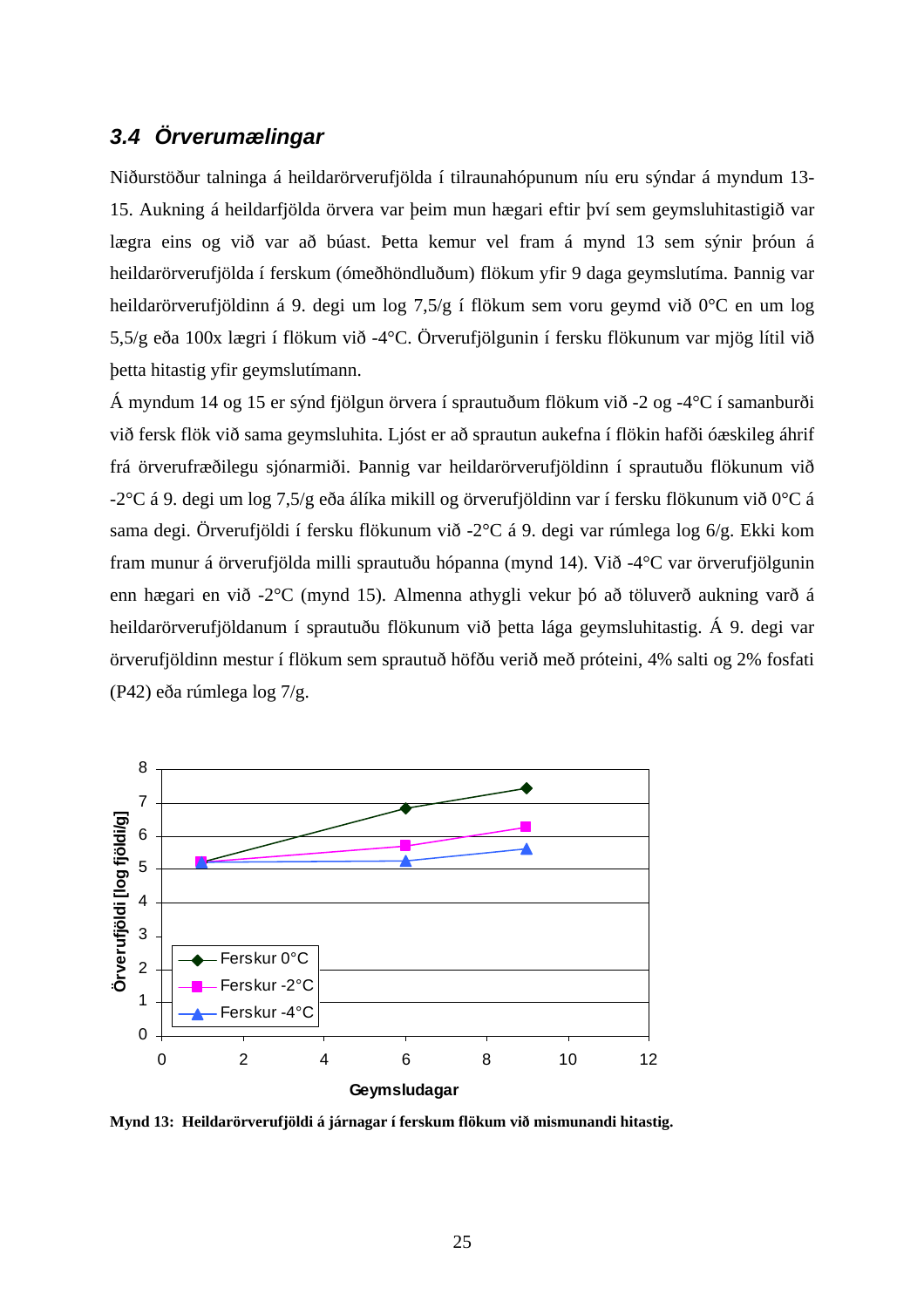### *3.4 Örverumælingar*

Niðurstöður talninga á heildarörverufjölda í tilraunahópunum níu eru sýndar á myndum 13- 15. Aukning á heildarfjölda örvera var þeim mun hægari eftir því sem geymsluhitastigið var lægra eins og við var að búast. Þetta kemur vel fram á mynd 13 sem sýnir þróun á heildarörverufjölda í ferskum (ómeðhöndluðum) flökum yfir 9 daga geymslutíma. Þannig var heildarörverufjöldinn á 9. degi um log 7,5/g í flökum sem voru geymd við 0°C en um log 5,5/g eða 100x lægri í flökum við -4°C. Örverufjölgunin í fersku flökunum var mjög lítil við þetta hitastig yfir geymslutímann.

Á myndum 14 og 15 er sýnd fjölgun örvera í sprautuðum flökum við -2 og -4°C í samanburði við fersk flök við sama geymsluhita. Ljóst er að sprautun aukefna í flökin hafði óæskileg áhrif frá örverufræðilegu sjónarmiði. Þannig var heildarörverufjöldinn í sprautuðu flökunum við -2°C á 9. degi um log 7,5/g eða álíka mikill og örverufjöldinn var í fersku flökunum við 0°C á sama degi. Örverufjöldi í fersku flökunum við -2°C á 9. degi var rúmlega log 6/g. Ekki kom fram munur á örverufjölda milli sprautuðu hópanna (mynd 14). Við -4°C var örverufjölgunin enn hægari en við -2°C (mynd 15). Almenna athygli vekur þó að töluverð aukning varð á heildarörverufjöldanum í sprautuðu flökunum við þetta lága geymsluhitastig. Á 9. degi var örverufjöldinn mestur í flökum sem sprautuð höfðu verið með próteini, 4% salti og 2% fosfati (P42) eða rúmlega log 7/g.



**Mynd 13: Heildarörverufjöldi á járnagar í ferskum flökum við mismunandi hitastig.**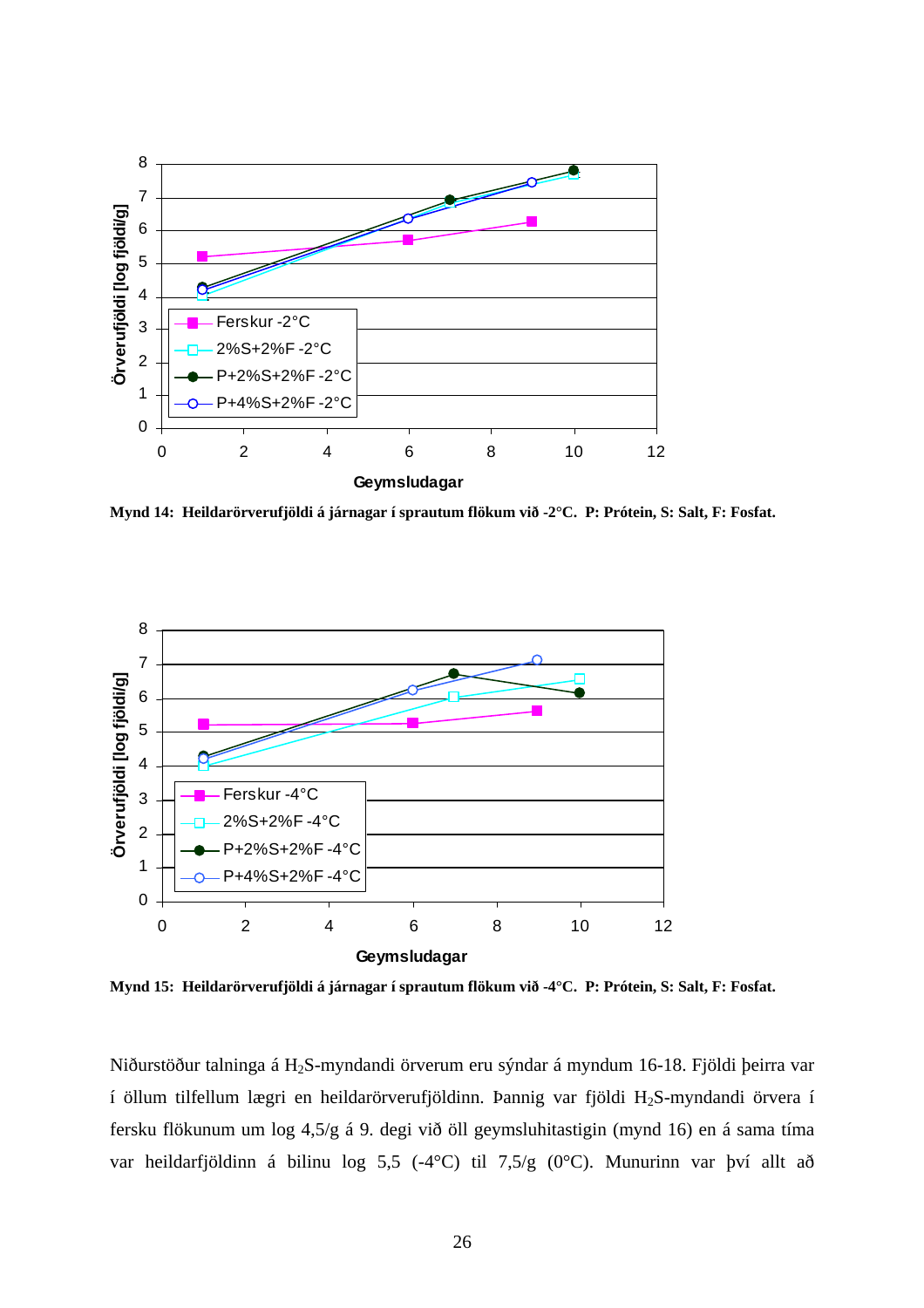

**Mynd 14: Heildarörverufjöldi á járnagar í sprautum flökum við -2°C. P: Prótein, S: Salt, F: Fosfat.** 



**Mynd 15: Heildarörverufjöldi á járnagar í sprautum flökum við -4°C. P: Prótein, S: Salt, F: Fosfat.** 

Niðurstöður talninga á H2S-myndandi örverum eru sýndar á myndum 16-18. Fjöldi þeirra var í öllum tilfellum lægri en heildarörverufjöldinn. Þannig var fjöldi H2S-myndandi örvera í fersku flökunum um log 4,5/g á 9. degi við öll geymsluhitastigin (mynd 16) en á sama tíma var heildarfjöldinn á bilinu log 5,5 (-4°C) til 7,5/g (0°C). Munurinn var því allt að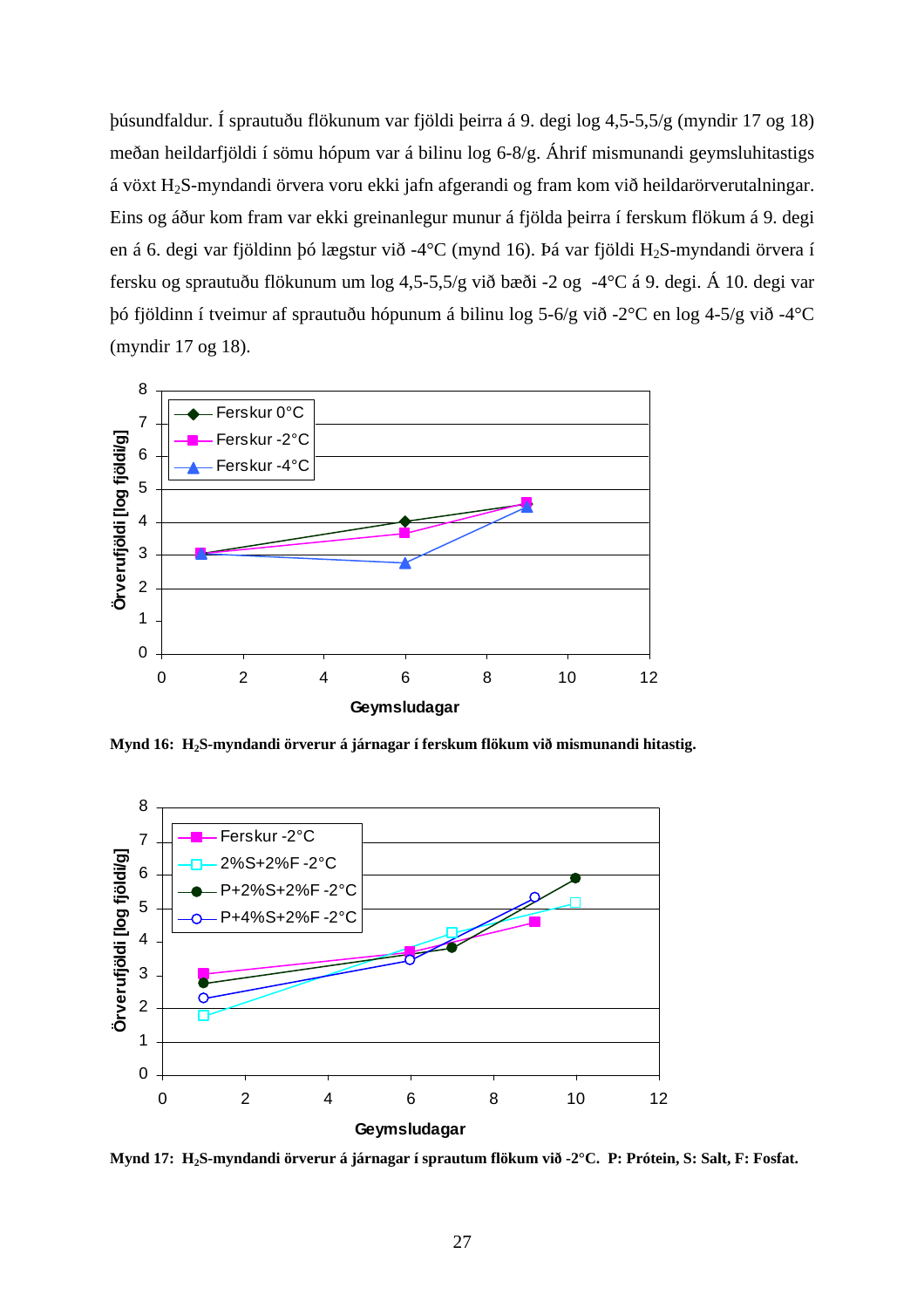þúsundfaldur. Í sprautuðu flökunum var fjöldi þeirra á 9. degi log 4,5-5,5/g (myndir 17 og 18) meðan heildarfjöldi í sömu hópum var á bilinu log 6-8/g. Áhrif mismunandi geymsluhitastigs á vöxt H2S-myndandi örvera voru ekki jafn afgerandi og fram kom við heildarörverutalningar. Eins og áður kom fram var ekki greinanlegur munur á fjölda þeirra í ferskum flökum á 9. degi en á 6. degi var fjöldinn þó lægstur við -4°C (mynd 16). Þá var fjöldi H<sub>2</sub>S-myndandi örvera í fersku og sprautuðu flökunum um log 4,5-5,5/g við bæði -2 og -4°C á 9. degi. Á 10. degi var þó fjöldinn í tveimur af sprautuðu hópunum á bilinu log 5-6/g við -2°C en log 4-5/g við -4°C (myndir 17 og 18).



**Mynd 16: H2S-myndandi örverur á járnagar í ferskum flökum við mismunandi hitastig.** 



**Mynd 17: H2S-myndandi örverur á járnagar í sprautum flökum við -2°C. P: Prótein, S: Salt, F: Fosfat.**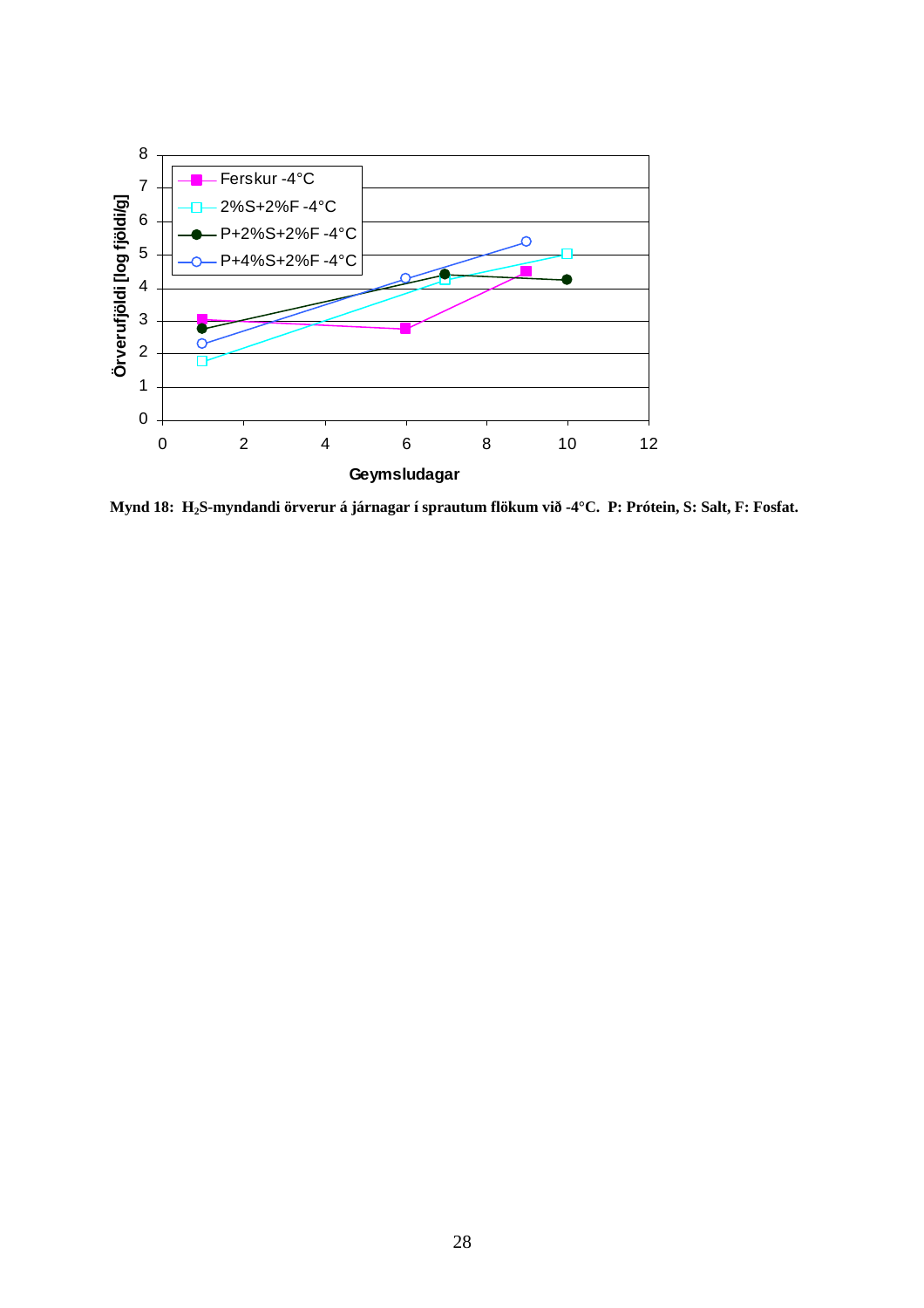

**Mynd 18: H2S-myndandi örverur á járnagar í sprautum flökum við -4°C. P: Prótein, S: Salt, F: Fosfat.**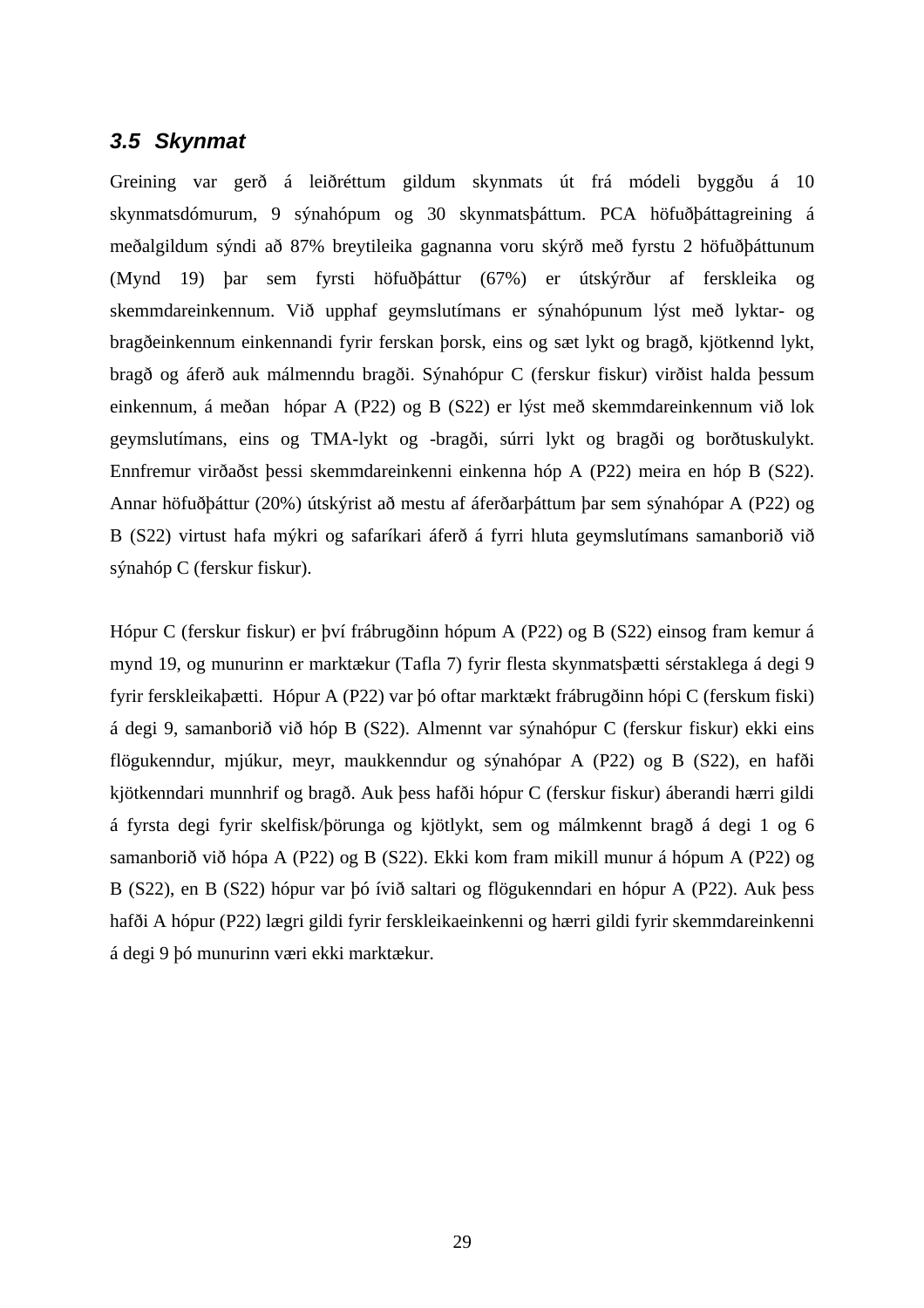### *3.5 Skynmat*

Greining var gerð á leiðréttum gildum skynmats út frá módeli byggðu á 10 skynmatsdómurum, 9 sýnahópum og 30 skynmatsþáttum. PCA höfuðþáttagreining á meðalgildum sýndi að 87% breytileika gagnanna voru skýrð með fyrstu 2 höfuðþáttunum (Mynd 19) þar sem fyrsti höfuðþáttur (67%) er útskýrður af ferskleika og skemmdareinkennum. Við upphaf geymslutímans er sýnahópunum lýst með lyktar- og bragðeinkennum einkennandi fyrir ferskan þorsk, eins og sæt lykt og bragð, kjötkennd lykt, bragð og áferð auk málmenndu bragði. Sýnahópur C (ferskur fiskur) virðist halda þessum einkennum, á meðan hópar A (P22) og B (S22) er lýst með skemmdareinkennum við lok geymslutímans, eins og TMA-lykt og -bragði, súrri lykt og bragði og borðtuskulykt. Ennfremur virðaðst þessi skemmdareinkenni einkenna hóp A (P22) meira en hóp B (S22). Annar höfuðþáttur (20%) útskýrist að mestu af áferðarþáttum þar sem sýnahópar A (P22) og B (S22) virtust hafa mýkri og safaríkari áferð á fyrri hluta geymslutímans samanborið við sýnahóp C (ferskur fiskur).

Hópur C (ferskur fiskur) er því frábrugðinn hópum A (P22) og B (S22) einsog fram kemur á mynd 19, og munurinn er marktækur (Tafla 7) fyrir flesta skynmatsþætti sérstaklega á degi 9 fyrir ferskleikaþætti. Hópur A (P22) var þó oftar marktækt frábrugðinn hópi C (ferskum fiski) á degi 9, samanborið við hóp B (S22). Almennt var sýnahópur C (ferskur fiskur) ekki eins flögukenndur, mjúkur, meyr, maukkenndur og sýnahópar A (P22) og B (S22), en hafði kjötkenndari munnhrif og bragð. Auk þess hafði hópur C (ferskur fiskur) áberandi hærri gildi á fyrsta degi fyrir skelfisk/þörunga og kjötlykt, sem og málmkennt bragð á degi 1 og 6 samanborið við hópa A (P22) og B (S22). Ekki kom fram mikill munur á hópum A (P22) og B (S22), en B (S22) hópur var þó ívið saltari og flögukenndari en hópur A (P22). Auk þess hafði A hópur (P22) lægri gildi fyrir ferskleikaeinkenni og hærri gildi fyrir skemmdareinkenni á degi 9 þó munurinn væri ekki marktækur.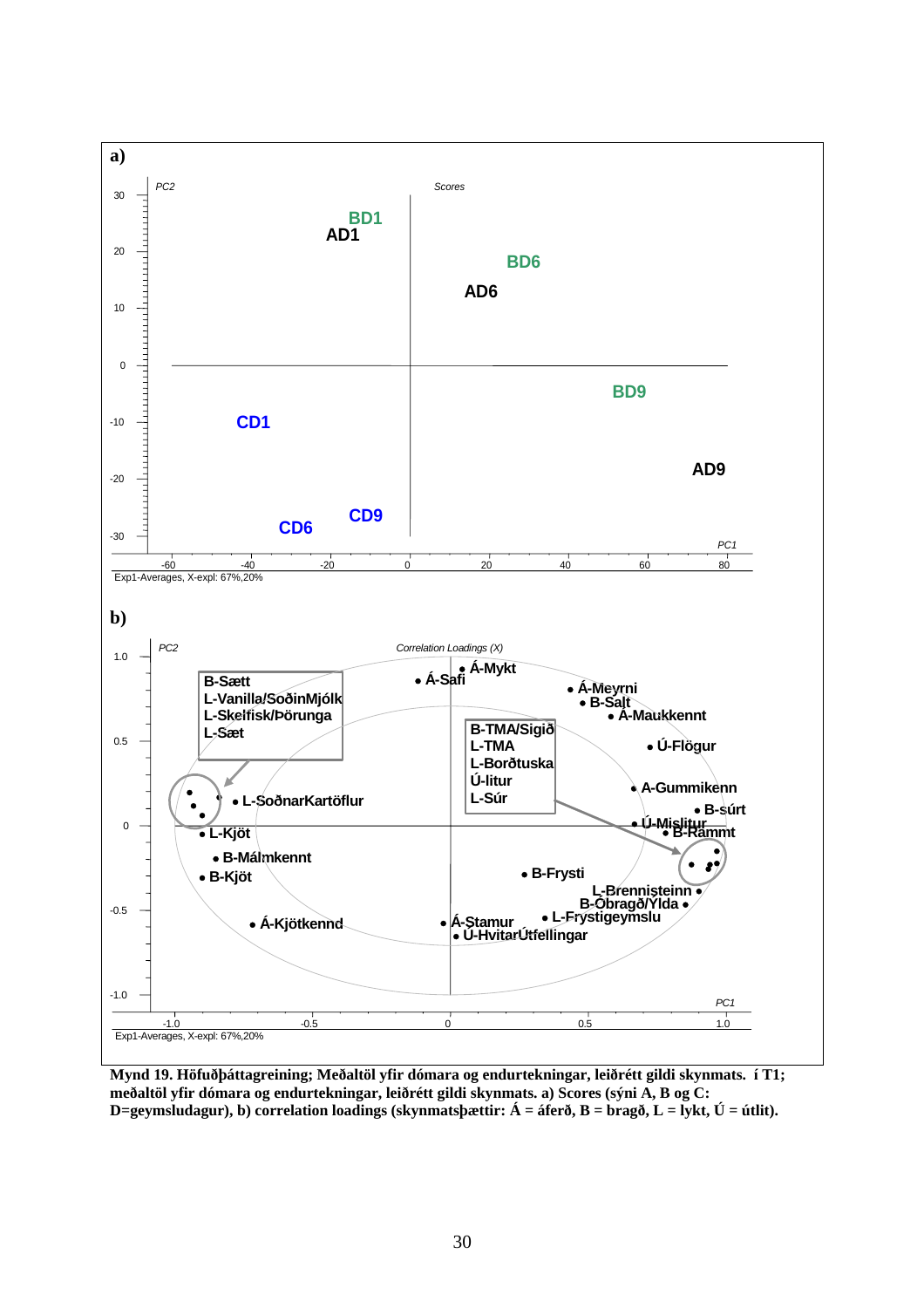

**Mynd 19. Höfuðþáttagreining; Meðaltöl yfir dómara og endurtekningar, leiðrétt gildi skynmats. í T1; meðaltöl yfir dómara og endurtekningar, leiðrétt gildi skynmats. a) Scores (sýni A, B og C: D=geymsludagur), b) correlation loadings (skynmatsþættir: Á = áferð, B = bragð, L = lykt, Ú = útlit).**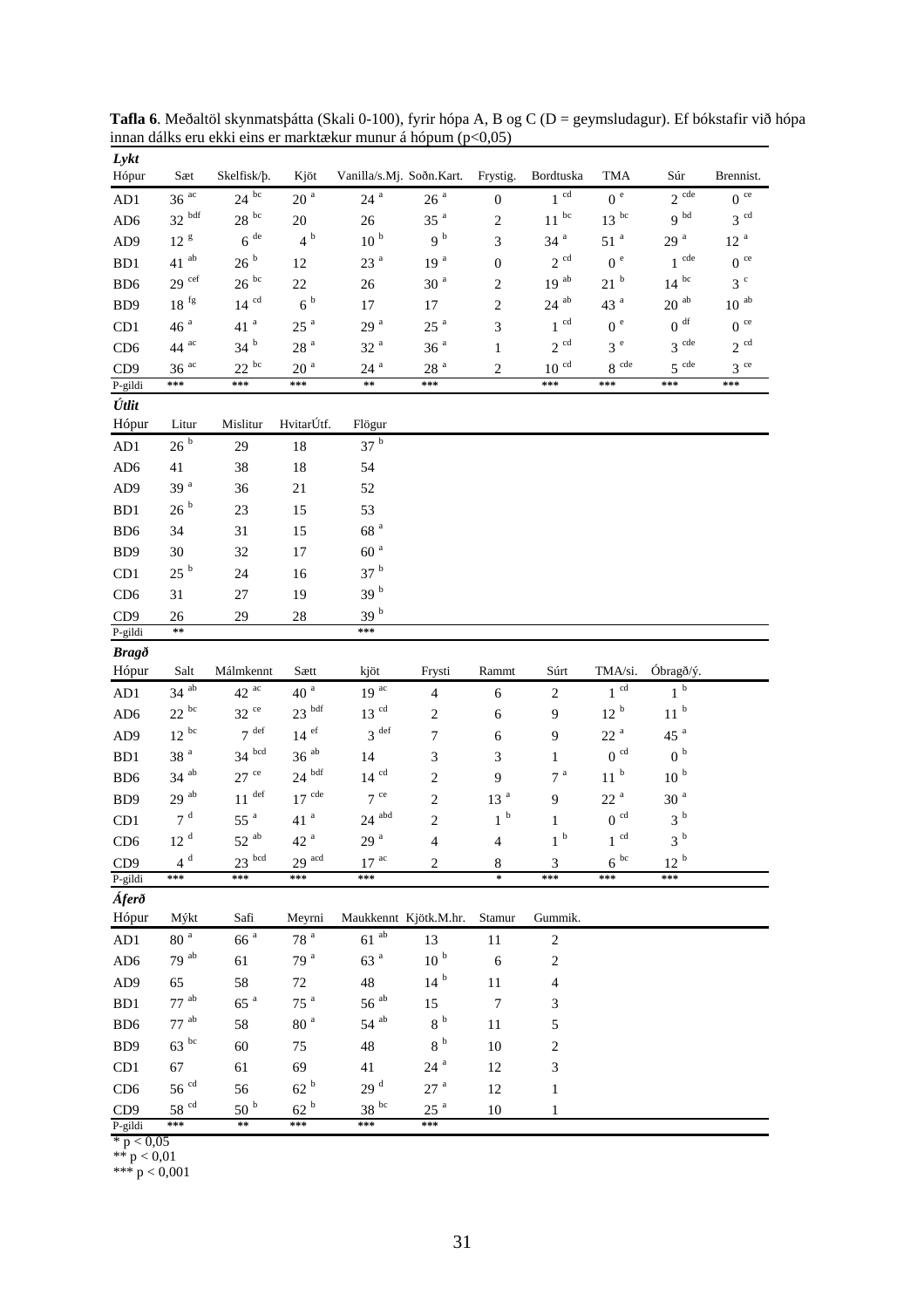| Lykt<br>Hópur              | Sæt                       | Skelfisk/b.                | Kjöt                     | Vanilla/s.Mj. Soðn.Kart.  |                          | Frystig.                | Bordtuska          | <b>TMA</b>                           | Súr                | Brennist.       |
|----------------------------|---------------------------|----------------------------|--------------------------|---------------------------|--------------------------|-------------------------|--------------------|--------------------------------------|--------------------|-----------------|
|                            | $36^{ac}$                 | $24^{bc}$                  | 20 <sup>a</sup>          | $24~^{\rm a}$             | 26 <sup>a</sup>          |                         | $1^{cd}$           | 0 <sup>e</sup>                       | $2^{cde}$          | $0^{\text{ce}}$ |
| AD1                        | $32h$ <sup>bdf</sup>      |                            |                          |                           |                          | $\boldsymbol{0}$        | $11\,^{\rm bc}$    | $13~^{\rm bc}$                       | 9 <sup>bd</sup>    | $3^{cd}$        |
| AD <sub>6</sub>            |                           | $28^{bc}$                  | 20                       | 26                        | $35$ $^{\rm a}$          | $\overline{2}$          |                    |                                      |                    |                 |
| AD <sub>9</sub>            | 12 <sup>g</sup>           | $6$ $^{\rm de}$            | 4 <sup>b</sup>           | 10 <sup>b</sup>           | 9 <sup>b</sup>           | 3                       | 34 <sup>a</sup>    | 51 <sup>a</sup>                      | 29 <sup>a</sup>    | 12 <sup>a</sup> |
| B <sub>D</sub> 1           | $41$ <sup>ab</sup>        | 26 <sup>b</sup>            | 12                       | 23 <sup>a</sup>           | 19 <sup>a</sup>          | $\overline{0}$          | $2^{cd}$           | 0 <sup>e</sup>                       | $1$ cde            | $0^{\circ}$     |
| B <sub>D6</sub>            | $29$ cef                  | $26^{bc}$                  | 22                       | 26                        | 30 <sup>a</sup>          | $\mathbf{2}$            | 19 <sup>ab</sup>   | 21 <sup>b</sup>                      | $14^{bc}$          | 3 <sup>c</sup>  |
| BD <sub>9</sub>            | $18~^{\rm fg}$            | $14^{cd}$                  | 6 <sup>b</sup>           | 17                        | 17                       | $\mathbf{2}$            | $24\,$ $^{\rm ab}$ | 43 $a$                               | $20\ ^{\rm ab}$    | $10\ ^{\rm ab}$ |
| CD1                        | $46$ $^{\rm a}$           | $41$ $^{\rm a}$            | $25~^{\rm a}$            | 29 <sup>a</sup>           | 25 <sup>a</sup>          | 3                       | $1^{cd}$           | 0 <sup>e</sup>                       | $0\ ^{\rm df}$     | $0^{\circ}$     |
| CD <sub>6</sub>            | 44 $^{ac}$                | $34hb$                     | 28 <sup>a</sup>          | 32 <sup>a</sup>           | 36 <sup>a</sup>          | $\mathbf{1}$            | $2^{cd}$           | 3e                                   | $3$ cde            | $2^{cd}$        |
| CD <sub>9</sub>            | $36$ $^{\rm ac}$<br>$***$ | $22^{bc}$<br>$***$         | $20\,$ $^{\rm a}$<br>*** | $24$ <sup>a</sup><br>$**$ | $28\,$ $^{\rm a}$<br>*** | $\overline{\mathbf{c}}$ | $10^{cd}$<br>***   | $8\,$ $^{\rm cde}$<br>$\ast\ast\ast$ | $5^{$ cde<br>$***$ | $3^{ce}$<br>*** |
| P-gildi<br>Útlit           |                           |                            |                          |                           |                          |                         |                    |                                      |                    |                 |
| Hópur                      | Litur                     | Mislitur                   | HvitarÚtf.               | Flögur                    |                          |                         |                    |                                      |                    |                 |
| AD1                        | 26hb                      | 29                         | 18                       | 37h                       |                          |                         |                    |                                      |                    |                 |
| AD <sub>6</sub>            | 41                        | 38                         | 18                       | 54                        |                          |                         |                    |                                      |                    |                 |
|                            | 39 <sup>a</sup>           |                            |                          |                           |                          |                         |                    |                                      |                    |                 |
| AD <sub>9</sub><br>BD1     | 26 <sup>b</sup>           | 36                         | 21<br>15                 | 52<br>53                  |                          |                         |                    |                                      |                    |                 |
|                            |                           | 23                         |                          | 68 <sup>a</sup>           |                          |                         |                    |                                      |                    |                 |
| B <sub>D6</sub>            | 34                        | 31                         | 15                       |                           |                          |                         |                    |                                      |                    |                 |
| B <sub>D</sub> 9           | 30                        | 32                         | 17                       | $60a$                     |                          |                         |                    |                                      |                    |                 |
| CD1                        | 25 <sup>b</sup>           | 24                         | 16                       | 37 <sup>b</sup>           |                          |                         |                    |                                      |                    |                 |
| CD <sub>6</sub>            | 31                        | 27                         | 19                       | 39 <sup>b</sup>           |                          |                         |                    |                                      |                    |                 |
| CD <sub>9</sub><br>P-gildi | 26<br>$\approx$           | 29                         | $28\,$                   | $39hb$<br>***             |                          |                         |                    |                                      |                    |                 |
|                            |                           |                            |                          |                           |                          |                         |                    |                                      |                    |                 |
|                            |                           |                            |                          |                           |                          |                         |                    |                                      |                    |                 |
| <b>Bragð</b><br>Hópur      | Salt                      | Málmkennt                  | Sætt                     | kjöt                      | Frysti                   | Rammt                   | Súrt               | TMA/si.                              | Óbragð/ý.          |                 |
| AD1                        | $34$ ab                   | $42^{ac}$                  | 40 <sup>a</sup>          | 19 <sup>ac</sup>          | $\overline{4}$           | 6                       | $\mathbf{2}$       | $1^{cd}$                             | 1 <sup>b</sup>     |                 |
| AD <sub>6</sub>            | $22~^{\rm bc}$            | $32~^{\rm{ce}}$            | $23\,$ $^{\rm bdf}$      | $13\,$ $^{\rm cd}$        | $\mathbf{2}$             | 6                       | 9                  | $12$ $^{\rm b}$                      | $11\,^{\rm b}$     |                 |
| AD <sub>9</sub>            | $12^{bc}$                 | $7^{def}$                  | $14$ $^{\rm ef}$         | 3 <sup>def</sup>          | $\tau$                   | 6                       | 9                  | 22 <sup>a</sup>                      | 45 <sup>a</sup>    |                 |
| B <sub>D</sub> 1           | $38$ $^{\rm a}$           | $34$ bcd                   | $36$ <sup>ab</sup>       | 14                        | 3                        | 3                       | $\mathbf{1}$       | 0 <sup>cd</sup>                      | 0 <sup>b</sup>     |                 |
| B <sub>D6</sub>            | $34$ ab                   | $27$ ce                    | $24~^{\mathrm{bdf}}$     | $14^{cd}$                 | $\mathbf{2}$             | 9                       | 7 <sup>a</sup>     | 11 <sup>b</sup>                      | 10 <sup>b</sup>    |                 |
| B <sub>D</sub> 9           | $29$ <sup>ab</sup>        | $11$ def                   | $17$ <sup>cde</sup>      | $7^{ce}$                  | $\mathbf{2}$             | $13$ $^{\rm a}$         | 9                  | 22 <sup>a</sup>                      | 30 <sup>a</sup>    |                 |
| CD1                        | 7 <sup>d</sup>            | 55 <sup>a</sup>            | 41 <sup>a</sup>          | $24\,$ $^{\rm abd}$       | $\overline{2}$           | $1\,$ $^{\rm b}$        | $\mathbf{1}$       | $0^{\rm \; cd}$                      | 3 <sup>b</sup>     |                 |
| CD <sub>6</sub>            | 12 <sup>d</sup>           | $52$ <sup>ab</sup>         | 42 <sup>a</sup>          | 29 <sup>a</sup>           | 4                        | 4                       | $1\,$ $^{\rm b}$   | $1^{cd}$                             | $3\,$ $^{\rm b}$   |                 |
| CD <sub>9</sub>            | $4^d$                     | $23$ bcd                   | $29$ <sup>acd</sup>      | $17$ $^{\rm ac}$          | $\overline{\mathbf{c}}$  | $\,8\,$                 | 3                  | $6^{bc}$                             | 12 <sup>b</sup>    |                 |
| P-gildi                    | ***                       | ***                        | ***                      | ***                       |                          | $\ast$                  | ***                | ***                                  | ***                |                 |
| Áferð                      |                           |                            |                          |                           |                          |                         |                    |                                      |                    |                 |
| Hópur                      | Mýkt                      | Safi                       | Meyrni                   | Maukkennt Kjötk.M.hr.     |                          | Stamur                  | Gummik.            |                                      |                    |                 |
| AD1                        | $80\,$ $^{\rm a}$         | 66 <sup>a</sup>            | $78\,$ $^{\rm a}$        | $61\ ^{\mathrm{ab}}$      | 13                       | 11                      | $\,2$              |                                      |                    |                 |
| AD <sub>6</sub>            | $79$ <sup>ab</sup>        | 61                         | 79 <sup>a</sup>          | 63 <sup>a</sup>           | $10\ ^{\rm b}$           | 6                       | $\overline{c}$     |                                      |                    |                 |
| AD9                        | 65                        | 58                         | 72                       | 48                        | 14 <sup>b</sup>          | $11\,$                  | 4                  |                                      |                    |                 |
| BD1                        | $77$ $^{\rm ab}$          | $65~^\mathrm{a}$           | 75 $a$                   | $56^{ab}$                 | 15                       | $\boldsymbol{7}$        | 3                  |                                      |                    |                 |
| BD <sub>6</sub>            | $77$ <sup>ab</sup>        | 58                         | 80 <sup>a</sup>          | $54$ $^{\rm ab}$          | 8 <sup>b</sup>           | $11\,$                  | 5                  |                                      |                    |                 |
| BD9                        | $63^{bc}$                 | 60                         | 75                       | $48\,$                    | 8 <sup>b</sup>           | 10                      | $\overline{c}$     |                                      |                    |                 |
| CD1                        | 67                        | 61                         | 69                       | 41                        | $24$ $^{\rm a}$          | 12                      | 3                  |                                      |                    |                 |
| CD <sub>6</sub>            | $56~^{\rm cd}$            | 56                         | $62$ $^{\rm b}$          | $29$ $^{\rm d}$           | 27 <sup>a</sup>          | 12                      | $\mathbf{1}$       |                                      |                    |                 |
| CD <sub>9</sub><br>P-gildi | 58 <sup>cd</sup><br>***   | $50\,^{\rm b}$<br>$\pm\pm$ | 62 <sup>b</sup><br>***   | $38^{bc}$<br>***          | $25~^{\rm a}$<br>***     | 10                      | $\mathbf{1}$       |                                      |                    |                 |

**Tafla 6**. Meðaltöl skynmatsþátta (Skali 0-100), fyrir hópa A, B og C (D = geymsludagur). Ef bókstafir við hópa innan dálks eru ekki eins er marktækur munur á hópum (p<0,05)

 $*$  p  $< 0.05$ 

\*\*  $p < 0.01$ 

\*\*\* p < 0,001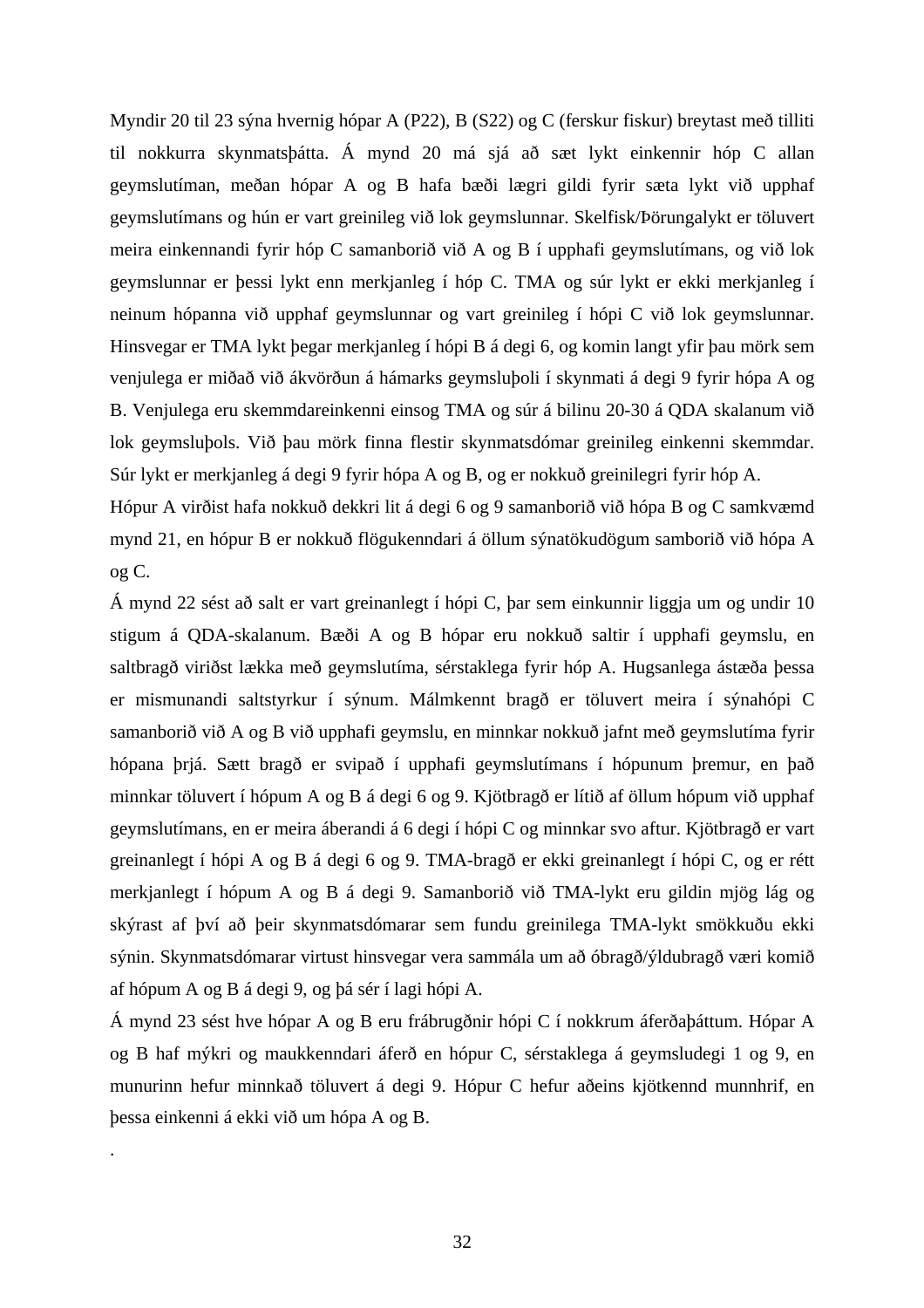Myndir 20 til 23 sýna hvernig hópar A (P22), B (S22) og C (ferskur fiskur) breytast með tilliti til nokkurra skynmatsþátta. Á mynd 20 má sjá að sæt lykt einkennir hóp C allan geymslutíman, meðan hópar A og B hafa bæði lægri gildi fyrir sæta lykt við upphaf geymslutímans og hún er vart greinileg við lok geymslunnar. Skelfisk/Þörungalykt er töluvert meira einkennandi fyrir hóp C samanborið við A og B í upphafi geymslutímans, og við lok geymslunnar er þessi lykt enn merkjanleg í hóp C. TMA og súr lykt er ekki merkjanleg í neinum hópanna við upphaf geymslunnar og vart greinileg í hópi C við lok geymslunnar. Hinsvegar er TMA lykt þegar merkjanleg í hópi B á degi 6, og komin langt yfir þau mörk sem venjulega er miðað við ákvörðun á hámarks geymsluþoli í skynmati á degi 9 fyrir hópa A og B. Venjulega eru skemmdareinkenni einsog TMA og súr á bilinu 20-30 á QDA skalanum við lok geymsluþols. Við þau mörk finna flestir skynmatsdómar greinileg einkenni skemmdar. Súr lykt er merkjanleg á degi 9 fyrir hópa A og B, og er nokkuð greinilegri fyrir hóp A.

Hópur A virðist hafa nokkuð dekkri lit á degi 6 og 9 samanborið við hópa B og C samkvæmd mynd 21, en hópur B er nokkuð flögukenndari á öllum sýnatökudögum samborið við hópa A og C.

Á mynd 22 sést að salt er vart greinanlegt í hópi C, þar sem einkunnir liggja um og undir 10 stigum á QDA-skalanum. Bæði A og B hópar eru nokkuð saltir í upphafi geymslu, en saltbragð viriðst lækka með geymslutíma, sérstaklega fyrir hóp A. Hugsanlega ástæða þessa er mismunandi saltstyrkur í sýnum. Málmkennt bragð er töluvert meira í sýnahópi C samanborið við A og B við upphafi geymslu, en minnkar nokkuð jafnt með geymslutíma fyrir hópana þrjá. Sætt bragð er svipað í upphafi geymslutímans í hópunum þremur, en það minnkar töluvert í hópum A og B á degi 6 og 9. Kjötbragð er lítið af öllum hópum við upphaf geymslutímans, en er meira áberandi á 6 degi í hópi C og minnkar svo aftur. Kjötbragð er vart greinanlegt í hópi A og B á degi 6 og 9. TMA-bragð er ekki greinanlegt í hópi C, og er rétt merkjanlegt í hópum A og B á degi 9. Samanborið við TMA-lykt eru gildin mjög lág og skýrast af því að þeir skynmatsdómarar sem fundu greinilega TMA-lykt smökkuðu ekki sýnin. Skynmatsdómarar virtust hinsvegar vera sammála um að óbragð/ýldubragð væri komið af hópum A og B á degi 9, og þá sér í lagi hópi A.

Á mynd 23 sést hve hópar A og B eru frábrugðnir hópi C í nokkrum áferðaþáttum. Hópar A og B haf mýkri og maukkenndari áferð en hópur C, sérstaklega á geymsludegi 1 og 9, en munurinn hefur minnkað töluvert á degi 9. Hópur C hefur aðeins kjötkennd munnhrif, en þessa einkenni á ekki við um hópa A og B.

.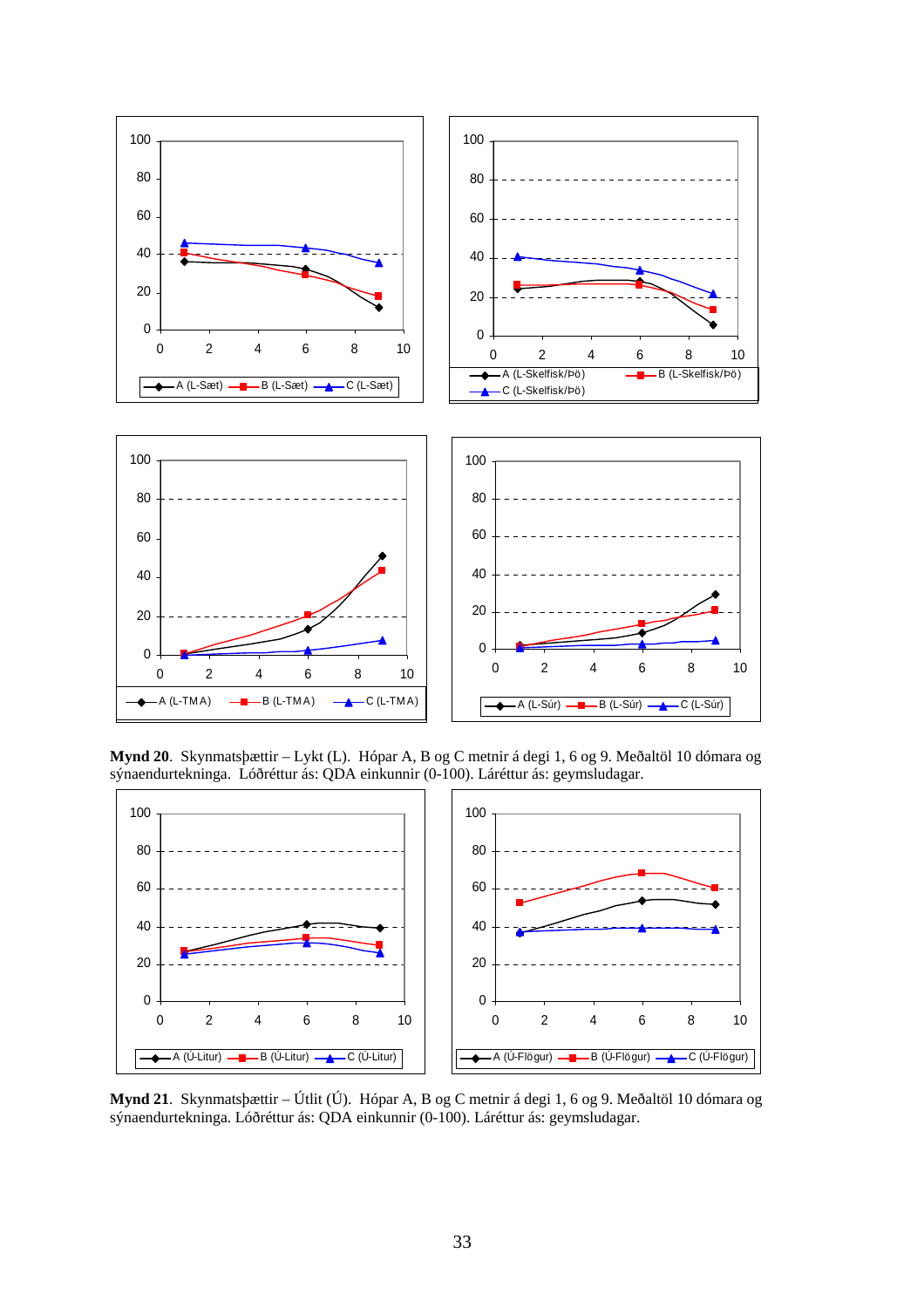

**Mynd 20**. Skynmatsþættir – Lykt (L). Hópar A, B og C metnir á degi 1, 6 og 9. Meðaltöl 10 dómara og sýnaendurtekninga. Lóðréttur ás: QDA einkunnir (0-100). Láréttur ás: geymsludagar.



**Mynd 21**. Skynmatsþættir – Útlit (Ú). Hópar A, B og C metnir á degi 1, 6 og 9. Meðaltöl 10 dómara og sýnaendurtekninga. Lóðréttur ás: QDA einkunnir (0-100). Láréttur ás: geymsludagar.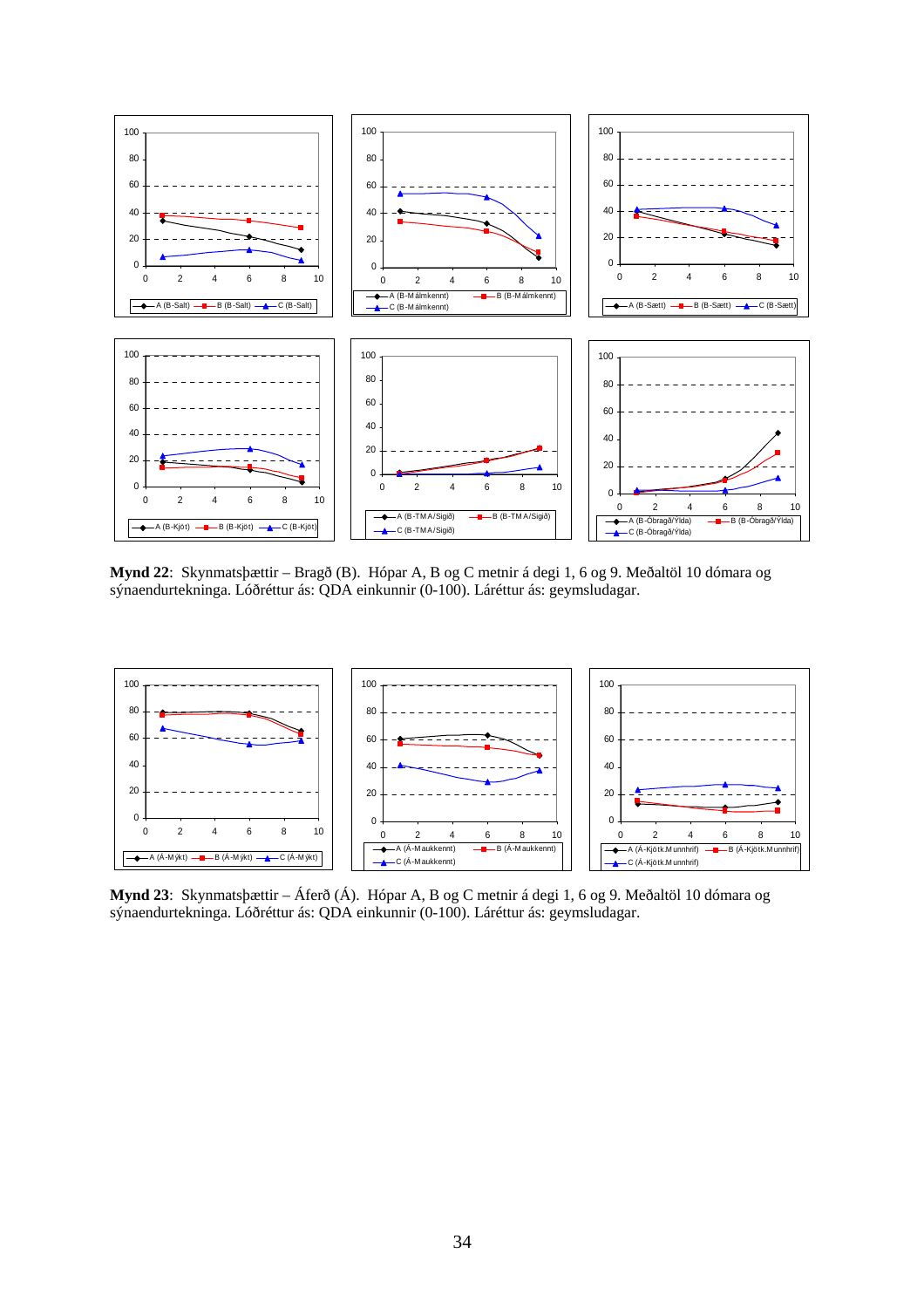

**Mynd 22**: Skynmatsþættir – Bragð (B). Hópar A, B og C metnir á degi 1, 6 og 9. Meðaltöl 10 dómara og sýnaendurtekninga. Lóðréttur ás: QDA einkunnir (0-100). Láréttur ás: geymsludagar.



**Mynd 23**: Skynmatsþættir – Áferð (Á). Hópar A, B og C metnir á degi 1, 6 og 9. Meðaltöl 10 dómara og sýnaendurtekninga. Lóðréttur ás: QDA einkunnir (0-100). Láréttur ás: geymsludagar.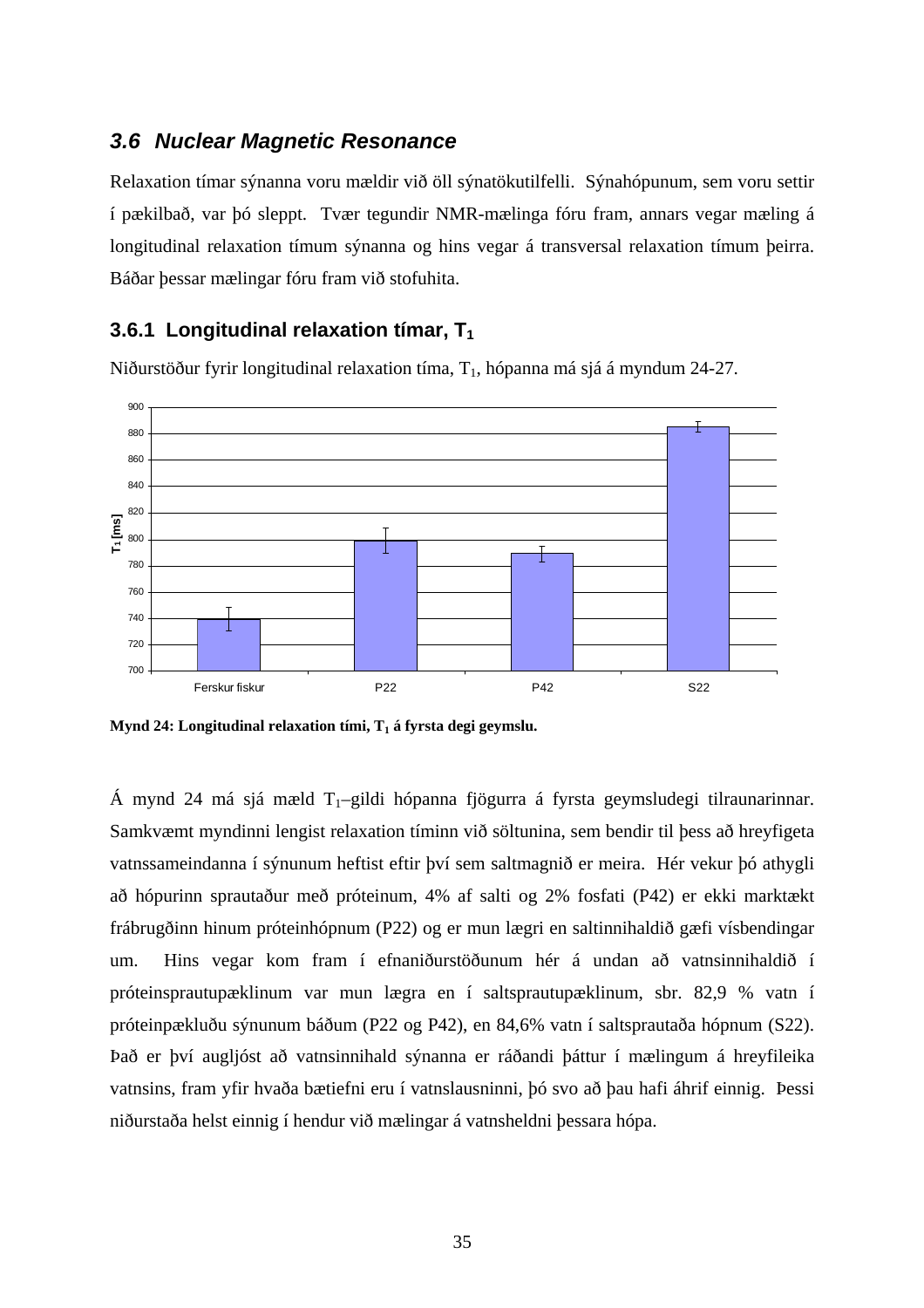#### *3.6 Nuclear Magnetic Resonance*

Relaxation tímar sýnanna voru mældir við öll sýnatökutilfelli. Sýnahópunum, sem voru settir í pækilbað, var þó sleppt. Tvær tegundir NMR-mælinga fóru fram, annars vegar mæling á longitudinal relaxation tímum sýnanna og hins vegar á transversal relaxation tímum þeirra. Báðar þessar mælingar fóru fram við stofuhita.

#### **3.6.1 Longitudinal relaxation tímar, T1**

Niðurstöður fyrir longitudinal relaxation tíma, T1, hópanna má sjá á myndum 24-27.



**Mynd 24: Longitudinal relaxation tími, T1 á fyrsta degi geymslu.** 

Á mynd 24 má sjá mæld  $T_1$ –gildi hópanna fjögurra á fyrsta geymsludegi tilraunarinnar. Samkvæmt myndinni lengist relaxation tíminn við söltunina, sem bendir til þess að hreyfigeta vatnssameindanna í sýnunum heftist eftir því sem saltmagnið er meira. Hér vekur þó athygli að hópurinn sprautaður með próteinum, 4% af salti og 2% fosfati (P42) er ekki marktækt frábrugðinn hinum próteinhópnum (P22) og er mun lægri en saltinnihaldið gæfi vísbendingar um. Hins vegar kom fram í efnaniðurstöðunum hér á undan að vatnsinnihaldið í próteinsprautupæklinum var mun lægra en í saltsprautupæklinum, sbr. 82,9 % vatn í próteinpækluðu sýnunum báðum (P22 og P42), en 84,6% vatn í saltsprautaða hópnum (S22). Það er því augljóst að vatnsinnihald sýnanna er ráðandi þáttur í mælingum á hreyfileika vatnsins, fram yfir hvaða bætiefni eru í vatnslausninni, þó svo að þau hafi áhrif einnig. Þessi niðurstaða helst einnig í hendur við mælingar á vatnsheldni þessara hópa.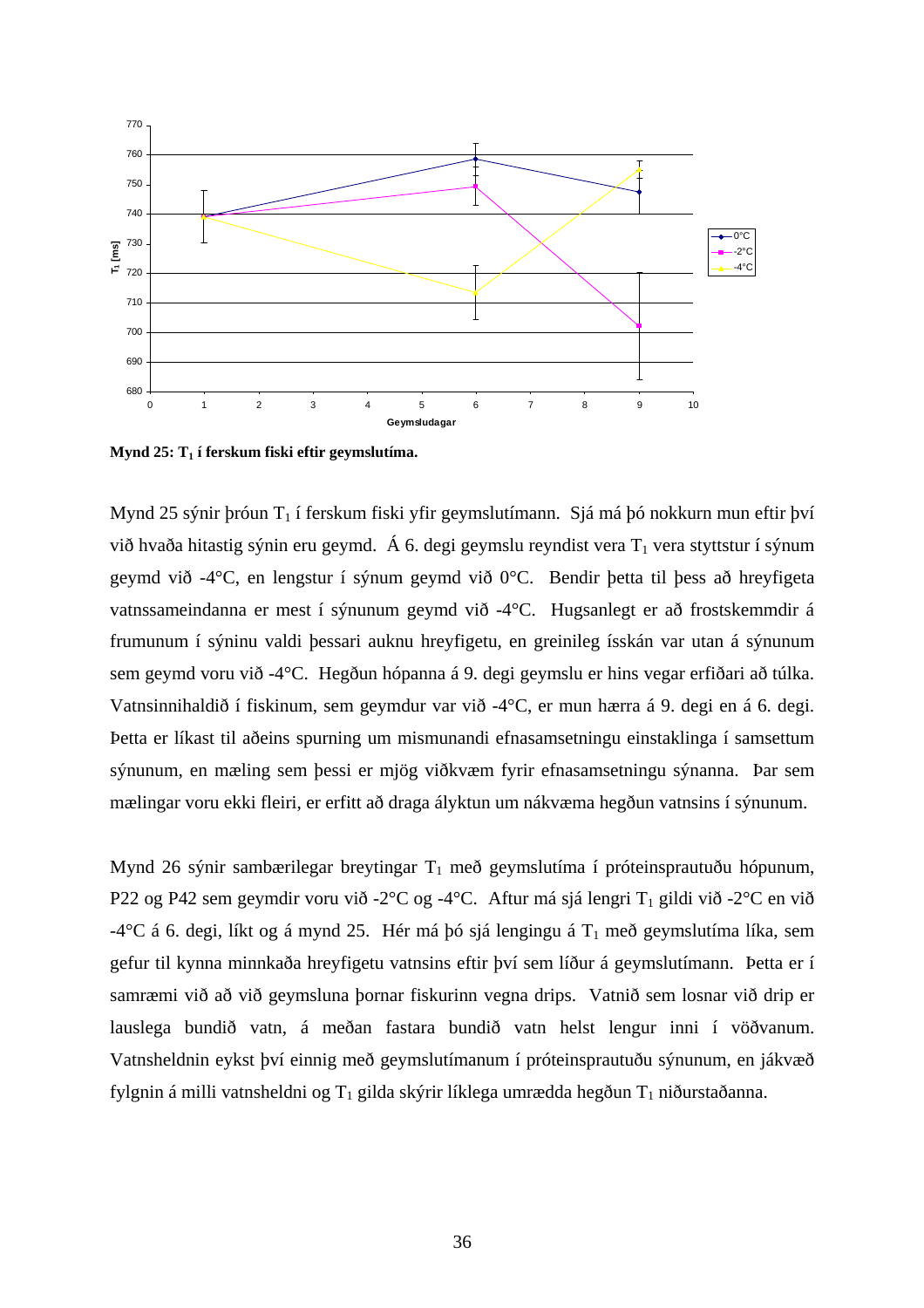

**Mynd 25: T1 í ferskum fiski eftir geymslutíma.** 

Mynd 25 sýnir þróun  $T_1$  í ferskum fiski yfir geymslutímann. Sjá má þó nokkurn mun eftir því við hvaða hitastig sýnin eru geymd. Á 6. degi geymslu reyndist vera  $T_1$  vera styttstur í sýnum geymd við -4°C, en lengstur í sýnum geymd við 0°C. Bendir þetta til þess að hreyfigeta vatnssameindanna er mest í sýnunum geymd við -4°C. Hugsanlegt er að frostskemmdir á frumunum í sýninu valdi þessari auknu hreyfigetu, en greinileg ísskán var utan á sýnunum sem geymd voru við -4°C. Hegðun hópanna á 9. degi geymslu er hins vegar erfiðari að túlka. Vatnsinnihaldið í fiskinum, sem geymdur var við -4°C, er mun hærra á 9. degi en á 6. degi. Þetta er líkast til aðeins spurning um mismunandi efnasamsetningu einstaklinga í samsettum sýnunum, en mæling sem þessi er mjög viðkvæm fyrir efnasamsetningu sýnanna. Þar sem mælingar voru ekki fleiri, er erfitt að draga ályktun um nákvæma hegðun vatnsins í sýnunum.

Mynd 26 sýnir sambærilegar breytingar  $T_1$  með geymslutíma í próteinsprautuðu hópunum, P22 og P42 sem geymdir voru við -2°C og -4°C. Aftur má sjá lengri T<sub>1</sub> gildi við -2°C en við -4°C á 6. degi, líkt og á mynd 25. Hér má þó sjá lengingu á  $T_1$  með geymslutíma líka, sem gefur til kynna minnkaða hreyfigetu vatnsins eftir því sem líður á geymslutímann. Þetta er í samræmi við að við geymsluna þornar fiskurinn vegna drips. Vatnið sem losnar við drip er lauslega bundið vatn, á meðan fastara bundið vatn helst lengur inni í vöðvanum. Vatnsheldnin eykst því einnig með geymslutímanum í próteinsprautuðu sýnunum, en jákvæð fylgnin á milli vatnsheldni og  $T_1$  gilda skýrir líklega umrædda hegðun  $T_1$  niðurstaðanna.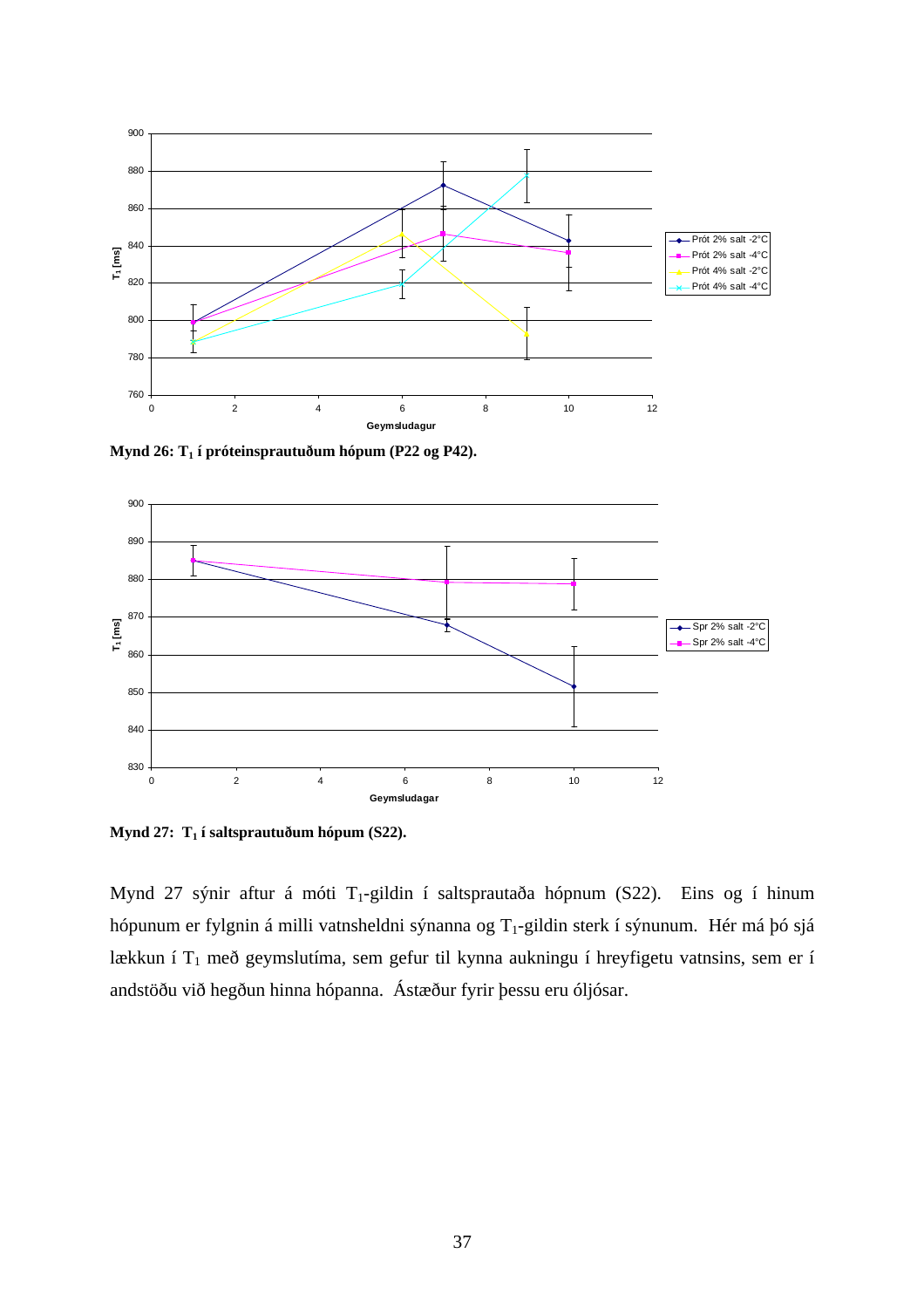

**Mynd 26: T1 í próteinsprautuðum hópum (P22 og P42).** 



Mynd 27: T<sub>1</sub> í saltsprautuðum hópum (S22).

Mynd 27 sýnir aftur á móti T<sub>1</sub>-gildin í saltsprautaða hópnum (S22). Eins og í hinum hópunum er fylgnin á milli vatnsheldni sýnanna og T<sub>1</sub>-gildin sterk í sýnunum. Hér má þó sjá lækkun í  $T_1$  með geymslutíma, sem gefur til kynna aukningu í hreyfigetu vatnsins, sem er í andstöðu við hegðun hinna hópanna. Ástæður fyrir þessu eru óljósar.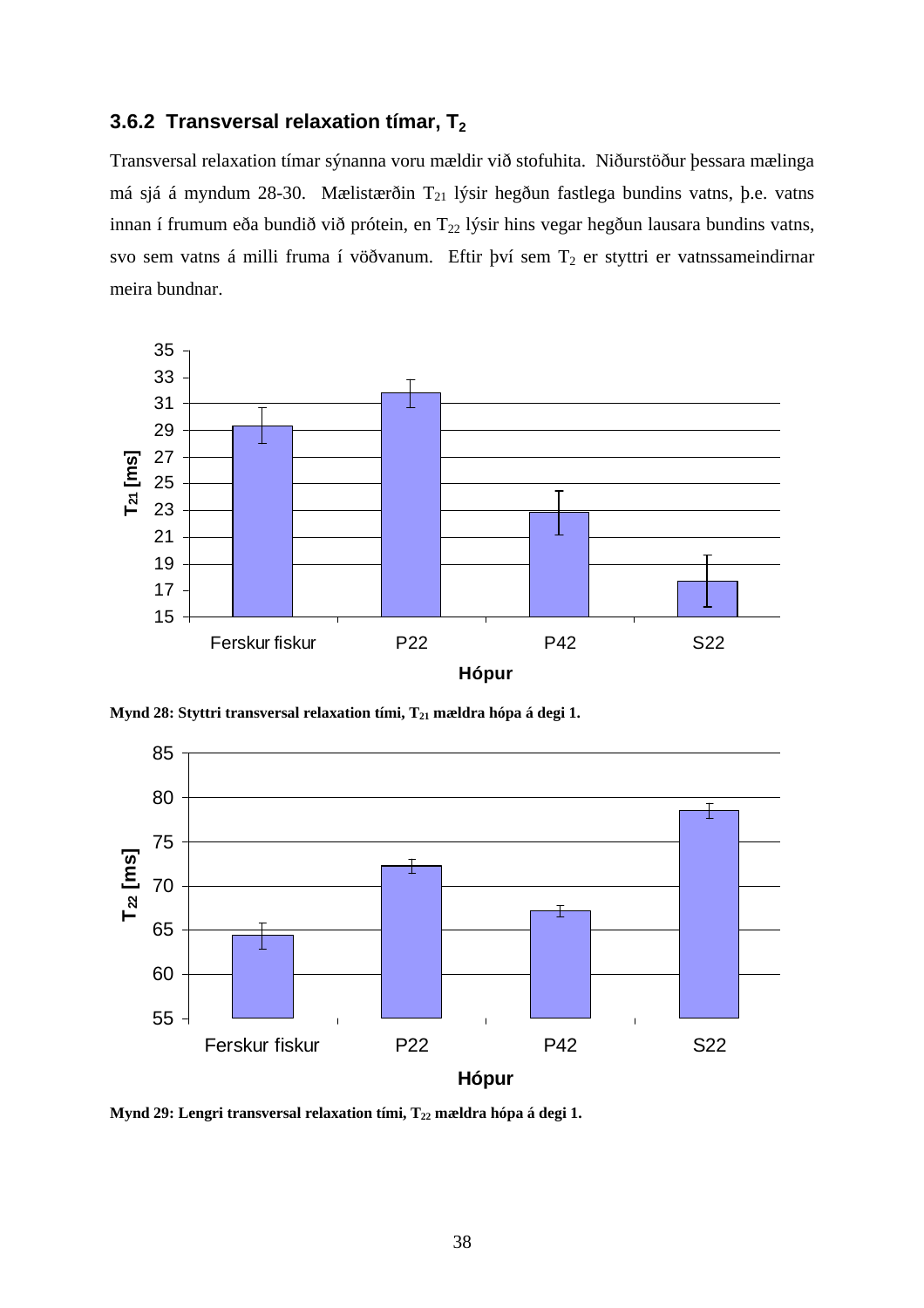### **3.6.2 Transversal relaxation tímar, T<sub>2</sub>**

Transversal relaxation tímar sýnanna voru mældir við stofuhita. Niðurstöður þessara mælinga má sjá á myndum 28-30. Mælistærðin T<sub>21</sub> lýsir hegðun fastlega bundins vatns, þ.e. vatns innan í frumum eða bundið við prótein, en T<sub>22</sub> lýsir hins vegar hegðun lausara bundins vatns, svo sem vatns á milli fruma í vöðvanum. Eftir því sem  $T_2$  er styttri er vatnssameindirnar meira bundnar.



Mynd 28: Styttri transversal relaxation tími, T<sub>21</sub> mældra hópa á degi 1.



Mynd 29: Lengri transversal relaxation tími, T<sub>22</sub> mældra hópa á degi 1.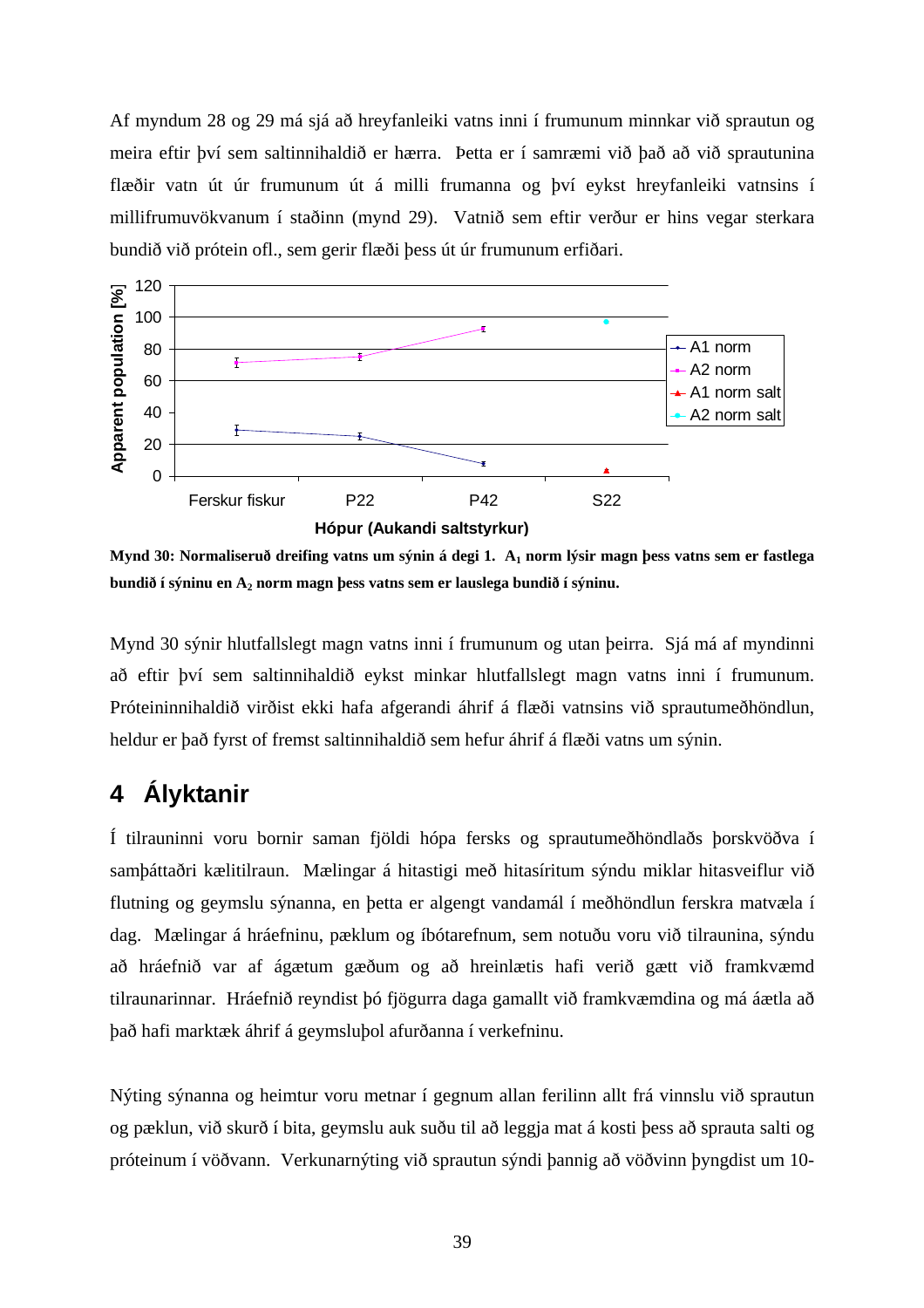Af myndum 28 og 29 má sjá að hreyfanleiki vatns inni í frumunum minnkar við sprautun og meira eftir því sem saltinnihaldið er hærra. Þetta er í samræmi við það að við sprautunina flæðir vatn út úr frumunum út á milli frumanna og því eykst hreyfanleiki vatnsins í millifrumuvökvanum í staðinn (mynd 29). Vatnið sem eftir verður er hins vegar sterkara bundið við prótein ofl., sem gerir flæði þess út úr frumunum erfiðari.



**Mynd 30: Normaliseruð dreifing vatns um sýnin á degi 1. A1 norm lýsir magn þess vatns sem er fastlega bundið í sýninu en A2 norm magn þess vatns sem er lauslega bundið í sýninu.** 

Mynd 30 sýnir hlutfallslegt magn vatns inni í frumunum og utan þeirra. Sjá má af myndinni að eftir því sem saltinnihaldið eykst minkar hlutfallslegt magn vatns inni í frumunum. Próteininnihaldið virðist ekki hafa afgerandi áhrif á flæði vatnsins við sprautumeðhöndlun, heldur er það fyrst of fremst saltinnihaldið sem hefur áhrif á flæði vatns um sýnin.

### **4 Ályktanir**

Í tilrauninni voru bornir saman fjöldi hópa fersks og sprautumeðhöndlaðs þorskvöðva í samþáttaðri kælitilraun. Mælingar á hitastigi með hitasíritum sýndu miklar hitasveiflur við flutning og geymslu sýnanna, en þetta er algengt vandamál í meðhöndlun ferskra matvæla í dag. Mælingar á hráefninu, pæklum og íbótarefnum, sem notuðu voru við tilraunina, sýndu að hráefnið var af ágætum gæðum og að hreinlætis hafi verið gætt við framkvæmd tilraunarinnar. Hráefnið reyndist þó fjögurra daga gamallt við framkvæmdina og má áætla að það hafi marktæk áhrif á geymsluþol afurðanna í verkefninu.

Nýting sýnanna og heimtur voru metnar í gegnum allan ferilinn allt frá vinnslu við sprautun og pæklun, við skurð í bita, geymslu auk suðu til að leggja mat á kosti þess að sprauta salti og próteinum í vöðvann. Verkunarnýting við sprautun sýndi þannig að vöðvinn þyngdist um 10-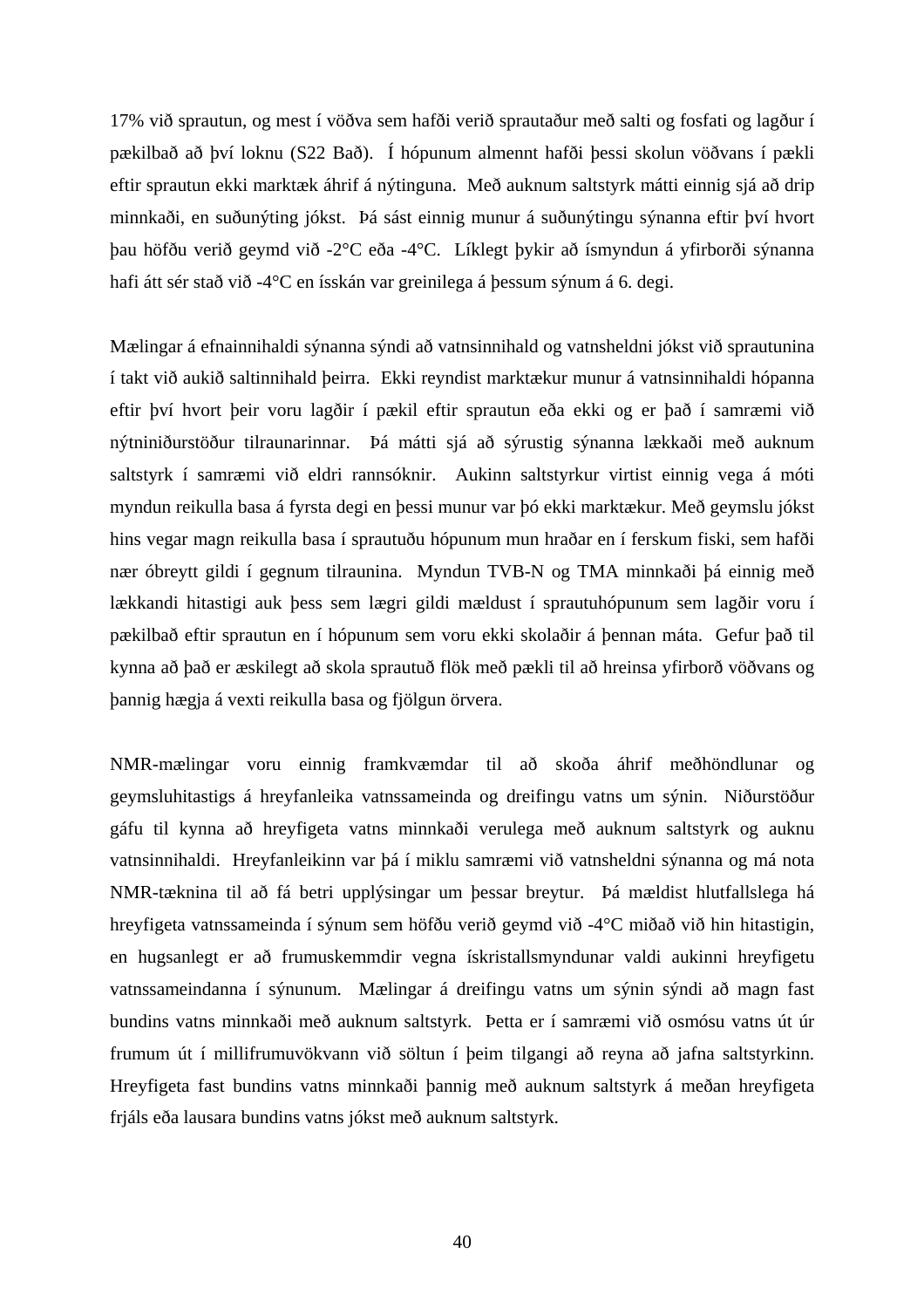17% við sprautun, og mest í vöðva sem hafði verið sprautaður með salti og fosfati og lagður í pækilbað að því loknu (S22 Bað). Í hópunum almennt hafði þessi skolun vöðvans í pækli eftir sprautun ekki marktæk áhrif á nýtinguna. Með auknum saltstyrk mátti einnig sjá að drip minnkaði, en suðunýting jókst. Þá sást einnig munur á suðunýtingu sýnanna eftir því hvort þau höfðu verið geymd við -2°C eða -4°C. Líklegt þykir að ísmyndun á yfirborði sýnanna hafi átt sér stað við -4°C en ísskán var greinilega á bessum sýnum á 6. degi.

Mælingar á efnainnihaldi sýnanna sýndi að vatnsinnihald og vatnsheldni jókst við sprautunina í takt við aukið saltinnihald þeirra. Ekki reyndist marktækur munur á vatnsinnihaldi hópanna eftir því hvort þeir voru lagðir í pækil eftir sprautun eða ekki og er það í samræmi við nýtniniðurstöður tilraunarinnar. Þá mátti sjá að sýrustig sýnanna lækkaði með auknum saltstyrk í samræmi við eldri rannsóknir. Aukinn saltstyrkur virtist einnig vega á móti myndun reikulla basa á fyrsta degi en þessi munur var þó ekki marktækur. Með geymslu jókst hins vegar magn reikulla basa í sprautuðu hópunum mun hraðar en í ferskum fiski, sem hafði nær óbreytt gildi í gegnum tilraunina. Myndun TVB-N og TMA minnkaði þá einnig með lækkandi hitastigi auk þess sem lægri gildi mældust í sprautuhópunum sem lagðir voru í pækilbað eftir sprautun en í hópunum sem voru ekki skolaðir á þennan máta. Gefur það til kynna að það er æskilegt að skola sprautuð flök með pækli til að hreinsa yfirborð vöðvans og þannig hægja á vexti reikulla basa og fjölgun örvera.

NMR-mælingar voru einnig framkvæmdar til að skoða áhrif meðhöndlunar og geymsluhitastigs á hreyfanleika vatnssameinda og dreifingu vatns um sýnin. Niðurstöður gáfu til kynna að hreyfigeta vatns minnkaði verulega með auknum saltstyrk og auknu vatnsinnihaldi. Hreyfanleikinn var þá í miklu samræmi við vatnsheldni sýnanna og má nota NMR-tæknina til að fá betri upplýsingar um þessar breytur. Þá mældist hlutfallslega há hreyfigeta vatnssameinda í sýnum sem höfðu verið geymd við -4°C miðað við hin hitastigin, en hugsanlegt er að frumuskemmdir vegna ískristallsmyndunar valdi aukinni hreyfigetu vatnssameindanna í sýnunum. Mælingar á dreifingu vatns um sýnin sýndi að magn fast bundins vatns minnkaði með auknum saltstyrk. Þetta er í samræmi við osmósu vatns út úr frumum út í millifrumuvökvann við söltun í þeim tilgangi að reyna að jafna saltstyrkinn. Hreyfigeta fast bundins vatns minnkaði þannig með auknum saltstyrk á meðan hreyfigeta frjáls eða lausara bundins vatns jókst með auknum saltstyrk.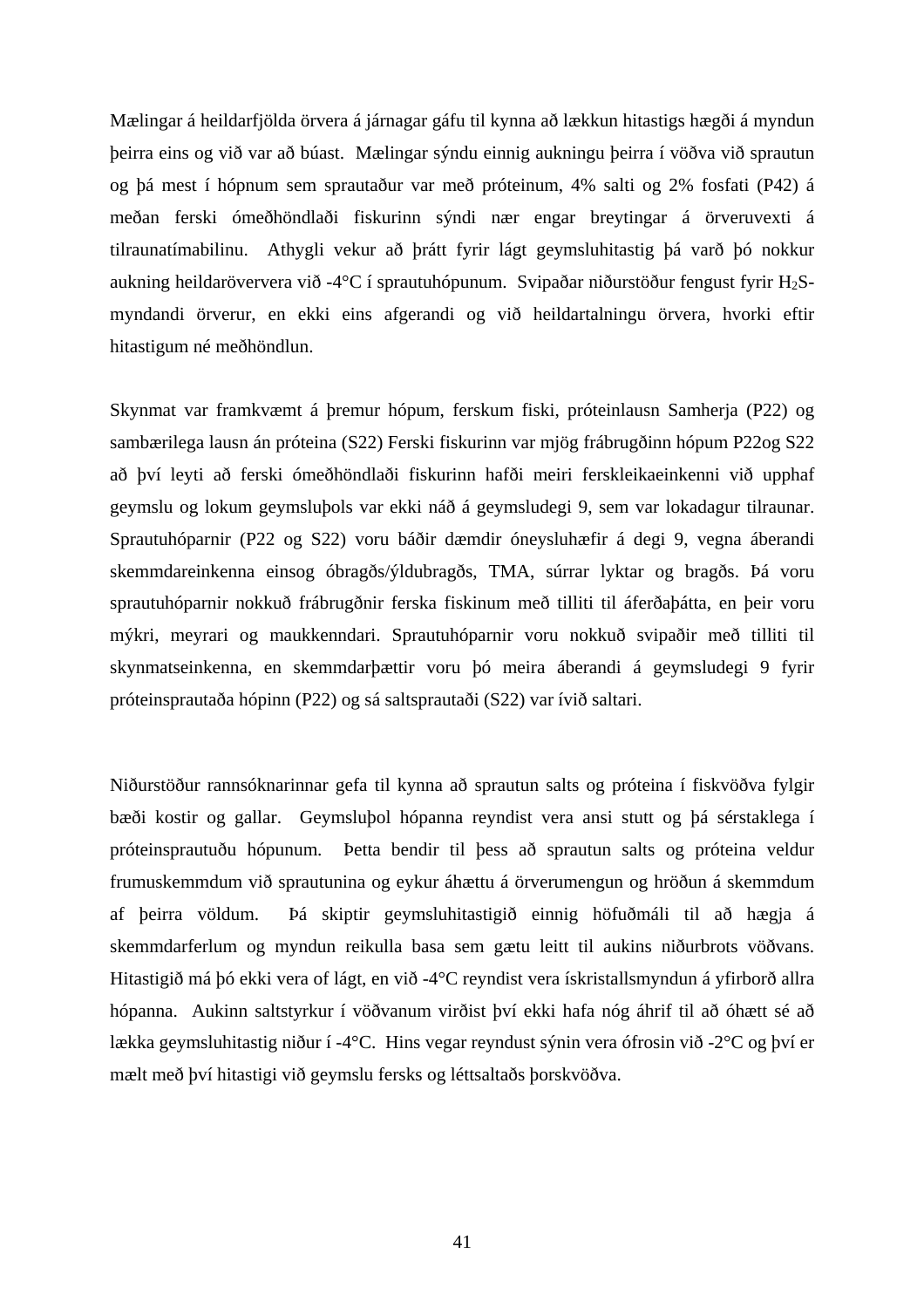Mælingar á heildarfjölda örvera á járnagar gáfu til kynna að lækkun hitastigs hægði á myndun þeirra eins og við var að búast. Mælingar sýndu einnig aukningu þeirra í vöðva við sprautun og þá mest í hópnum sem sprautaður var með próteinum, 4% salti og 2% fosfati (P42) á meðan ferski ómeðhöndlaði fiskurinn sýndi nær engar breytingar á örveruvexti á tilraunatímabilinu. Athygli vekur að þrátt fyrir lágt geymsluhitastig þá varð þó nokkur aukning heildaröververa við -4°C í sprautuhópunum. Svipaðar niðurstöður fengust fyrir H<sub>2</sub>Smyndandi örverur, en ekki eins afgerandi og við heildartalningu örvera, hvorki eftir hitastigum né meðhöndlun.

Skynmat var framkvæmt á þremur hópum, ferskum fiski, próteinlausn Samherja (P22) og sambærilega lausn án próteina (S22) Ferski fiskurinn var mjög frábrugðinn hópum P22og S22 að því leyti að ferski ómeðhöndlaði fiskurinn hafði meiri ferskleikaeinkenni við upphaf geymslu og lokum geymsluþols var ekki náð á geymsludegi 9, sem var lokadagur tilraunar. Sprautuhóparnir (P22 og S22) voru báðir dæmdir óneysluhæfir á degi 9, vegna áberandi skemmdareinkenna einsog óbragðs/ýldubragðs, TMA, súrrar lyktar og bragðs. Þá voru sprautuhóparnir nokkuð frábrugðnir ferska fiskinum með tilliti til áferðaþátta, en þeir voru mýkri, meyrari og maukkenndari. Sprautuhóparnir voru nokkuð svipaðir með tilliti til skynmatseinkenna, en skemmdarþættir voru þó meira áberandi á geymsludegi 9 fyrir próteinsprautaða hópinn (P22) og sá saltsprautaði (S22) var ívið saltari.

Niðurstöður rannsóknarinnar gefa til kynna að sprautun salts og próteina í fiskvöðva fylgir bæði kostir og gallar. Geymsluþol hópanna reyndist vera ansi stutt og þá sérstaklega í próteinsprautuðu hópunum. Þetta bendir til þess að sprautun salts og próteina veldur frumuskemmdum við sprautunina og eykur áhættu á örverumengun og hröðun á skemmdum af þeirra völdum. Þá skiptir geymsluhitastigið einnig höfuðmáli til að hægja á skemmdarferlum og myndun reikulla basa sem gætu leitt til aukins niðurbrots vöðvans. Hitastigið má þó ekki vera of lágt, en við -4°C reyndist vera ískristallsmyndun á yfirborð allra hópanna. Aukinn saltstyrkur í vöðvanum virðist því ekki hafa nóg áhrif til að óhætt sé að lækka geymsluhitastig niður í -4°C. Hins vegar reyndust sýnin vera ófrosin við -2°C og því er mælt með því hitastigi við geymslu fersks og léttsaltaðs þorskvöðva.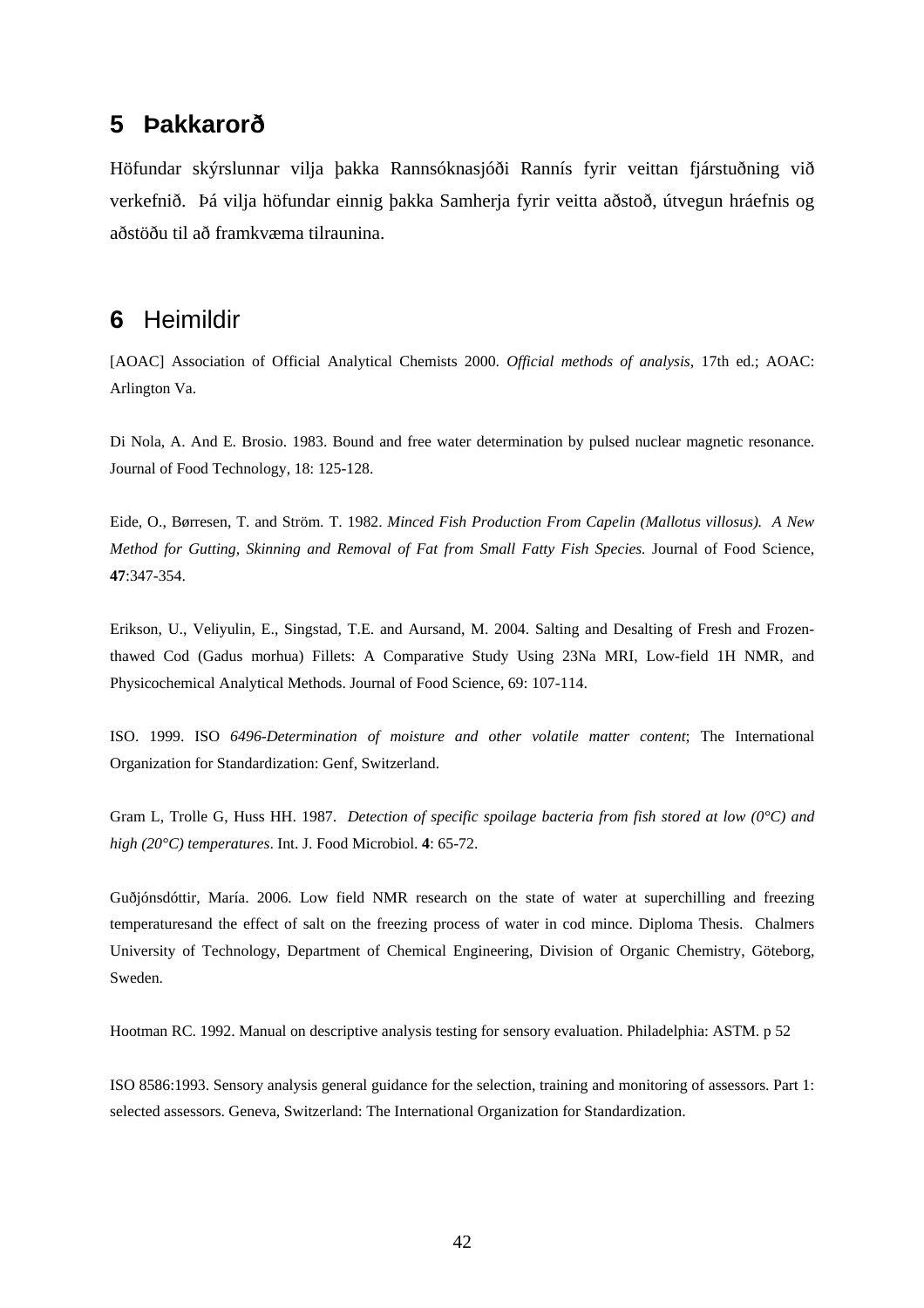### **5 Þakkarorð**

Höfundar skýrslunnar vilja þakka Rannsóknasjóði Rannís fyrir veittan fjárstuðning við verkefnið. Þá vilja höfundar einnig þakka Samherja fyrir veitta aðstoð, útvegun hráefnis og aðstöðu til að framkvæma tilraunina.

### **6** Heimildir

[AOAC] Association of Official Analytical Chemists 2000. *Official methods of analysis*, 17th ed.; AOAC: Arlington Va.

Di Nola, A. And E. Brosio. 1983. Bound and free water determination by pulsed nuclear magnetic resonance. Journal of Food Technology, 18: 125-128.

Eide, O., Børresen, T. and Ström. T. 1982. *Minced Fish Production From Capelin (Mallotus villosus). A New Method for Gutting, Skinning and Removal of Fat from Small Fatty Fish Species.* Journal of Food Science, **47**:347-354.

Erikson, U., Veliyulin, E., Singstad, T.E. and Aursand, M. 2004. Salting and Desalting of Fresh and Frozenthawed Cod (Gadus morhua) Fillets: A Comparative Study Using 23Na MRI, Low-field 1H NMR, and Physicochemical Analytical Methods. Journal of Food Science, 69: 107-114.

ISO. 1999. ISO *6496-Determination of moisture and other volatile matter content*; The International Organization for Standardization: Genf, Switzerland.

Gram L, Trolle G, Huss HH. 1987. *Detection of specific spoilage bacteria from fish stored at low (0°C) and high (20°C) temperatures*. Int. J. Food Microbiol. **4**: 65-72.

Guðjónsdóttir, María. 2006. Low field NMR research on the state of water at superchilling and freezing temperaturesand the effect of salt on the freezing process of water in cod mince. Diploma Thesis. Chalmers University of Technology, Department of Chemical Engineering, Division of Organic Chemistry, Göteborg, Sweden.

Hootman RC. 1992. Manual on descriptive analysis testing for sensory evaluation. Philadelphia: ASTM. p 52

ISO 8586:1993. Sensory analysis general guidance for the selection, training and monitoring of assessors. Part 1: selected assessors. Geneva, Switzerland: The International Organization for Standardization.